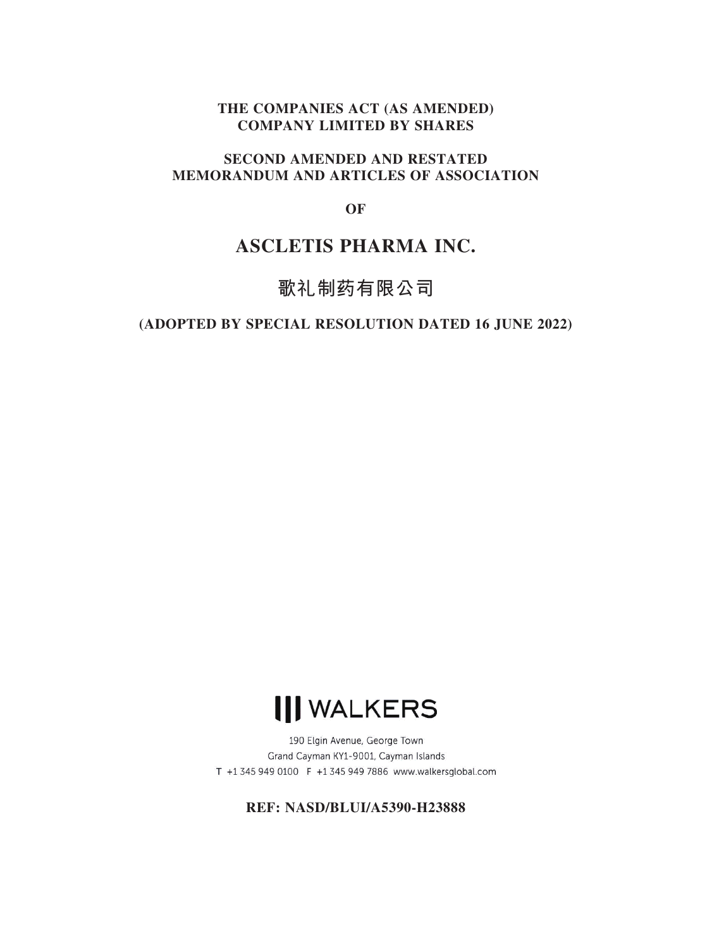# **THE COMPANIES ACT (AS AMENDED) COMPANY LIMITED BY SHARES**

# **SECOND AMENDED AND RESTATED MEMORANDUM AND ARTICLES OF ASSOCIATION**

**OF**

# **ASCLETIS PHARMA INC.**

# **歌礼制药有限公司**

# **(ADOPTED BY SPECIAL RESOLUTION DATED 16 JUNE 2022)**



190 Elgin Avenue, George Town Grand Cayman KY1-9001, Cayman Islands T +1 345 949 0100 F +1 345 949 7886 www.walkersglobal.com

**REF: NASD/BLUI/A5390-H23888**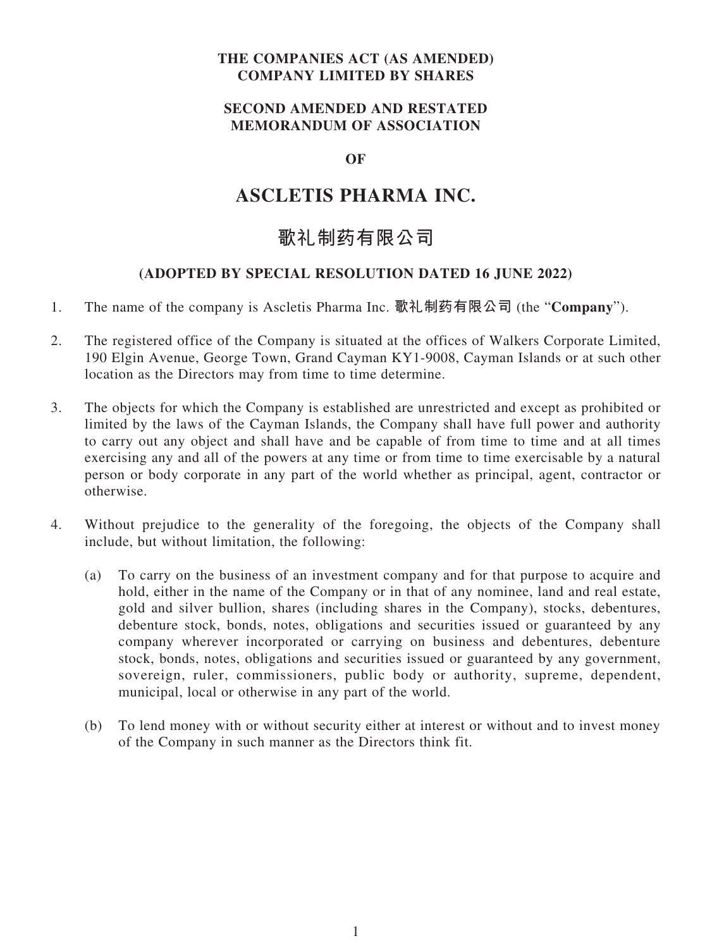# **THE COMPANIES ACT (AS AMENDED) COMPANY LIMITED BY SHARES**

# **SECOND AMENDED AND RESTATED MEMORANDUM OF ASSOCIATION**

# **OF**

# **ASCLETIS PHARMA INC.**

# **歌礼制药有限公司**

# **(ADOPTED BY SPECIAL RESOLUTION DATED 16 JUNE 2022)**

- 1. The name of the company is Ascletis Pharma Inc. **歌禮製藥有限公司** (the "**Company**").
- 2. The registered office of the Company is situated at the offices of Walkers Corporate Limited, 190 Elgin Avenue, George Town, Grand Cayman KY1-9008, Cayman Islands or at such other location as the Directors may from time to time determine.
- 3. The objects for which the Company is established are unrestricted and except as prohibited or limited by the laws of the Cayman Islands, the Company shall have full power and authority to carry out any object and shall have and be capable of from time to time and at all times exercising any and all of the powers at any time or from time to time exercisable by a natural person or body corporate in any part of the world whether as principal, agent, contractor or otherwise.
- 4. Without prejudice to the generality of the foregoing, the objects of the Company shall include, but without limitation, the following:
	- (a) To carry on the business of an investment company and for that purpose to acquire and hold, either in the name of the Company or in that of any nominee, land and real estate, gold and silver bullion, shares (including shares in the Company), stocks, debentures, debenture stock, bonds, notes, obligations and securities issued or guaranteed by any company wherever incorporated or carrying on business and debentures, debenture stock, bonds, notes, obligations and securities issued or guaranteed by any government, sovereign, ruler, commissioners, public body or authority, supreme, dependent, municipal, local or otherwise in any part of the world.
	- (b) To lend money with or without security either at interest or without and to invest money of the Company in such manner as the Directors think fit.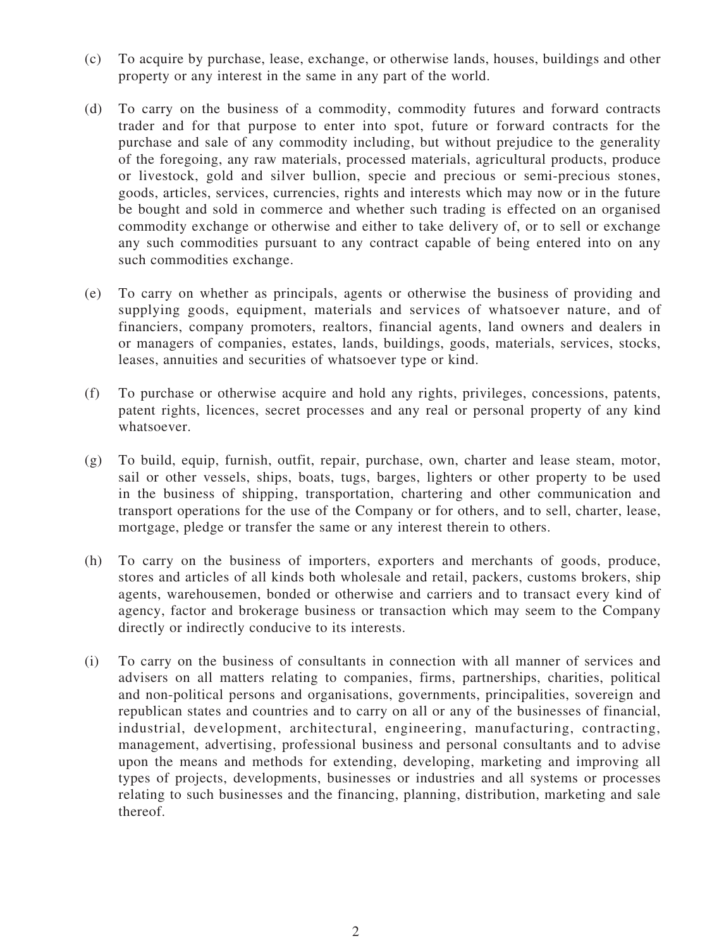- (c) To acquire by purchase, lease, exchange, or otherwise lands, houses, buildings and other property or any interest in the same in any part of the world.
- (d) To carry on the business of a commodity, commodity futures and forward contracts trader and for that purpose to enter into spot, future or forward contracts for the purchase and sale of any commodity including, but without prejudice to the generality of the foregoing, any raw materials, processed materials, agricultural products, produce or livestock, gold and silver bullion, specie and precious or semi-precious stones, goods, articles, services, currencies, rights and interests which may now or in the future be bought and sold in commerce and whether such trading is effected on an organised commodity exchange or otherwise and either to take delivery of, or to sell or exchange any such commodities pursuant to any contract capable of being entered into on any such commodities exchange.
- (e) To carry on whether as principals, agents or otherwise the business of providing and supplying goods, equipment, materials and services of whatsoever nature, and of financiers, company promoters, realtors, financial agents, land owners and dealers in or managers of companies, estates, lands, buildings, goods, materials, services, stocks, leases, annuities and securities of whatsoever type or kind.
- (f) To purchase or otherwise acquire and hold any rights, privileges, concessions, patents, patent rights, licences, secret processes and any real or personal property of any kind whatsoever.
- (g) To build, equip, furnish, outfit, repair, purchase, own, charter and lease steam, motor, sail or other vessels, ships, boats, tugs, barges, lighters or other property to be used in the business of shipping, transportation, chartering and other communication and transport operations for the use of the Company or for others, and to sell, charter, lease, mortgage, pledge or transfer the same or any interest therein to others.
- (h) To carry on the business of importers, exporters and merchants of goods, produce, stores and articles of all kinds both wholesale and retail, packers, customs brokers, ship agents, warehousemen, bonded or otherwise and carriers and to transact every kind of agency, factor and brokerage business or transaction which may seem to the Company directly or indirectly conducive to its interests.
- (i) To carry on the business of consultants in connection with all manner of services and advisers on all matters relating to companies, firms, partnerships, charities, political and non-political persons and organisations, governments, principalities, sovereign and republican states and countries and to carry on all or any of the businesses of financial, industrial, development, architectural, engineering, manufacturing, contracting, management, advertising, professional business and personal consultants and to advise upon the means and methods for extending, developing, marketing and improving all types of projects, developments, businesses or industries and all systems or processes relating to such businesses and the financing, planning, distribution, marketing and sale thereof.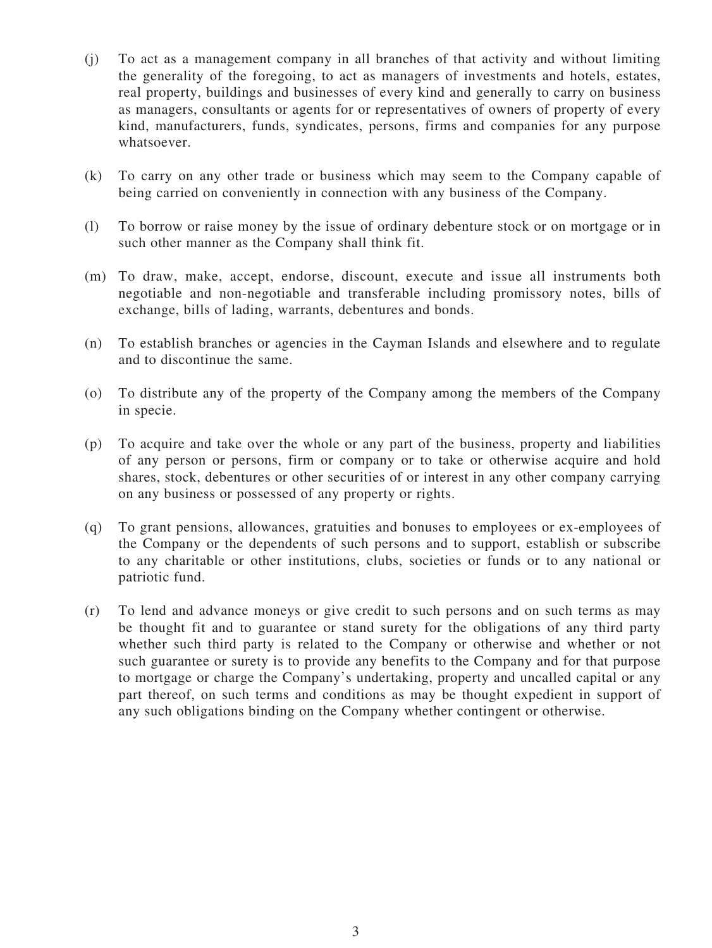- (j) To act as a management company in all branches of that activity and without limiting the generality of the foregoing, to act as managers of investments and hotels, estates, real property, buildings and businesses of every kind and generally to carry on business as managers, consultants or agents for or representatives of owners of property of every kind, manufacturers, funds, syndicates, persons, firms and companies for any purpose whatsoever.
- (k) To carry on any other trade or business which may seem to the Company capable of being carried on conveniently in connection with any business of the Company.
- (l) To borrow or raise money by the issue of ordinary debenture stock or on mortgage or in such other manner as the Company shall think fit.
- (m) To draw, make, accept, endorse, discount, execute and issue all instruments both negotiable and non-negotiable and transferable including promissory notes, bills of exchange, bills of lading, warrants, debentures and bonds.
- (n) To establish branches or agencies in the Cayman Islands and elsewhere and to regulate and to discontinue the same.
- (o) To distribute any of the property of the Company among the members of the Company in specie.
- (p) To acquire and take over the whole or any part of the business, property and liabilities of any person or persons, firm or company or to take or otherwise acquire and hold shares, stock, debentures or other securities of or interest in any other company carrying on any business or possessed of any property or rights.
- (q) To grant pensions, allowances, gratuities and bonuses to employees or ex-employees of the Company or the dependents of such persons and to support, establish or subscribe to any charitable or other institutions, clubs, societies or funds or to any national or patriotic fund.
- (r) To lend and advance moneys or give credit to such persons and on such terms as may be thought fit and to guarantee or stand surety for the obligations of any third party whether such third party is related to the Company or otherwise and whether or not such guarantee or surety is to provide any benefits to the Company and for that purpose to mortgage or charge the Company's undertaking, property and uncalled capital or any part thereof, on such terms and conditions as may be thought expedient in support of any such obligations binding on the Company whether contingent or otherwise.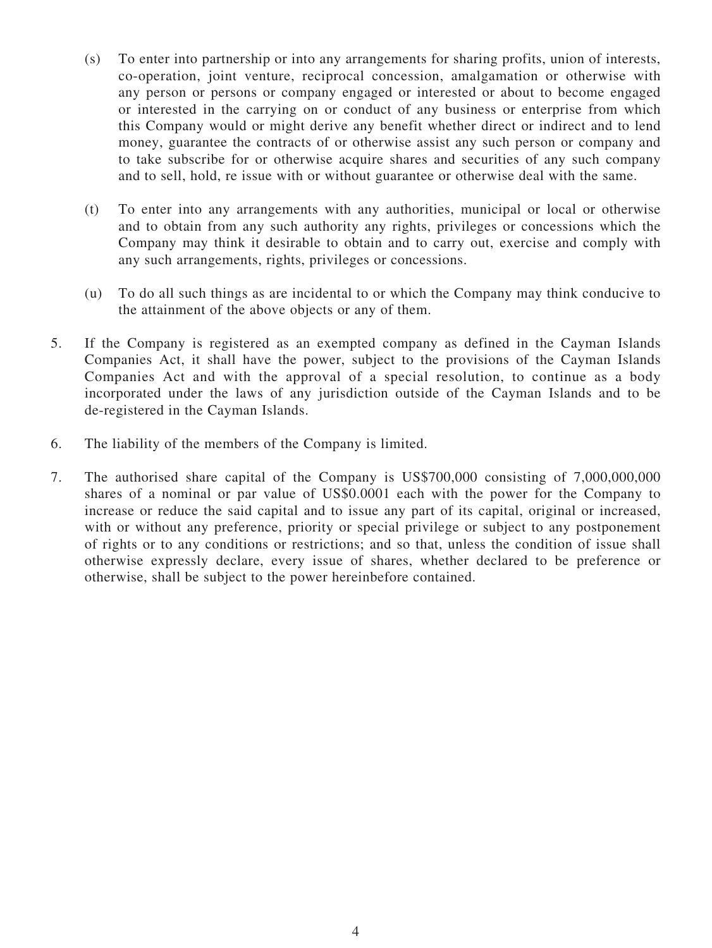- (s) To enter into partnership or into any arrangements for sharing profits, union of interests, co-operation, joint venture, reciprocal concession, amalgamation or otherwise with any person or persons or company engaged or interested or about to become engaged or interested in the carrying on or conduct of any business or enterprise from which this Company would or might derive any benefit whether direct or indirect and to lend money, guarantee the contracts of or otherwise assist any such person or company and to take subscribe for or otherwise acquire shares and securities of any such company and to sell, hold, re issue with or without guarantee or otherwise deal with the same.
- (t) To enter into any arrangements with any authorities, municipal or local or otherwise and to obtain from any such authority any rights, privileges or concessions which the Company may think it desirable to obtain and to carry out, exercise and comply with any such arrangements, rights, privileges or concessions.
- (u) To do all such things as are incidental to or which the Company may think conducive to the attainment of the above objects or any of them.
- 5. If the Company is registered as an exempted company as defined in the Cayman Islands Companies Act, it shall have the power, subject to the provisions of the Cayman Islands Companies Act and with the approval of a special resolution, to continue as a body incorporated under the laws of any jurisdiction outside of the Cayman Islands and to be de-registered in the Cayman Islands.
- 6. The liability of the members of the Company is limited.
- 7. The authorised share capital of the Company is US\$700,000 consisting of 7,000,000,000 shares of a nominal or par value of US\$0.0001 each with the power for the Company to increase or reduce the said capital and to issue any part of its capital, original or increased, with or without any preference, priority or special privilege or subject to any postponement of rights or to any conditions or restrictions; and so that, unless the condition of issue shall otherwise expressly declare, every issue of shares, whether declared to be preference or otherwise, shall be subject to the power hereinbefore contained.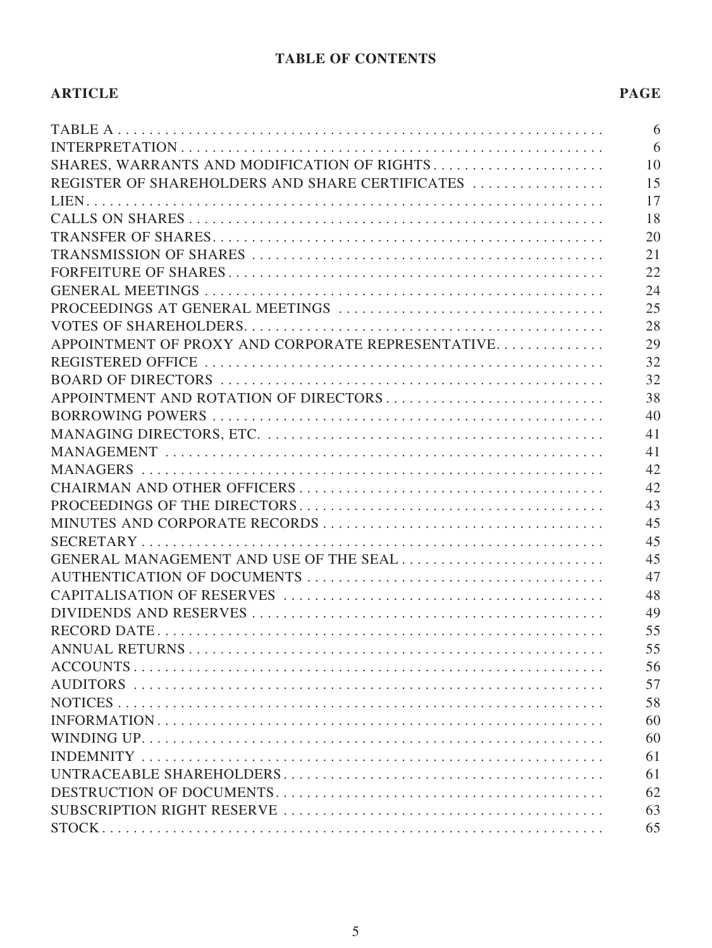# **TABLE OF CONTENTS**

| <b>ARTICLE</b>                                    | <b>PAGE</b> |
|---------------------------------------------------|-------------|
|                                                   | 6           |
|                                                   | 6           |
| SHARES, WARRANTS AND MODIFICATION OF RIGHTS       | 10          |
| REGISTER OF SHAREHOLDERS AND SHARE CERTIFICATES   | 15          |
|                                                   | 17          |
|                                                   | 18          |
|                                                   | 20          |
|                                                   | 21          |
|                                                   | 22          |
|                                                   | 24          |
|                                                   | 25          |
|                                                   | 28          |
| APPOINTMENT OF PROXY AND CORPORATE REPRESENTATIVE | 29          |
|                                                   | 32          |
|                                                   | 32          |
| APPOINTMENT AND ROTATION OF DIRECTORS             | 38          |
|                                                   | 40          |
|                                                   | 41          |
|                                                   | 41          |
|                                                   | 42          |
|                                                   | 42          |
|                                                   | 43          |
|                                                   | 45          |
|                                                   | 45          |
| GENERAL MANAGEMENT AND USE OF THE SEAL            | 45          |
|                                                   | 47          |
|                                                   | 48          |
|                                                   | 49          |
|                                                   | 55          |
|                                                   | 55          |
|                                                   | 56          |
|                                                   | 57          |
|                                                   | 58          |
|                                                   | 60          |
|                                                   | 60          |
|                                                   | 61          |
|                                                   | 61          |
|                                                   | 62          |
|                                                   | 63          |
|                                                   | 65          |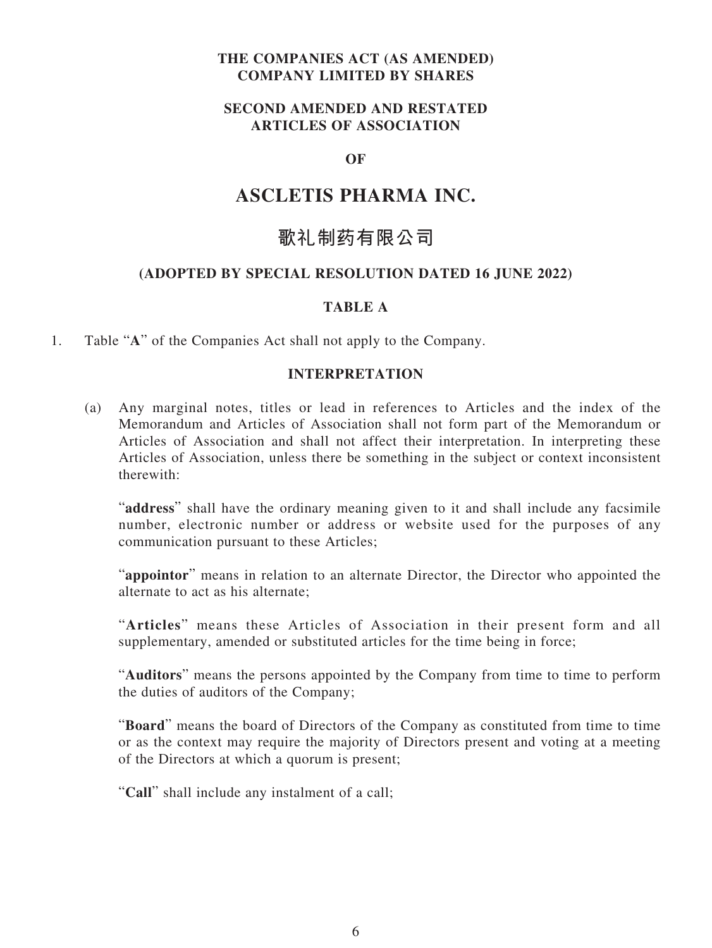# **THE COMPANIES ACT (AS AMENDED) COMPANY LIMITED BY SHARES**

# **SECOND AMENDED AND RESTATED ARTICLES OF ASSOCIATION**

# **OF**

# **ASCLETIS PHARMA INC.**

# **歌礼制药有限公司**

# **(ADOPTED BY SPECIAL RESOLUTION DATED 16 JUNE 2022)**

#### **TABLE A**

1. Table "**A**" of the Companies Act shall not apply to the Company.

#### **INTERPRETATION**

(a) Any marginal notes, titles or lead in references to Articles and the index of the Memorandum and Articles of Association shall not form part of the Memorandum or Articles of Association and shall not affect their interpretation. In interpreting these Articles of Association, unless there be something in the subject or context inconsistent therewith:

"**address**" shall have the ordinary meaning given to it and shall include any facsimile number, electronic number or address or website used for the purposes of any communication pursuant to these Articles;

"**appointor**" means in relation to an alternate Director, the Director who appointed the alternate to act as his alternate;

"**Articles**" means these Articles of Association in their present form and all supplementary, amended or substituted articles for the time being in force;

"**Auditors**" means the persons appointed by the Company from time to time to perform the duties of auditors of the Company;

"**Board**" means the board of Directors of the Company as constituted from time to time or as the context may require the majority of Directors present and voting at a meeting of the Directors at which a quorum is present;

"**Call**" shall include any instalment of a call;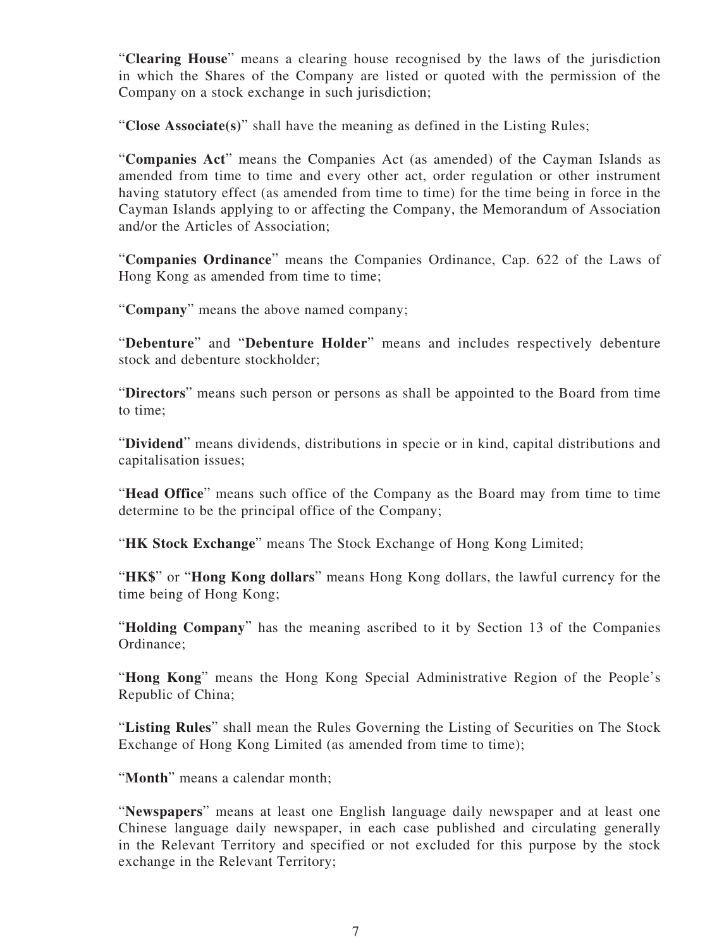"**Clearing House**" means a clearing house recognised by the laws of the jurisdiction in which the Shares of the Company are listed or quoted with the permission of the Company on a stock exchange in such jurisdiction;

"**Close Associate(s)**" shall have the meaning as defined in the Listing Rules;

"**Companies Act**" means the Companies Act (as amended) of the Cayman Islands as amended from time to time and every other act, order regulation or other instrument having statutory effect (as amended from time to time) for the time being in force in the Cayman Islands applying to or affecting the Company, the Memorandum of Association and/or the Articles of Association;

"**Companies Ordinance**" means the Companies Ordinance, Cap. 622 of the Laws of Hong Kong as amended from time to time;

"**Company**" means the above named company;

"**Debenture**" and "**Debenture Holder**" means and includes respectively debenture stock and debenture stockholder;

"**Directors**" means such person or persons as shall be appointed to the Board from time to time;

"**Dividend**" means dividends, distributions in specie or in kind, capital distributions and capitalisation issues;

"**Head Office**" means such office of the Company as the Board may from time to time determine to be the principal office of the Company;

"**HK Stock Exchange**" means The Stock Exchange of Hong Kong Limited;

"**HK\$**" or "**Hong Kong dollars**" means Hong Kong dollars, the lawful currency for the time being of Hong Kong;

"**Holding Company**" has the meaning ascribed to it by Section 13 of the Companies Ordinance;

"**Hong Kong**" means the Hong Kong Special Administrative Region of the People's Republic of China;

"**Listing Rules**" shall mean the Rules Governing the Listing of Securities on The Stock Exchange of Hong Kong Limited (as amended from time to time);

"**Month**" means a calendar month;

"**Newspapers**" means at least one English language daily newspaper and at least one Chinese language daily newspaper, in each case published and circulating generally in the Relevant Territory and specified or not excluded for this purpose by the stock exchange in the Relevant Territory;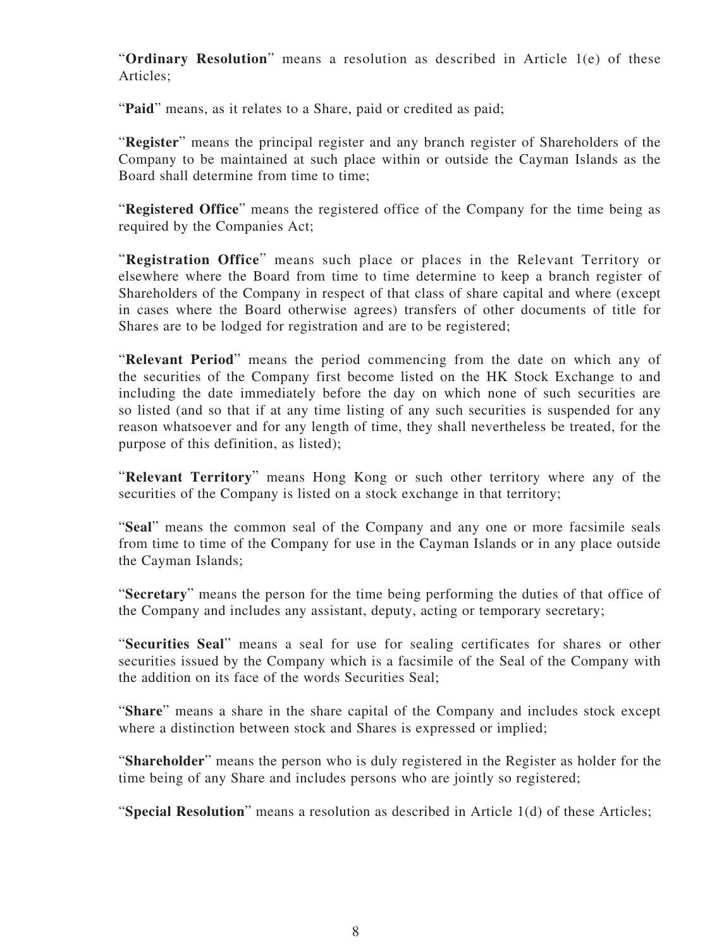"**Ordinary Resolution**" means a resolution as described in Article 1(e) of these Articles;

"**Paid**" means, as it relates to a Share, paid or credited as paid;

"**Register**" means the principal register and any branch register of Shareholders of the Company to be maintained at such place within or outside the Cayman Islands as the Board shall determine from time to time;

"**Registered Office**" means the registered office of the Company for the time being as required by the Companies Act;

"**Registration Office**" means such place or places in the Relevant Territory or elsewhere where the Board from time to time determine to keep a branch register of Shareholders of the Company in respect of that class of share capital and where (except in cases where the Board otherwise agrees) transfers of other documents of title for Shares are to be lodged for registration and are to be registered;

"**Relevant Period**" means the period commencing from the date on which any of the securities of the Company first become listed on the HK Stock Exchange to and including the date immediately before the day on which none of such securities are so listed (and so that if at any time listing of any such securities is suspended for any reason whatsoever and for any length of time, they shall nevertheless be treated, for the purpose of this definition, as listed);

"**Relevant Territory**" means Hong Kong or such other territory where any of the securities of the Company is listed on a stock exchange in that territory;

"**Seal**" means the common seal of the Company and any one or more facsimile seals from time to time of the Company for use in the Cayman Islands or in any place outside the Cayman Islands;

"**Secretary**" means the person for the time being performing the duties of that office of the Company and includes any assistant, deputy, acting or temporary secretary;

"**Securities Seal**" means a seal for use for sealing certificates for shares or other securities issued by the Company which is a facsimile of the Seal of the Company with the addition on its face of the words Securities Seal;

"**Share**" means a share in the share capital of the Company and includes stock except where a distinction between stock and Shares is expressed or implied;

"**Shareholder**" means the person who is duly registered in the Register as holder for the time being of any Share and includes persons who are jointly so registered;

"**Special Resolution**" means a resolution as described in Article 1(d) of these Articles;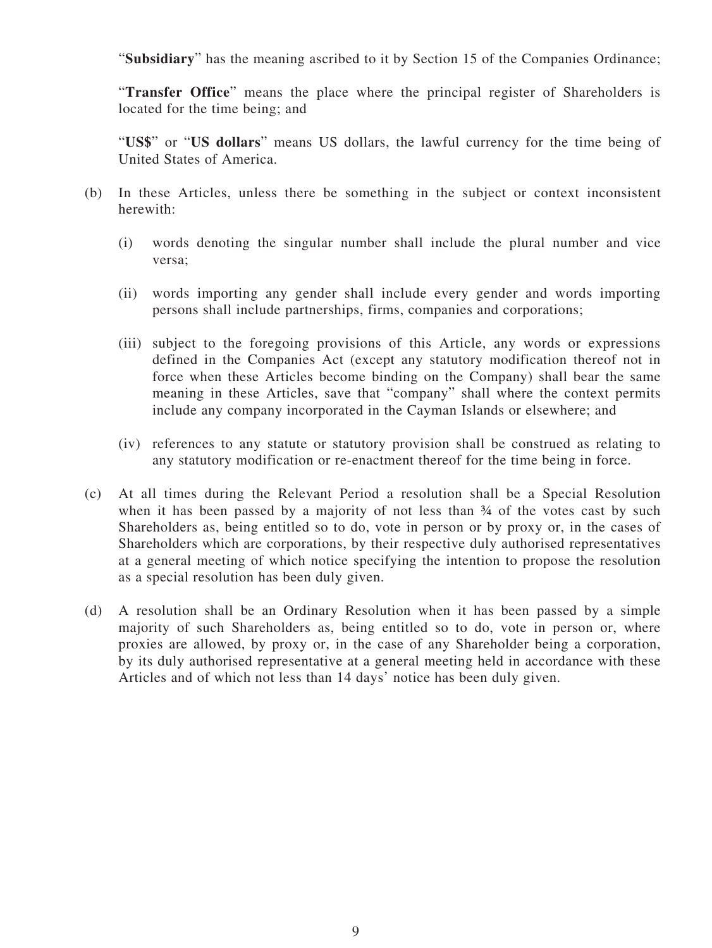"**Subsidiary**" has the meaning ascribed to it by Section 15 of the Companies Ordinance;

"**Transfer Office**" means the place where the principal register of Shareholders is located for the time being; and

"**US\$**" or "**US dollars**" means US dollars, the lawful currency for the time being of United States of America.

- (b) In these Articles, unless there be something in the subject or context inconsistent herewith:
	- (i) words denoting the singular number shall include the plural number and vice versa;
	- (ii) words importing any gender shall include every gender and words importing persons shall include partnerships, firms, companies and corporations;
	- (iii) subject to the foregoing provisions of this Article, any words or expressions defined in the Companies Act (except any statutory modification thereof not in force when these Articles become binding on the Company) shall bear the same meaning in these Articles, save that "company" shall where the context permits include any company incorporated in the Cayman Islands or elsewhere; and
	- (iv) references to any statute or statutory provision shall be construed as relating to any statutory modification or re-enactment thereof for the time being in force.
- (c) At all times during the Relevant Period a resolution shall be a Special Resolution when it has been passed by a majority of not less than  $\frac{3}{4}$  of the votes cast by such Shareholders as, being entitled so to do, vote in person or by proxy or, in the cases of Shareholders which are corporations, by their respective duly authorised representatives at a general meeting of which notice specifying the intention to propose the resolution as a special resolution has been duly given.
- (d) A resolution shall be an Ordinary Resolution when it has been passed by a simple majority of such Shareholders as, being entitled so to do, vote in person or, where proxies are allowed, by proxy or, in the case of any Shareholder being a corporation, by its duly authorised representative at a general meeting held in accordance with these Articles and of which not less than 14 days' notice has been duly given.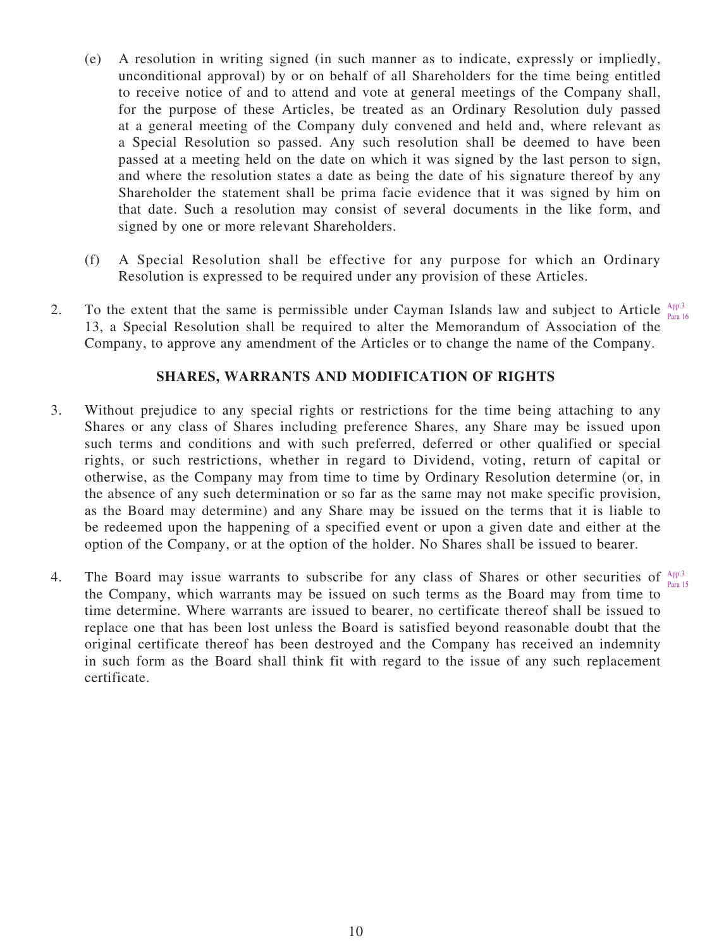- (e) A resolution in writing signed (in such manner as to indicate, expressly or impliedly, unconditional approval) by or on behalf of all Shareholders for the time being entitled to receive notice of and to attend and vote at general meetings of the Company shall, for the purpose of these Articles, be treated as an Ordinary Resolution duly passed at a general meeting of the Company duly convened and held and, where relevant as a Special Resolution so passed. Any such resolution shall be deemed to have been passed at a meeting held on the date on which it was signed by the last person to sign, and where the resolution states a date as being the date of his signature thereof by any Shareholder the statement shall be prima facie evidence that it was signed by him on that date. Such a resolution may consist of several documents in the like form, and signed by one or more relevant Shareholders.
- (f) A Special Resolution shall be effective for any purpose for which an Ordinary Resolution is expressed to be required under any provision of these Articles.
- 2. To the extent that the same is permissible under Cayman Islands law and subject to Article  $\frac{App.3}{p_{\text{even}}}$ 13, a Special Resolution shall be required to alter the Memorandum of Association of the Company, to approve any amendment of the Articles or to change the name of the Company. Para 16

# **SHARES, WARRANTS AND MODIFICATION OF RIGHTS**

- 3. Without prejudice to any special rights or restrictions for the time being attaching to any Shares or any class of Shares including preference Shares, any Share may be issued upon such terms and conditions and with such preferred, deferred or other qualified or special rights, or such restrictions, whether in regard to Dividend, voting, return of capital or otherwise, as the Company may from time to time by Ordinary Resolution determine (or, in the absence of any such determination or so far as the same may not make specific provision, as the Board may determine) and any Share may be issued on the terms that it is liable to be redeemed upon the happening of a specified event or upon a given date and either at the option of the Company, or at the option of the holder. No Shares shall be issued to bearer.
- 4. The Board may issue warrants to subscribe for any class of Shares or other securities of  $A_{pp,3}$ the Company, which warrants may be issued on such terms as the Board may from time to time determine. Where warrants are issued to bearer, no certificate thereof shall be issued to replace one that has been lost unless the Board is satisfied beyond reasonable doubt that the original certificate thereof has been destroyed and the Company has received an indemnity in such form as the Board shall think fit with regard to the issue of any such replacement certificate. Para 15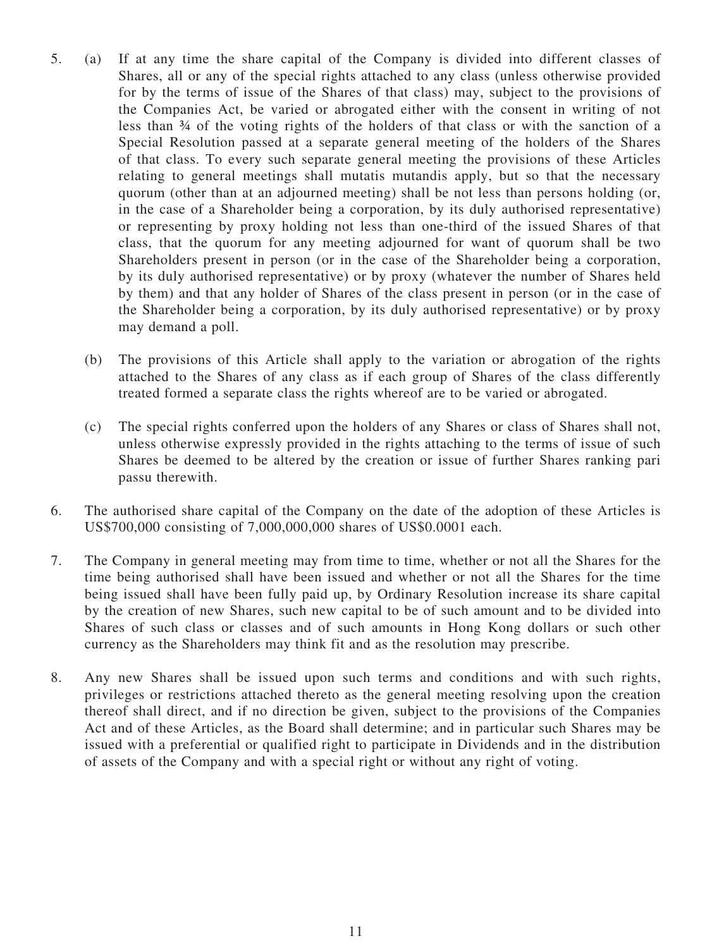- 5. (a) If at any time the share capital of the Company is divided into different classes of Shares, all or any of the special rights attached to any class (unless otherwise provided for by the terms of issue of the Shares of that class) may, subject to the provisions of the Companies Act, be varied or abrogated either with the consent in writing of not less than ¾ of the voting rights of the holders of that class or with the sanction of a Special Resolution passed at a separate general meeting of the holders of the Shares of that class. To every such separate general meeting the provisions of these Articles relating to general meetings shall mutatis mutandis apply, but so that the necessary quorum (other than at an adjourned meeting) shall be not less than persons holding (or, in the case of a Shareholder being a corporation, by its duly authorised representative) or representing by proxy holding not less than one-third of the issued Shares of that class, that the quorum for any meeting adjourned for want of quorum shall be two Shareholders present in person (or in the case of the Shareholder being a corporation, by its duly authorised representative) or by proxy (whatever the number of Shares held by them) and that any holder of Shares of the class present in person (or in the case of the Shareholder being a corporation, by its duly authorised representative) or by proxy may demand a poll.
	- (b) The provisions of this Article shall apply to the variation or abrogation of the rights attached to the Shares of any class as if each group of Shares of the class differently treated formed a separate class the rights whereof are to be varied or abrogated.
	- (c) The special rights conferred upon the holders of any Shares or class of Shares shall not, unless otherwise expressly provided in the rights attaching to the terms of issue of such Shares be deemed to be altered by the creation or issue of further Shares ranking pari passu therewith.
- 6. The authorised share capital of the Company on the date of the adoption of these Articles is US\$700,000 consisting of 7,000,000,000 shares of US\$0.0001 each.
- 7. The Company in general meeting may from time to time, whether or not all the Shares for the time being authorised shall have been issued and whether or not all the Shares for the time being issued shall have been fully paid up, by Ordinary Resolution increase its share capital by the creation of new Shares, such new capital to be of such amount and to be divided into Shares of such class or classes and of such amounts in Hong Kong dollars or such other currency as the Shareholders may think fit and as the resolution may prescribe.
- 8. Any new Shares shall be issued upon such terms and conditions and with such rights, privileges or restrictions attached thereto as the general meeting resolving upon the creation thereof shall direct, and if no direction be given, subject to the provisions of the Companies Act and of these Articles, as the Board shall determine; and in particular such Shares may be issued with a preferential or qualified right to participate in Dividends and in the distribution of assets of the Company and with a special right or without any right of voting.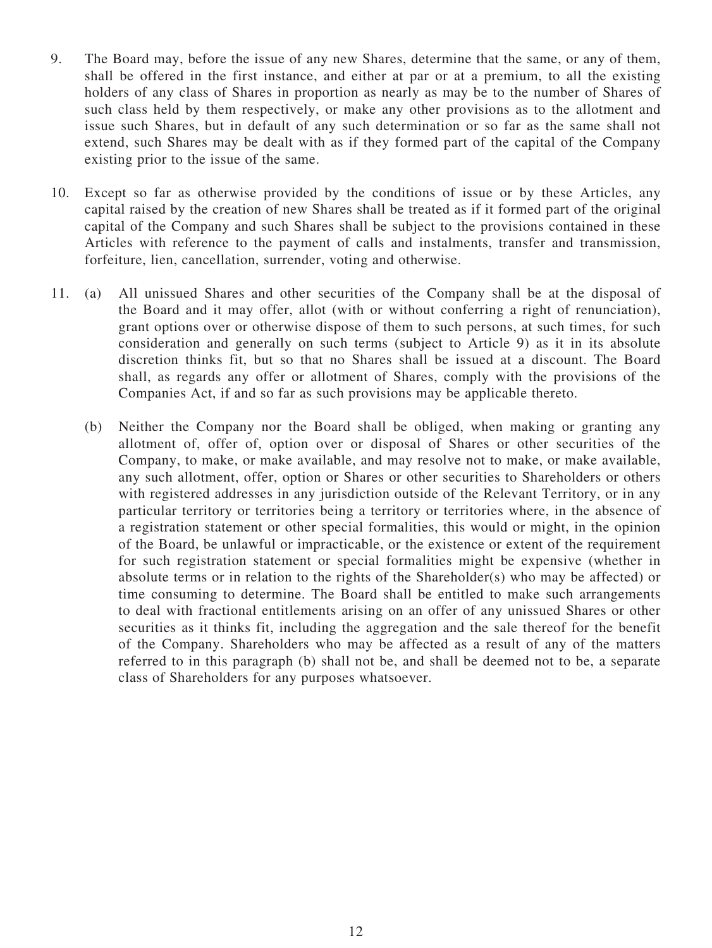- 9. The Board may, before the issue of any new Shares, determine that the same, or any of them, shall be offered in the first instance, and either at par or at a premium, to all the existing holders of any class of Shares in proportion as nearly as may be to the number of Shares of such class held by them respectively, or make any other provisions as to the allotment and issue such Shares, but in default of any such determination or so far as the same shall not extend, such Shares may be dealt with as if they formed part of the capital of the Company existing prior to the issue of the same.
- 10. Except so far as otherwise provided by the conditions of issue or by these Articles, any capital raised by the creation of new Shares shall be treated as if it formed part of the original capital of the Company and such Shares shall be subject to the provisions contained in these Articles with reference to the payment of calls and instalments, transfer and transmission, forfeiture, lien, cancellation, surrender, voting and otherwise.
- 11. (a) All unissued Shares and other securities of the Company shall be at the disposal of the Board and it may offer, allot (with or without conferring a right of renunciation), grant options over or otherwise dispose of them to such persons, at such times, for such consideration and generally on such terms (subject to Article 9) as it in its absolute discretion thinks fit, but so that no Shares shall be issued at a discount. The Board shall, as regards any offer or allotment of Shares, comply with the provisions of the Companies Act, if and so far as such provisions may be applicable thereto.
	- (b) Neither the Company nor the Board shall be obliged, when making or granting any allotment of, offer of, option over or disposal of Shares or other securities of the Company, to make, or make available, and may resolve not to make, or make available, any such allotment, offer, option or Shares or other securities to Shareholders or others with registered addresses in any jurisdiction outside of the Relevant Territory, or in any particular territory or territories being a territory or territories where, in the absence of a registration statement or other special formalities, this would or might, in the opinion of the Board, be unlawful or impracticable, or the existence or extent of the requirement for such registration statement or special formalities might be expensive (whether in absolute terms or in relation to the rights of the Shareholder(s) who may be affected) or time consuming to determine. The Board shall be entitled to make such arrangements to deal with fractional entitlements arising on an offer of any unissued Shares or other securities as it thinks fit, including the aggregation and the sale thereof for the benefit of the Company. Shareholders who may be affected as a result of any of the matters referred to in this paragraph (b) shall not be, and shall be deemed not to be, a separate class of Shareholders for any purposes whatsoever.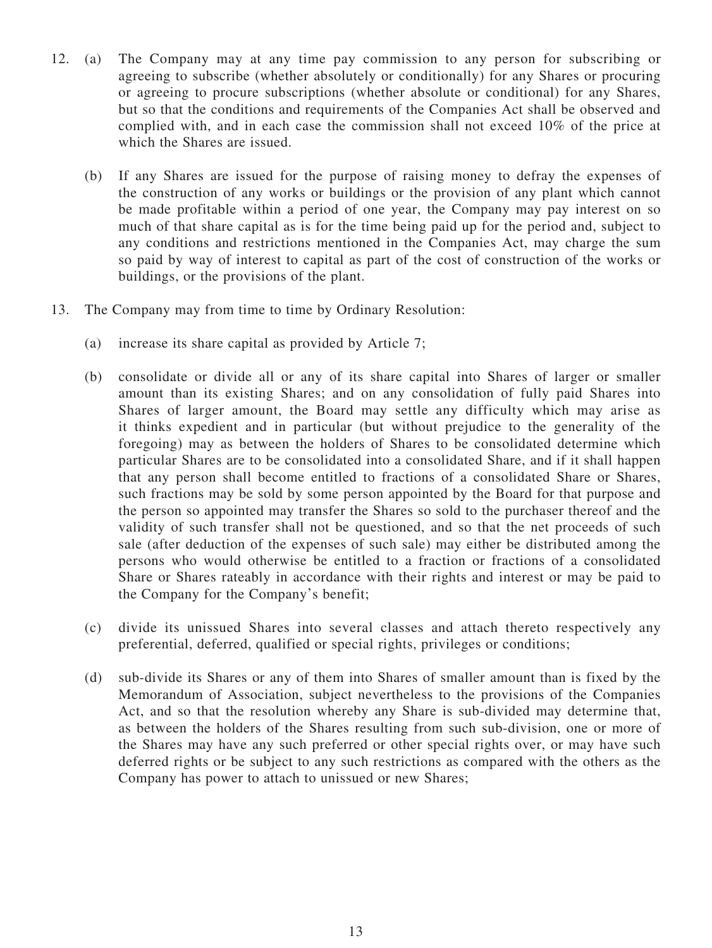- 12. (a) The Company may at any time pay commission to any person for subscribing or agreeing to subscribe (whether absolutely or conditionally) for any Shares or procuring or agreeing to procure subscriptions (whether absolute or conditional) for any Shares, but so that the conditions and requirements of the Companies Act shall be observed and complied with, and in each case the commission shall not exceed 10% of the price at which the Shares are issued.
	- (b) If any Shares are issued for the purpose of raising money to defray the expenses of the construction of any works or buildings or the provision of any plant which cannot be made profitable within a period of one year, the Company may pay interest on so much of that share capital as is for the time being paid up for the period and, subject to any conditions and restrictions mentioned in the Companies Act, may charge the sum so paid by way of interest to capital as part of the cost of construction of the works or buildings, or the provisions of the plant.
- 13. The Company may from time to time by Ordinary Resolution:
	- (a) increase its share capital as provided by Article 7;
	- (b) consolidate or divide all or any of its share capital into Shares of larger or smaller amount than its existing Shares; and on any consolidation of fully paid Shares into Shares of larger amount, the Board may settle any difficulty which may arise as it thinks expedient and in particular (but without prejudice to the generality of the foregoing) may as between the holders of Shares to be consolidated determine which particular Shares are to be consolidated into a consolidated Share, and if it shall happen that any person shall become entitled to fractions of a consolidated Share or Shares, such fractions may be sold by some person appointed by the Board for that purpose and the person so appointed may transfer the Shares so sold to the purchaser thereof and the validity of such transfer shall not be questioned, and so that the net proceeds of such sale (after deduction of the expenses of such sale) may either be distributed among the persons who would otherwise be entitled to a fraction or fractions of a consolidated Share or Shares rateably in accordance with their rights and interest or may be paid to the Company for the Company's benefit;
	- (c) divide its unissued Shares into several classes and attach thereto respectively any preferential, deferred, qualified or special rights, privileges or conditions;
	- (d) sub-divide its Shares or any of them into Shares of smaller amount than is fixed by the Memorandum of Association, subject nevertheless to the provisions of the Companies Act, and so that the resolution whereby any Share is sub-divided may determine that, as between the holders of the Shares resulting from such sub-division, one or more of the Shares may have any such preferred or other special rights over, or may have such deferred rights or be subject to any such restrictions as compared with the others as the Company has power to attach to unissued or new Shares;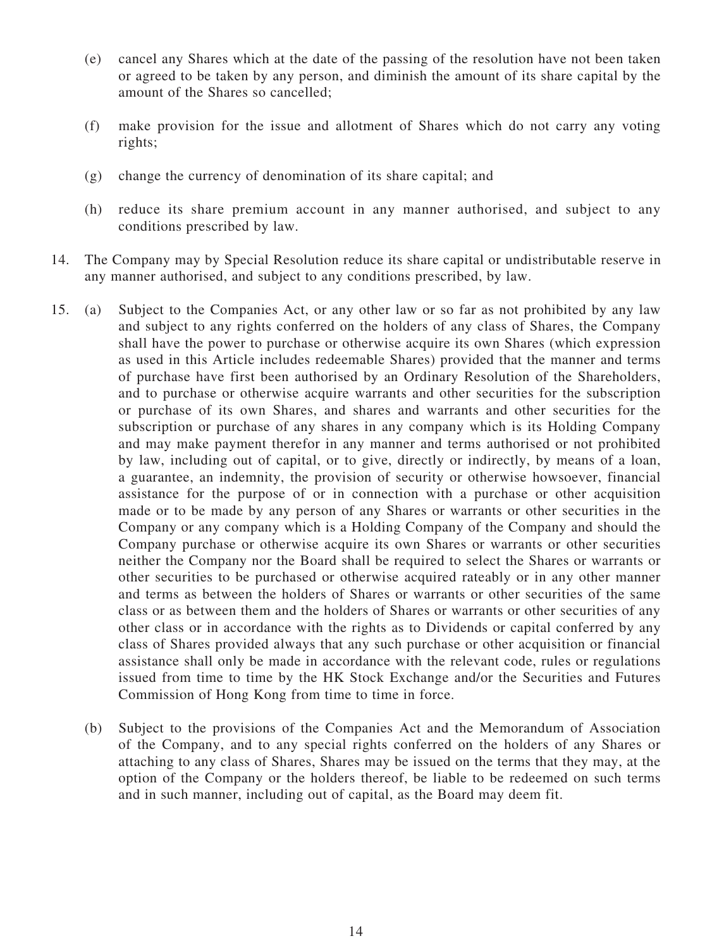- (e) cancel any Shares which at the date of the passing of the resolution have not been taken or agreed to be taken by any person, and diminish the amount of its share capital by the amount of the Shares so cancelled;
- (f) make provision for the issue and allotment of Shares which do not carry any voting rights;
- (g) change the currency of denomination of its share capital; and
- (h) reduce its share premium account in any manner authorised, and subject to any conditions prescribed by law.
- 14. The Company may by Special Resolution reduce its share capital or undistributable reserve in any manner authorised, and subject to any conditions prescribed, by law.
- 15. (a) Subject to the Companies Act, or any other law or so far as not prohibited by any law and subject to any rights conferred on the holders of any class of Shares, the Company shall have the power to purchase or otherwise acquire its own Shares (which expression as used in this Article includes redeemable Shares) provided that the manner and terms of purchase have first been authorised by an Ordinary Resolution of the Shareholders, and to purchase or otherwise acquire warrants and other securities for the subscription or purchase of its own Shares, and shares and warrants and other securities for the subscription or purchase of any shares in any company which is its Holding Company and may make payment therefor in any manner and terms authorised or not prohibited by law, including out of capital, or to give, directly or indirectly, by means of a loan, a guarantee, an indemnity, the provision of security or otherwise howsoever, financial assistance for the purpose of or in connection with a purchase or other acquisition made or to be made by any person of any Shares or warrants or other securities in the Company or any company which is a Holding Company of the Company and should the Company purchase or otherwise acquire its own Shares or warrants or other securities neither the Company nor the Board shall be required to select the Shares or warrants or other securities to be purchased or otherwise acquired rateably or in any other manner and terms as between the holders of Shares or warrants or other securities of the same class or as between them and the holders of Shares or warrants or other securities of any other class or in accordance with the rights as to Dividends or capital conferred by any class of Shares provided always that any such purchase or other acquisition or financial assistance shall only be made in accordance with the relevant code, rules or regulations issued from time to time by the HK Stock Exchange and/or the Securities and Futures Commission of Hong Kong from time to time in force.
	- (b) Subject to the provisions of the Companies Act and the Memorandum of Association of the Company, and to any special rights conferred on the holders of any Shares or attaching to any class of Shares, Shares may be issued on the terms that they may, at the option of the Company or the holders thereof, be liable to be redeemed on such terms and in such manner, including out of capital, as the Board may deem fit.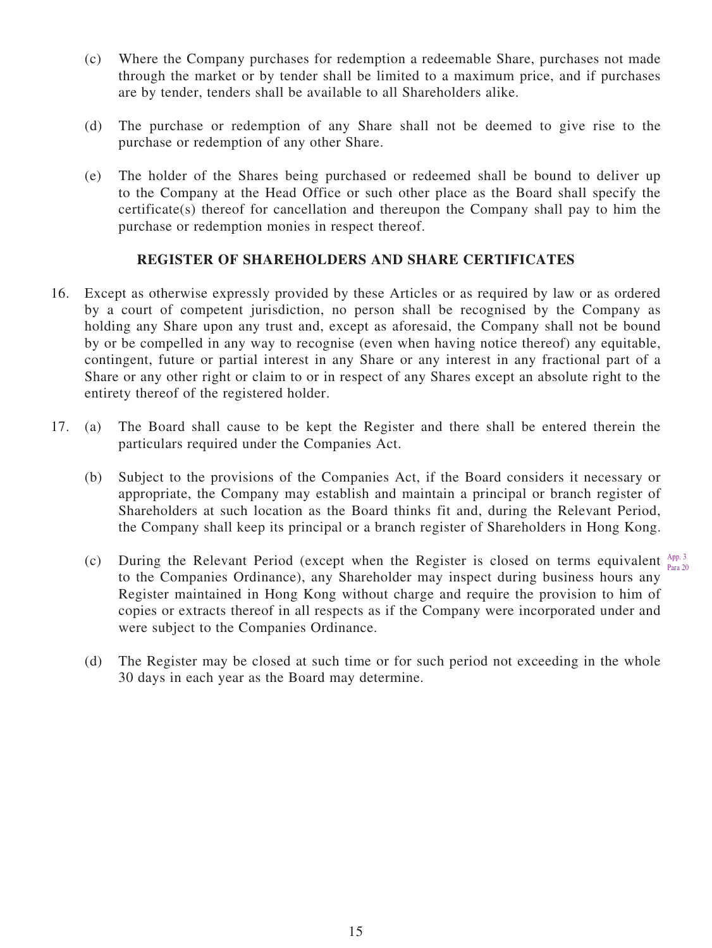- (c) Where the Company purchases for redemption a redeemable Share, purchases not made through the market or by tender shall be limited to a maximum price, and if purchases are by tender, tenders shall be available to all Shareholders alike.
- (d) The purchase or redemption of any Share shall not be deemed to give rise to the purchase or redemption of any other Share.
- (e) The holder of the Shares being purchased or redeemed shall be bound to deliver up to the Company at the Head Office or such other place as the Board shall specify the certificate(s) thereof for cancellation and thereupon the Company shall pay to him the purchase or redemption monies in respect thereof.

# **REGISTER OF SHAREHOLDERS AND SHARE CERTIFICATES**

- 16. Except as otherwise expressly provided by these Articles or as required by law or as ordered by a court of competent jurisdiction, no person shall be recognised by the Company as holding any Share upon any trust and, except as aforesaid, the Company shall not be bound by or be compelled in any way to recognise (even when having notice thereof) any equitable, contingent, future or partial interest in any Share or any interest in any fractional part of a Share or any other right or claim to or in respect of any Shares except an absolute right to the entirety thereof of the registered holder.
- 17. (a) The Board shall cause to be kept the Register and there shall be entered therein the particulars required under the Companies Act.
	- (b) Subject to the provisions of the Companies Act, if the Board considers it necessary or appropriate, the Company may establish and maintain a principal or branch register of Shareholders at such location as the Board thinks fit and, during the Relevant Period, the Company shall keep its principal or a branch register of Shareholders in Hong Kong.
	- (c) During the Relevant Period (except when the Register is closed on terms equivalent  $A_{\text{p},\text{p}}^{\text{Ap},3}$ to the Companies Ordinance), any Shareholder may inspect during business hours any Register maintained in Hong Kong without charge and require the provision to him of copies or extracts thereof in all respects as if the Company were incorporated under and were subject to the Companies Ordinance. Para 20
	- (d) The Register may be closed at such time or for such period not exceeding in the whole 30 days in each year as the Board may determine.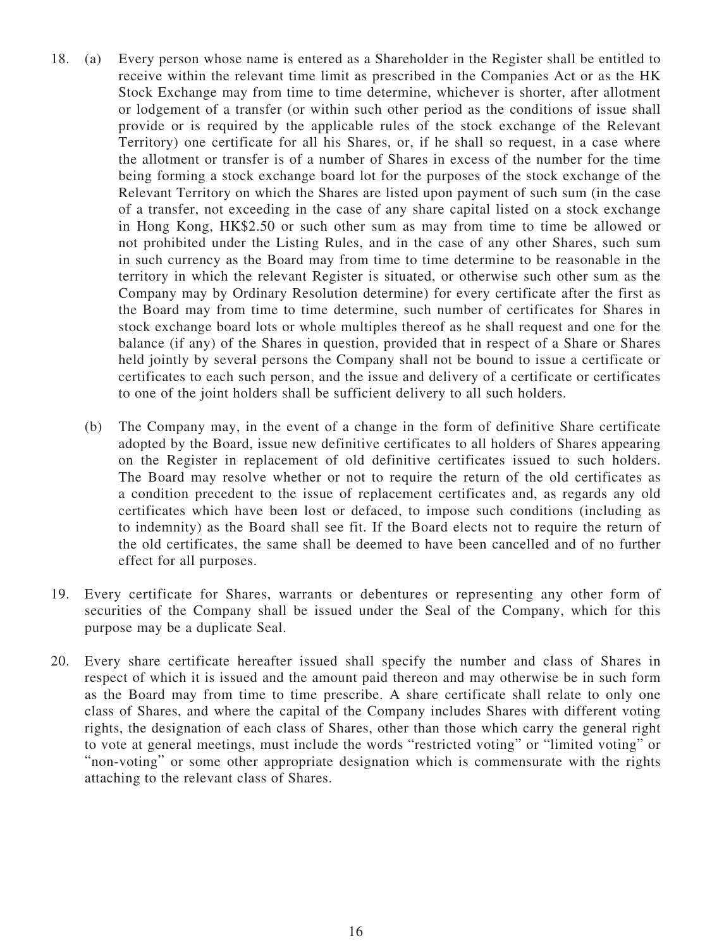- 18. (a) Every person whose name is entered as a Shareholder in the Register shall be entitled to receive within the relevant time limit as prescribed in the Companies Act or as the HK Stock Exchange may from time to time determine, whichever is shorter, after allotment or lodgement of a transfer (or within such other period as the conditions of issue shall provide or is required by the applicable rules of the stock exchange of the Relevant Territory) one certificate for all his Shares, or, if he shall so request, in a case where the allotment or transfer is of a number of Shares in excess of the number for the time being forming a stock exchange board lot for the purposes of the stock exchange of the Relevant Territory on which the Shares are listed upon payment of such sum (in the case of a transfer, not exceeding in the case of any share capital listed on a stock exchange in Hong Kong, HK\$2.50 or such other sum as may from time to time be allowed or not prohibited under the Listing Rules, and in the case of any other Shares, such sum in such currency as the Board may from time to time determine to be reasonable in the territory in which the relevant Register is situated, or otherwise such other sum as the Company may by Ordinary Resolution determine) for every certificate after the first as the Board may from time to time determine, such number of certificates for Shares in stock exchange board lots or whole multiples thereof as he shall request and one for the balance (if any) of the Shares in question, provided that in respect of a Share or Shares held jointly by several persons the Company shall not be bound to issue a certificate or certificates to each such person, and the issue and delivery of a certificate or certificates to one of the joint holders shall be sufficient delivery to all such holders.
	- (b) The Company may, in the event of a change in the form of definitive Share certificate adopted by the Board, issue new definitive certificates to all holders of Shares appearing on the Register in replacement of old definitive certificates issued to such holders. The Board may resolve whether or not to require the return of the old certificates as a condition precedent to the issue of replacement certificates and, as regards any old certificates which have been lost or defaced, to impose such conditions (including as to indemnity) as the Board shall see fit. If the Board elects not to require the return of the old certificates, the same shall be deemed to have been cancelled and of no further effect for all purposes.
- 19. Every certificate for Shares, warrants or debentures or representing any other form of securities of the Company shall be issued under the Seal of the Company, which for this purpose may be a duplicate Seal.
- 20. Every share certificate hereafter issued shall specify the number and class of Shares in respect of which it is issued and the amount paid thereon and may otherwise be in such form as the Board may from time to time prescribe. A share certificate shall relate to only one class of Shares, and where the capital of the Company includes Shares with different voting rights, the designation of each class of Shares, other than those which carry the general right to vote at general meetings, must include the words "restricted voting" or "limited voting" or "non-voting" or some other appropriate designation which is commensurate with the rights attaching to the relevant class of Shares.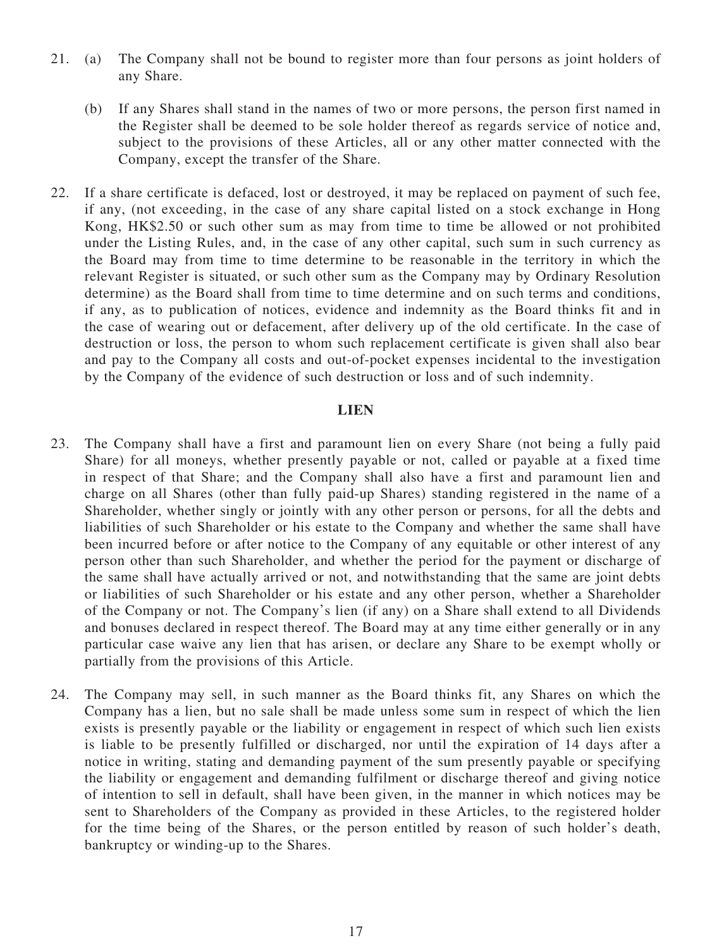- 21. (a) The Company shall not be bound to register more than four persons as joint holders of any Share.
	- (b) If any Shares shall stand in the names of two or more persons, the person first named in the Register shall be deemed to be sole holder thereof as regards service of notice and, subject to the provisions of these Articles, all or any other matter connected with the Company, except the transfer of the Share.
- 22. If a share certificate is defaced, lost or destroyed, it may be replaced on payment of such fee, if any, (not exceeding, in the case of any share capital listed on a stock exchange in Hong Kong, HK\$2.50 or such other sum as may from time to time be allowed or not prohibited under the Listing Rules, and, in the case of any other capital, such sum in such currency as the Board may from time to time determine to be reasonable in the territory in which the relevant Register is situated, or such other sum as the Company may by Ordinary Resolution determine) as the Board shall from time to time determine and on such terms and conditions, if any, as to publication of notices, evidence and indemnity as the Board thinks fit and in the case of wearing out or defacement, after delivery up of the old certificate. In the case of destruction or loss, the person to whom such replacement certificate is given shall also bear and pay to the Company all costs and out-of-pocket expenses incidental to the investigation by the Company of the evidence of such destruction or loss and of such indemnity.

#### **LIEN**

- 23. The Company shall have a first and paramount lien on every Share (not being a fully paid Share) for all moneys, whether presently payable or not, called or payable at a fixed time in respect of that Share; and the Company shall also have a first and paramount lien and charge on all Shares (other than fully paid-up Shares) standing registered in the name of a Shareholder, whether singly or jointly with any other person or persons, for all the debts and liabilities of such Shareholder or his estate to the Company and whether the same shall have been incurred before or after notice to the Company of any equitable or other interest of any person other than such Shareholder, and whether the period for the payment or discharge of the same shall have actually arrived or not, and notwithstanding that the same are joint debts or liabilities of such Shareholder or his estate and any other person, whether a Shareholder of the Company or not. The Company's lien (if any) on a Share shall extend to all Dividends and bonuses declared in respect thereof. The Board may at any time either generally or in any particular case waive any lien that has arisen, or declare any Share to be exempt wholly or partially from the provisions of this Article.
- 24. The Company may sell, in such manner as the Board thinks fit, any Shares on which the Company has a lien, but no sale shall be made unless some sum in respect of which the lien exists is presently payable or the liability or engagement in respect of which such lien exists is liable to be presently fulfilled or discharged, nor until the expiration of 14 days after a notice in writing, stating and demanding payment of the sum presently payable or specifying the liability or engagement and demanding fulfilment or discharge thereof and giving notice of intention to sell in default, shall have been given, in the manner in which notices may be sent to Shareholders of the Company as provided in these Articles, to the registered holder for the time being of the Shares, or the person entitled by reason of such holder's death, bankruptcy or winding-up to the Shares.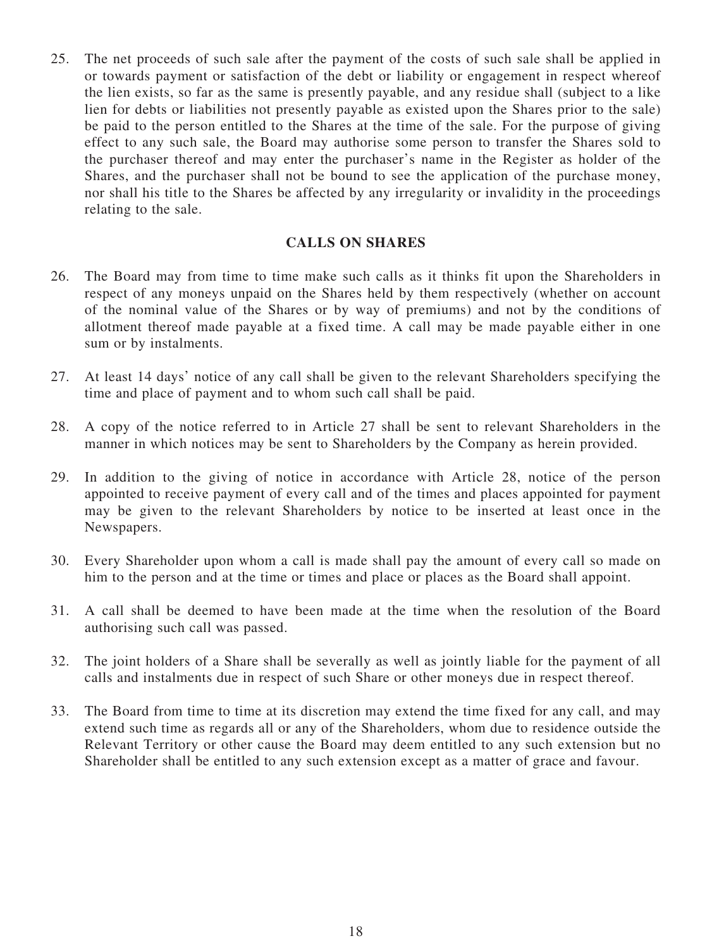25. The net proceeds of such sale after the payment of the costs of such sale shall be applied in or towards payment or satisfaction of the debt or liability or engagement in respect whereof the lien exists, so far as the same is presently payable, and any residue shall (subject to a like lien for debts or liabilities not presently payable as existed upon the Shares prior to the sale) be paid to the person entitled to the Shares at the time of the sale. For the purpose of giving effect to any such sale, the Board may authorise some person to transfer the Shares sold to the purchaser thereof and may enter the purchaser's name in the Register as holder of the Shares, and the purchaser shall not be bound to see the application of the purchase money, nor shall his title to the Shares be affected by any irregularity or invalidity in the proceedings relating to the sale.

#### **CALLS ON SHARES**

- 26. The Board may from time to time make such calls as it thinks fit upon the Shareholders in respect of any moneys unpaid on the Shares held by them respectively (whether on account of the nominal value of the Shares or by way of premiums) and not by the conditions of allotment thereof made payable at a fixed time. A call may be made payable either in one sum or by instalments.
- 27. At least 14 days' notice of any call shall be given to the relevant Shareholders specifying the time and place of payment and to whom such call shall be paid.
- 28. A copy of the notice referred to in Article 27 shall be sent to relevant Shareholders in the manner in which notices may be sent to Shareholders by the Company as herein provided.
- 29. In addition to the giving of notice in accordance with Article 28, notice of the person appointed to receive payment of every call and of the times and places appointed for payment may be given to the relevant Shareholders by notice to be inserted at least once in the Newspapers.
- 30. Every Shareholder upon whom a call is made shall pay the amount of every call so made on him to the person and at the time or times and place or places as the Board shall appoint.
- 31. A call shall be deemed to have been made at the time when the resolution of the Board authorising such call was passed.
- 32. The joint holders of a Share shall be severally as well as jointly liable for the payment of all calls and instalments due in respect of such Share or other moneys due in respect thereof.
- 33. The Board from time to time at its discretion may extend the time fixed for any call, and may extend such time as regards all or any of the Shareholders, whom due to residence outside the Relevant Territory or other cause the Board may deem entitled to any such extension but no Shareholder shall be entitled to any such extension except as a matter of grace and favour.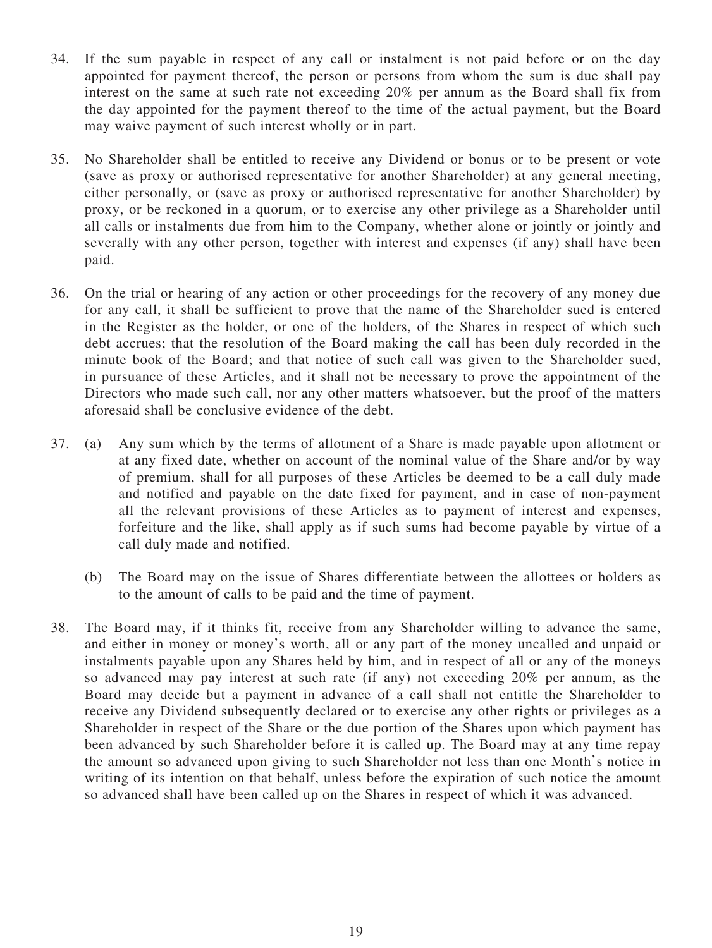- 34. If the sum payable in respect of any call or instalment is not paid before or on the day appointed for payment thereof, the person or persons from whom the sum is due shall pay interest on the same at such rate not exceeding 20% per annum as the Board shall fix from the day appointed for the payment thereof to the time of the actual payment, but the Board may waive payment of such interest wholly or in part.
- 35. No Shareholder shall be entitled to receive any Dividend or bonus or to be present or vote (save as proxy or authorised representative for another Shareholder) at any general meeting, either personally, or (save as proxy or authorised representative for another Shareholder) by proxy, or be reckoned in a quorum, or to exercise any other privilege as a Shareholder until all calls or instalments due from him to the Company, whether alone or jointly or jointly and severally with any other person, together with interest and expenses (if any) shall have been paid.
- 36. On the trial or hearing of any action or other proceedings for the recovery of any money due for any call, it shall be sufficient to prove that the name of the Shareholder sued is entered in the Register as the holder, or one of the holders, of the Shares in respect of which such debt accrues; that the resolution of the Board making the call has been duly recorded in the minute book of the Board; and that notice of such call was given to the Shareholder sued, in pursuance of these Articles, and it shall not be necessary to prove the appointment of the Directors who made such call, nor any other matters whatsoever, but the proof of the matters aforesaid shall be conclusive evidence of the debt.
- 37. (a) Any sum which by the terms of allotment of a Share is made payable upon allotment or at any fixed date, whether on account of the nominal value of the Share and/or by way of premium, shall for all purposes of these Articles be deemed to be a call duly made and notified and payable on the date fixed for payment, and in case of non-payment all the relevant provisions of these Articles as to payment of interest and expenses, forfeiture and the like, shall apply as if such sums had become payable by virtue of a call duly made and notified.
	- (b) The Board may on the issue of Shares differentiate between the allottees or holders as to the amount of calls to be paid and the time of payment.
- 38. The Board may, if it thinks fit, receive from any Shareholder willing to advance the same, and either in money or money's worth, all or any part of the money uncalled and unpaid or instalments payable upon any Shares held by him, and in respect of all or any of the moneys so advanced may pay interest at such rate (if any) not exceeding 20% per annum, as the Board may decide but a payment in advance of a call shall not entitle the Shareholder to receive any Dividend subsequently declared or to exercise any other rights or privileges as a Shareholder in respect of the Share or the due portion of the Shares upon which payment has been advanced by such Shareholder before it is called up. The Board may at any time repay the amount so advanced upon giving to such Shareholder not less than one Month's notice in writing of its intention on that behalf, unless before the expiration of such notice the amount so advanced shall have been called up on the Shares in respect of which it was advanced.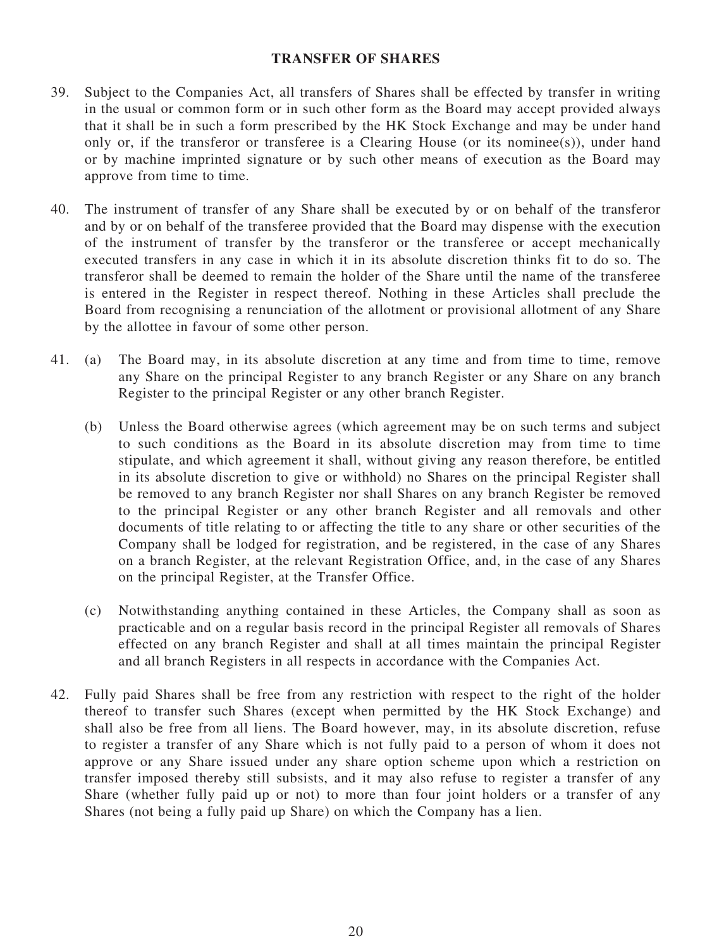# **TRANSFER OF SHARES**

- 39. Subject to the Companies Act, all transfers of Shares shall be effected by transfer in writing in the usual or common form or in such other form as the Board may accept provided always that it shall be in such a form prescribed by the HK Stock Exchange and may be under hand only or, if the transferor or transferee is a Clearing House (or its nominee(s)), under hand or by machine imprinted signature or by such other means of execution as the Board may approve from time to time.
- 40. The instrument of transfer of any Share shall be executed by or on behalf of the transferor and by or on behalf of the transferee provided that the Board may dispense with the execution of the instrument of transfer by the transferor or the transferee or accept mechanically executed transfers in any case in which it in its absolute discretion thinks fit to do so. The transferor shall be deemed to remain the holder of the Share until the name of the transferee is entered in the Register in respect thereof. Nothing in these Articles shall preclude the Board from recognising a renunciation of the allotment or provisional allotment of any Share by the allottee in favour of some other person.
- 41. (a) The Board may, in its absolute discretion at any time and from time to time, remove any Share on the principal Register to any branch Register or any Share on any branch Register to the principal Register or any other branch Register.
	- (b) Unless the Board otherwise agrees (which agreement may be on such terms and subject to such conditions as the Board in its absolute discretion may from time to time stipulate, and which agreement it shall, without giving any reason therefore, be entitled in its absolute discretion to give or withhold) no Shares on the principal Register shall be removed to any branch Register nor shall Shares on any branch Register be removed to the principal Register or any other branch Register and all removals and other documents of title relating to or affecting the title to any share or other securities of the Company shall be lodged for registration, and be registered, in the case of any Shares on a branch Register, at the relevant Registration Office, and, in the case of any Shares on the principal Register, at the Transfer Office.
	- (c) Notwithstanding anything contained in these Articles, the Company shall as soon as practicable and on a regular basis record in the principal Register all removals of Shares effected on any branch Register and shall at all times maintain the principal Register and all branch Registers in all respects in accordance with the Companies Act.
- 42. Fully paid Shares shall be free from any restriction with respect to the right of the holder thereof to transfer such Shares (except when permitted by the HK Stock Exchange) and shall also be free from all liens. The Board however, may, in its absolute discretion, refuse to register a transfer of any Share which is not fully paid to a person of whom it does not approve or any Share issued under any share option scheme upon which a restriction on transfer imposed thereby still subsists, and it may also refuse to register a transfer of any Share (whether fully paid up or not) to more than four joint holders or a transfer of any Shares (not being a fully paid up Share) on which the Company has a lien.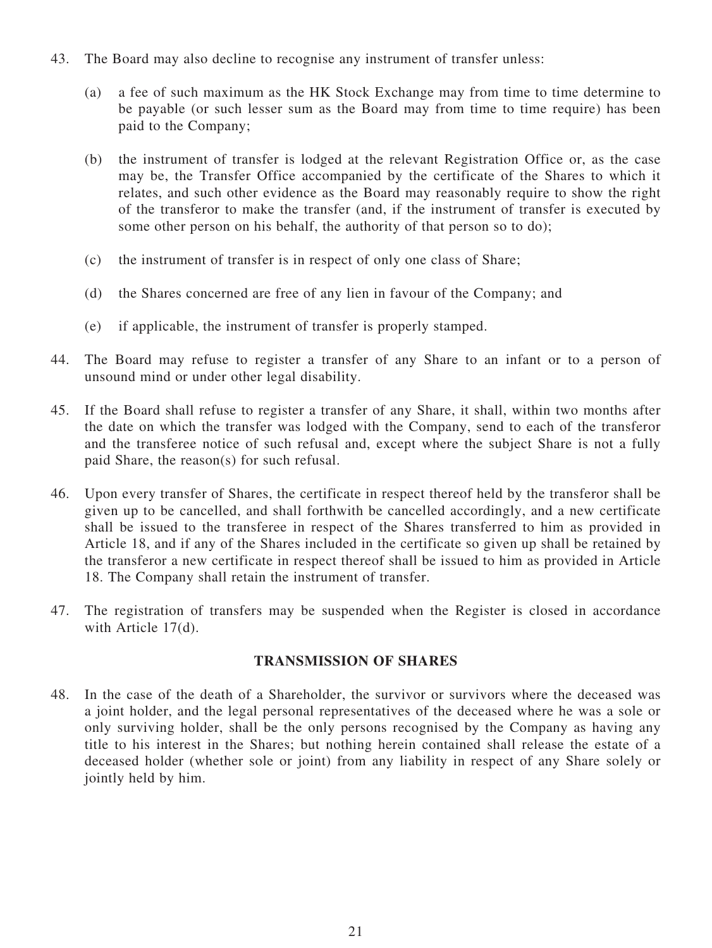- 43. The Board may also decline to recognise any instrument of transfer unless:
	- (a) a fee of such maximum as the HK Stock Exchange may from time to time determine to be payable (or such lesser sum as the Board may from time to time require) has been paid to the Company;
	- (b) the instrument of transfer is lodged at the relevant Registration Office or, as the case may be, the Transfer Office accompanied by the certificate of the Shares to which it relates, and such other evidence as the Board may reasonably require to show the right of the transferor to make the transfer (and, if the instrument of transfer is executed by some other person on his behalf, the authority of that person so to do);
	- (c) the instrument of transfer is in respect of only one class of Share;
	- (d) the Shares concerned are free of any lien in favour of the Company; and
	- (e) if applicable, the instrument of transfer is properly stamped.
- 44. The Board may refuse to register a transfer of any Share to an infant or to a person of unsound mind or under other legal disability.
- 45. If the Board shall refuse to register a transfer of any Share, it shall, within two months after the date on which the transfer was lodged with the Company, send to each of the transferor and the transferee notice of such refusal and, except where the subject Share is not a fully paid Share, the reason(s) for such refusal.
- 46. Upon every transfer of Shares, the certificate in respect thereof held by the transferor shall be given up to be cancelled, and shall forthwith be cancelled accordingly, and a new certificate shall be issued to the transferee in respect of the Shares transferred to him as provided in Article 18, and if any of the Shares included in the certificate so given up shall be retained by the transferor a new certificate in respect thereof shall be issued to him as provided in Article 18. The Company shall retain the instrument of transfer.
- 47. The registration of transfers may be suspended when the Register is closed in accordance with Article 17(d).

#### **TRANSMISSION OF SHARES**

48. In the case of the death of a Shareholder, the survivor or survivors where the deceased was a joint holder, and the legal personal representatives of the deceased where he was a sole or only surviving holder, shall be the only persons recognised by the Company as having any title to his interest in the Shares; but nothing herein contained shall release the estate of a deceased holder (whether sole or joint) from any liability in respect of any Share solely or jointly held by him.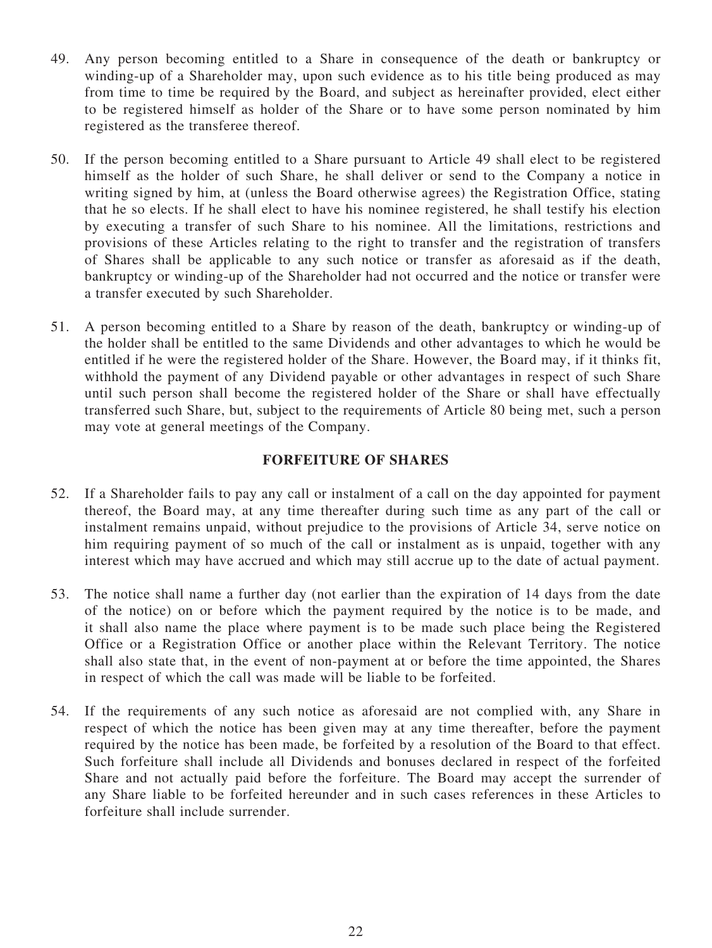- 49. Any person becoming entitled to a Share in consequence of the death or bankruptcy or winding-up of a Shareholder may, upon such evidence as to his title being produced as may from time to time be required by the Board, and subject as hereinafter provided, elect either to be registered himself as holder of the Share or to have some person nominated by him registered as the transferee thereof.
- 50. If the person becoming entitled to a Share pursuant to Article 49 shall elect to be registered himself as the holder of such Share, he shall deliver or send to the Company a notice in writing signed by him, at (unless the Board otherwise agrees) the Registration Office, stating that he so elects. If he shall elect to have his nominee registered, he shall testify his election by executing a transfer of such Share to his nominee. All the limitations, restrictions and provisions of these Articles relating to the right to transfer and the registration of transfers of Shares shall be applicable to any such notice or transfer as aforesaid as if the death, bankruptcy or winding-up of the Shareholder had not occurred and the notice or transfer were a transfer executed by such Shareholder.
- 51. A person becoming entitled to a Share by reason of the death, bankruptcy or winding-up of the holder shall be entitled to the same Dividends and other advantages to which he would be entitled if he were the registered holder of the Share. However, the Board may, if it thinks fit, withhold the payment of any Dividend payable or other advantages in respect of such Share until such person shall become the registered holder of the Share or shall have effectually transferred such Share, but, subject to the requirements of Article 80 being met, such a person may vote at general meetings of the Company.

# **FORFEITURE OF SHARES**

- 52. If a Shareholder fails to pay any call or instalment of a call on the day appointed for payment thereof, the Board may, at any time thereafter during such time as any part of the call or instalment remains unpaid, without prejudice to the provisions of Article 34, serve notice on him requiring payment of so much of the call or instalment as is unpaid, together with any interest which may have accrued and which may still accrue up to the date of actual payment.
- 53. The notice shall name a further day (not earlier than the expiration of 14 days from the date of the notice) on or before which the payment required by the notice is to be made, and it shall also name the place where payment is to be made such place being the Registered Office or a Registration Office or another place within the Relevant Territory. The notice shall also state that, in the event of non-payment at or before the time appointed, the Shares in respect of which the call was made will be liable to be forfeited.
- 54. If the requirements of any such notice as aforesaid are not complied with, any Share in respect of which the notice has been given may at any time thereafter, before the payment required by the notice has been made, be forfeited by a resolution of the Board to that effect. Such forfeiture shall include all Dividends and bonuses declared in respect of the forfeited Share and not actually paid before the forfeiture. The Board may accept the surrender of any Share liable to be forfeited hereunder and in such cases references in these Articles to forfeiture shall include surrender.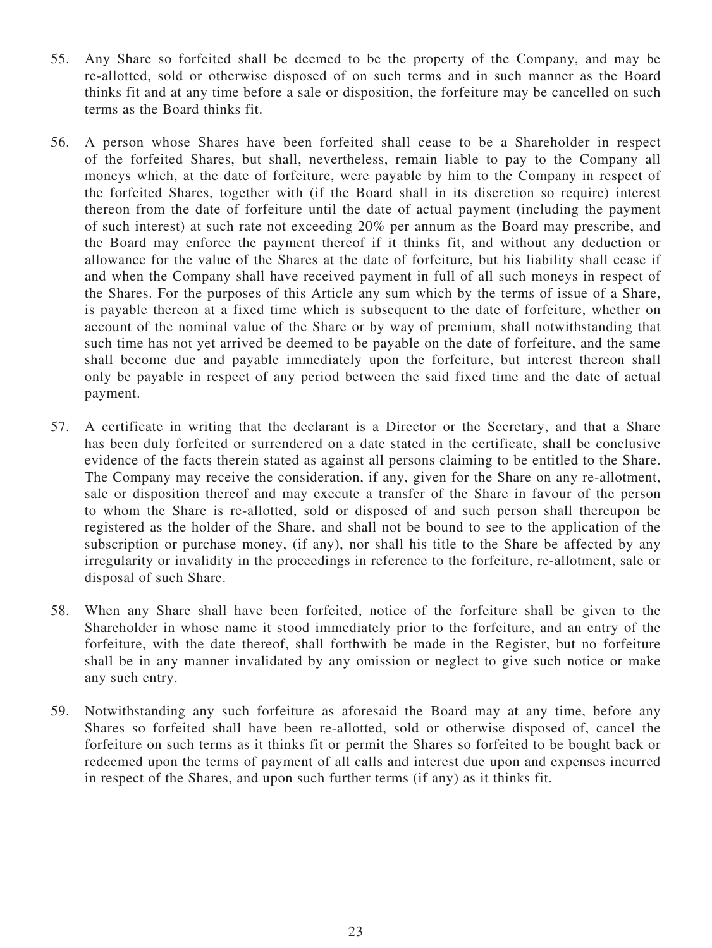- 55. Any Share so forfeited shall be deemed to be the property of the Company, and may be re-allotted, sold or otherwise disposed of on such terms and in such manner as the Board thinks fit and at any time before a sale or disposition, the forfeiture may be cancelled on such terms as the Board thinks fit.
- 56. A person whose Shares have been forfeited shall cease to be a Shareholder in respect of the forfeited Shares, but shall, nevertheless, remain liable to pay to the Company all moneys which, at the date of forfeiture, were payable by him to the Company in respect of the forfeited Shares, together with (if the Board shall in its discretion so require) interest thereon from the date of forfeiture until the date of actual payment (including the payment of such interest) at such rate not exceeding 20% per annum as the Board may prescribe, and the Board may enforce the payment thereof if it thinks fit, and without any deduction or allowance for the value of the Shares at the date of forfeiture, but his liability shall cease if and when the Company shall have received payment in full of all such moneys in respect of the Shares. For the purposes of this Article any sum which by the terms of issue of a Share, is payable thereon at a fixed time which is subsequent to the date of forfeiture, whether on account of the nominal value of the Share or by way of premium, shall notwithstanding that such time has not yet arrived be deemed to be payable on the date of forfeiture, and the same shall become due and payable immediately upon the forfeiture, but interest thereon shall only be payable in respect of any period between the said fixed time and the date of actual payment.
- 57. A certificate in writing that the declarant is a Director or the Secretary, and that a Share has been duly forfeited or surrendered on a date stated in the certificate, shall be conclusive evidence of the facts therein stated as against all persons claiming to be entitled to the Share. The Company may receive the consideration, if any, given for the Share on any re-allotment, sale or disposition thereof and may execute a transfer of the Share in favour of the person to whom the Share is re-allotted, sold or disposed of and such person shall thereupon be registered as the holder of the Share, and shall not be bound to see to the application of the subscription or purchase money, (if any), nor shall his title to the Share be affected by any irregularity or invalidity in the proceedings in reference to the forfeiture, re-allotment, sale or disposal of such Share.
- 58. When any Share shall have been forfeited, notice of the forfeiture shall be given to the Shareholder in whose name it stood immediately prior to the forfeiture, and an entry of the forfeiture, with the date thereof, shall forthwith be made in the Register, but no forfeiture shall be in any manner invalidated by any omission or neglect to give such notice or make any such entry.
- 59. Notwithstanding any such forfeiture as aforesaid the Board may at any time, before any Shares so forfeited shall have been re-allotted, sold or otherwise disposed of, cancel the forfeiture on such terms as it thinks fit or permit the Shares so forfeited to be bought back or redeemed upon the terms of payment of all calls and interest due upon and expenses incurred in respect of the Shares, and upon such further terms (if any) as it thinks fit.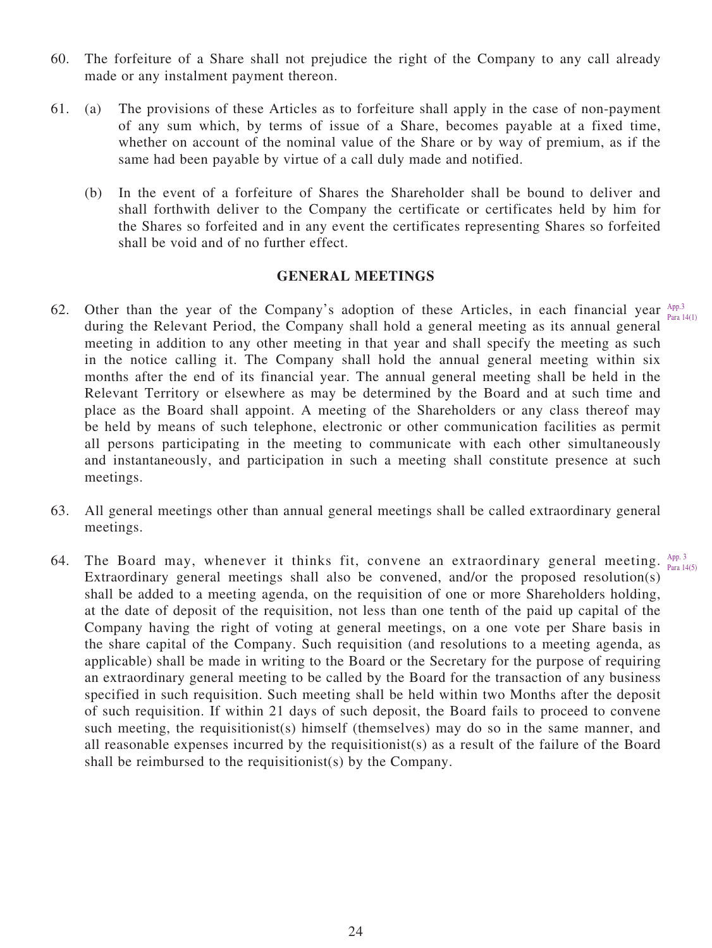- 60. The forfeiture of a Share shall not prejudice the right of the Company to any call already made or any instalment payment thereon.
- 61. (a) The provisions of these Articles as to forfeiture shall apply in the case of non-payment of any sum which, by terms of issue of a Share, becomes payable at a fixed time, whether on account of the nominal value of the Share or by way of premium, as if the same had been payable by virtue of a call duly made and notified.
	- (b) In the event of a forfeiture of Shares the Shareholder shall be bound to deliver and shall forthwith deliver to the Company the certificate or certificates held by him for the Shares so forfeited and in any event the certificates representing Shares so forfeited shall be void and of no further effect.

# **GENERAL MEETINGS**

- 62. Other than the year of the Company's adoption of these Articles, in each financial year  $A_{PP,3}^{App.3}$ during the Relevant Period, the Company shall hold a general meeting as its annual general meeting in addition to any other meeting in that year and shall specify the meeting as such in the notice calling it. The Company shall hold the annual general meeting within six months after the end of its financial year. The annual general meeting shall be held in the Relevant Territory or elsewhere as may be determined by the Board and at such time and place as the Board shall appoint. A meeting of the Shareholders or any class thereof may be held by means of such telephone, electronic or other communication facilities as permit all persons participating in the meeting to communicate with each other simultaneously and instantaneously, and participation in such a meeting shall constitute presence at such meetings. Para 14(1)
- 63. All general meetings other than annual general meetings shall be called extraordinary general meetings.
- 64. The Board may, whenever it thinks fit, convene an extraordinary general meeting.  $A_{\text{p},\text{p}}$ Extraordinary general meetings shall also be convened, and/or the proposed resolution(s) shall be added to a meeting agenda, on the requisition of one or more Shareholders holding, at the date of deposit of the requisition, not less than one tenth of the paid up capital of the Company having the right of voting at general meetings, on a one vote per Share basis in the share capital of the Company. Such requisition (and resolutions to a meeting agenda, as applicable) shall be made in writing to the Board or the Secretary for the purpose of requiring an extraordinary general meeting to be called by the Board for the transaction of any business specified in such requisition. Such meeting shall be held within two Months after the deposit of such requisition. If within 21 days of such deposit, the Board fails to proceed to convene such meeting, the requisitionist(s) himself (themselves) may do so in the same manner, and all reasonable expenses incurred by the requisitionist(s) as a result of the failure of the Board shall be reimbursed to the requisitionist(s) by the Company. Para 14(5)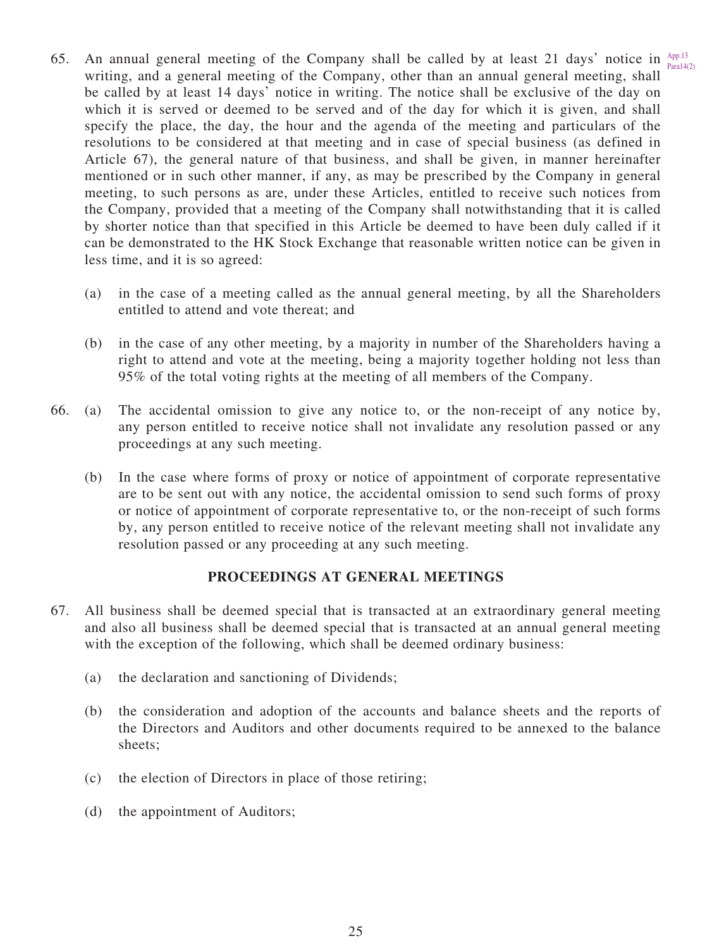- 65. An annual general meeting of the Company shall be called by at least 21 days' notice in  $A_{\text{post}}^{A\text{pp},13}$ writing, and a general meeting of the Company, other than an annual general meeting, shall be called by at least 14 days' notice in writing. The notice shall be exclusive of the day on which it is served or deemed to be served and of the day for which it is given, and shall specify the place, the day, the hour and the agenda of the meeting and particulars of the resolutions to be considered at that meeting and in case of special business (as defined in Article 67), the general nature of that business, and shall be given, in manner hereinafter mentioned or in such other manner, if any, as may be prescribed by the Company in general meeting, to such persons as are, under these Articles, entitled to receive such notices from the Company, provided that a meeting of the Company shall notwithstanding that it is called by shorter notice than that specified in this Article be deemed to have been duly called if it can be demonstrated to the HK Stock Exchange that reasonable written notice can be given in less time, and it is so agreed:  $Para14(2)$ 
	- (a) in the case of a meeting called as the annual general meeting, by all the Shareholders entitled to attend and vote thereat; and
	- (b) in the case of any other meeting, by a majority in number of the Shareholders having a right to attend and vote at the meeting, being a majority together holding not less than 95% of the total voting rights at the meeting of all members of the Company.
- 66. (a) The accidental omission to give any notice to, or the non-receipt of any notice by, any person entitled to receive notice shall not invalidate any resolution passed or any proceedings at any such meeting.
	- (b) In the case where forms of proxy or notice of appointment of corporate representative are to be sent out with any notice, the accidental omission to send such forms of proxy or notice of appointment of corporate representative to, or the non-receipt of such forms by, any person entitled to receive notice of the relevant meeting shall not invalidate any resolution passed or any proceeding at any such meeting.

#### **PROCEEDINGS AT GENERAL MEETINGS**

- 67. All business shall be deemed special that is transacted at an extraordinary general meeting and also all business shall be deemed special that is transacted at an annual general meeting with the exception of the following, which shall be deemed ordinary business:
	- (a) the declaration and sanctioning of Dividends;
	- (b) the consideration and adoption of the accounts and balance sheets and the reports of the Directors and Auditors and other documents required to be annexed to the balance sheets;
	- (c) the election of Directors in place of those retiring;
	- (d) the appointment of Auditors;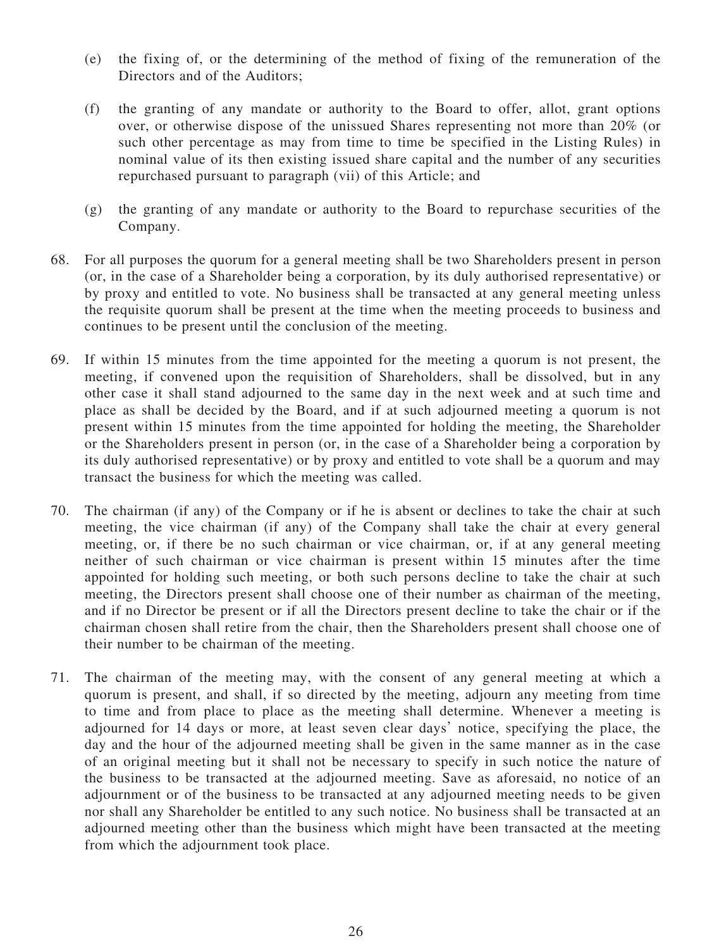- (e) the fixing of, or the determining of the method of fixing of the remuneration of the Directors and of the Auditors;
- (f) the granting of any mandate or authority to the Board to offer, allot, grant options over, or otherwise dispose of the unissued Shares representing not more than 20% (or such other percentage as may from time to time be specified in the Listing Rules) in nominal value of its then existing issued share capital and the number of any securities repurchased pursuant to paragraph (vii) of this Article; and
- (g) the granting of any mandate or authority to the Board to repurchase securities of the Company.
- 68. For all purposes the quorum for a general meeting shall be two Shareholders present in person (or, in the case of a Shareholder being a corporation, by its duly authorised representative) or by proxy and entitled to vote. No business shall be transacted at any general meeting unless the requisite quorum shall be present at the time when the meeting proceeds to business and continues to be present until the conclusion of the meeting.
- 69. If within 15 minutes from the time appointed for the meeting a quorum is not present, the meeting, if convened upon the requisition of Shareholders, shall be dissolved, but in any other case it shall stand adjourned to the same day in the next week and at such time and place as shall be decided by the Board, and if at such adjourned meeting a quorum is not present within 15 minutes from the time appointed for holding the meeting, the Shareholder or the Shareholders present in person (or, in the case of a Shareholder being a corporation by its duly authorised representative) or by proxy and entitled to vote shall be a quorum and may transact the business for which the meeting was called.
- 70. The chairman (if any) of the Company or if he is absent or declines to take the chair at such meeting, the vice chairman (if any) of the Company shall take the chair at every general meeting, or, if there be no such chairman or vice chairman, or, if at any general meeting neither of such chairman or vice chairman is present within 15 minutes after the time appointed for holding such meeting, or both such persons decline to take the chair at such meeting, the Directors present shall choose one of their number as chairman of the meeting, and if no Director be present or if all the Directors present decline to take the chair or if the chairman chosen shall retire from the chair, then the Shareholders present shall choose one of their number to be chairman of the meeting.
- 71. The chairman of the meeting may, with the consent of any general meeting at which a quorum is present, and shall, if so directed by the meeting, adjourn any meeting from time to time and from place to place as the meeting shall determine. Whenever a meeting is adjourned for 14 days or more, at least seven clear days' notice, specifying the place, the day and the hour of the adjourned meeting shall be given in the same manner as in the case of an original meeting but it shall not be necessary to specify in such notice the nature of the business to be transacted at the adjourned meeting. Save as aforesaid, no notice of an adjournment or of the business to be transacted at any adjourned meeting needs to be given nor shall any Shareholder be entitled to any such notice. No business shall be transacted at an adjourned meeting other than the business which might have been transacted at the meeting from which the adjournment took place.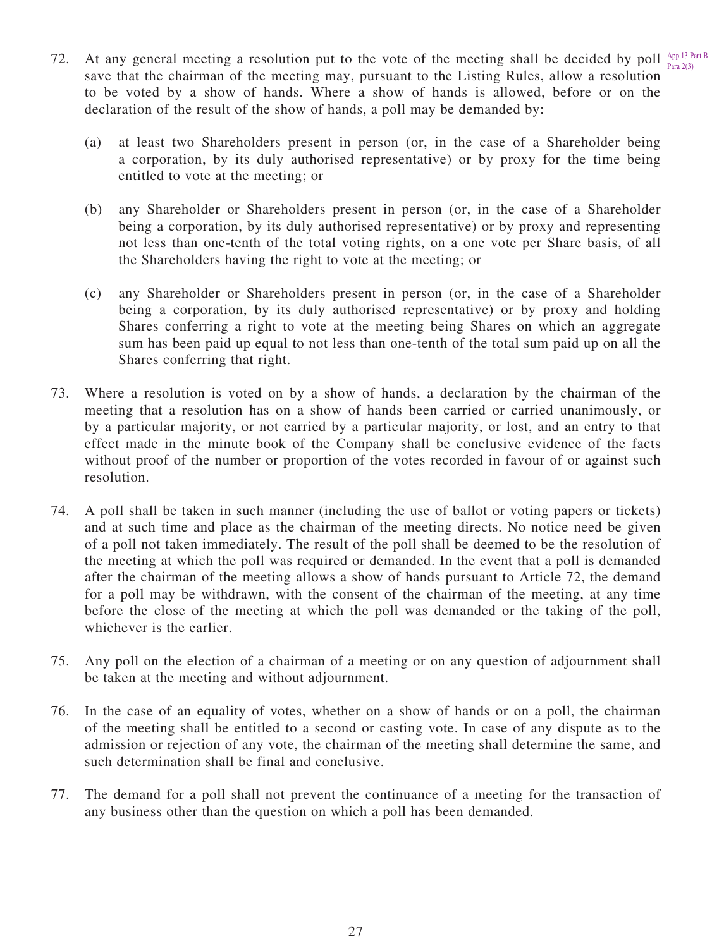- 72. At any general meeting a resolution put to the vote of the meeting shall be decided by poll  $A_{PP,13}^{App,13}$  Part B save that the chairman of the meeting may, pursuant to the Listing Rules, allow a resolution to be voted by a show of hands. Where a show of hands is allowed, before or on the declaration of the result of the show of hands, a poll may be demanded by: Para 2(3)
	- (a) at least two Shareholders present in person (or, in the case of a Shareholder being a corporation, by its duly authorised representative) or by proxy for the time being entitled to vote at the meeting; or
	- (b) any Shareholder or Shareholders present in person (or, in the case of a Shareholder being a corporation, by its duly authorised representative) or by proxy and representing not less than one-tenth of the total voting rights, on a one vote per Share basis, of all the Shareholders having the right to vote at the meeting; or
	- (c) any Shareholder or Shareholders present in person (or, in the case of a Shareholder being a corporation, by its duly authorised representative) or by proxy and holding Shares conferring a right to vote at the meeting being Shares on which an aggregate sum has been paid up equal to not less than one-tenth of the total sum paid up on all the Shares conferring that right.
- 73. Where a resolution is voted on by a show of hands, a declaration by the chairman of the meeting that a resolution has on a show of hands been carried or carried unanimously, or by a particular majority, or not carried by a particular majority, or lost, and an entry to that effect made in the minute book of the Company shall be conclusive evidence of the facts without proof of the number or proportion of the votes recorded in favour of or against such resolution.
- 74. A poll shall be taken in such manner (including the use of ballot or voting papers or tickets) and at such time and place as the chairman of the meeting directs. No notice need be given of a poll not taken immediately. The result of the poll shall be deemed to be the resolution of the meeting at which the poll was required or demanded. In the event that a poll is demanded after the chairman of the meeting allows a show of hands pursuant to Article 72, the demand for a poll may be withdrawn, with the consent of the chairman of the meeting, at any time before the close of the meeting at which the poll was demanded or the taking of the poll, whichever is the earlier.
- 75. Any poll on the election of a chairman of a meeting or on any question of adjournment shall be taken at the meeting and without adjournment.
- 76. In the case of an equality of votes, whether on a show of hands or on a poll, the chairman of the meeting shall be entitled to a second or casting vote. In case of any dispute as to the admission or rejection of any vote, the chairman of the meeting shall determine the same, and such determination shall be final and conclusive.
- 77. The demand for a poll shall not prevent the continuance of a meeting for the transaction of any business other than the question on which a poll has been demanded.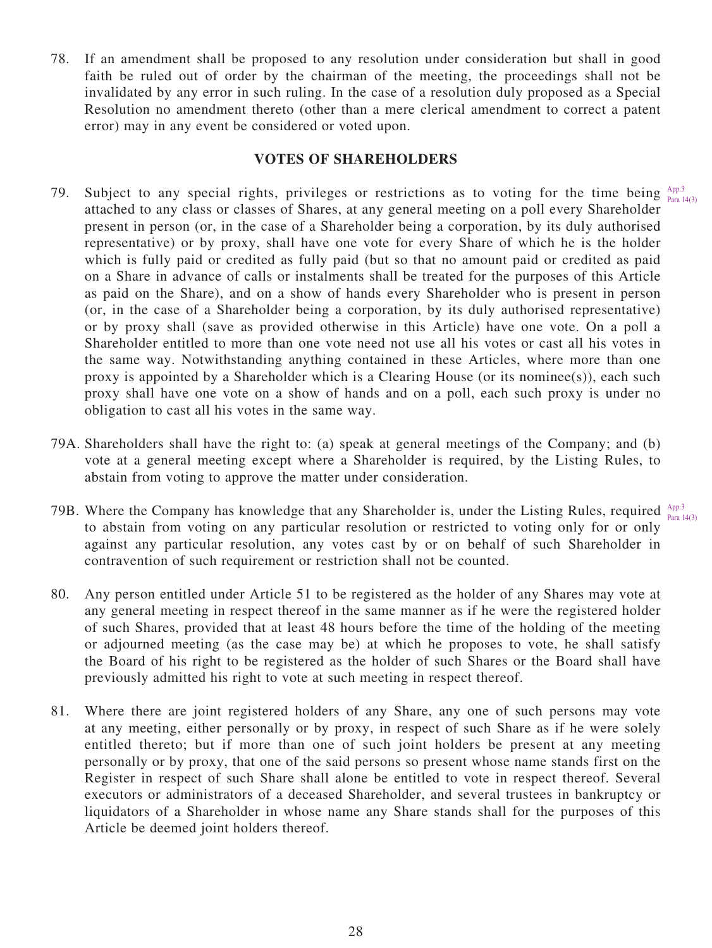78. If an amendment shall be proposed to any resolution under consideration but shall in good faith be ruled out of order by the chairman of the meeting, the proceedings shall not be invalidated by any error in such ruling. In the case of a resolution duly proposed as a Special Resolution no amendment thereto (other than a mere clerical amendment to correct a patent error) may in any event be considered or voted upon.

#### **VOTES OF SHAREHOLDERS**

- 79. Subject to any special rights, privileges or restrictions as to voting for the time being  $A_{pp,3}^{App.3}$ attached to any class or classes of Shares, at any general meeting on a poll every Shareholder present in person (or, in the case of a Shareholder being a corporation, by its duly authorised representative) or by proxy, shall have one vote for every Share of which he is the holder which is fully paid or credited as fully paid (but so that no amount paid or credited as paid on a Share in advance of calls or instalments shall be treated for the purposes of this Article as paid on the Share), and on a show of hands every Shareholder who is present in person (or, in the case of a Shareholder being a corporation, by its duly authorised representative) or by proxy shall (save as provided otherwise in this Article) have one vote. On a poll a Shareholder entitled to more than one vote need not use all his votes or cast all his votes in the same way. Notwithstanding anything contained in these Articles, where more than one proxy is appointed by a Shareholder which is a Clearing House (or its nominee(s)), each such proxy shall have one vote on a show of hands and on a poll, each such proxy is under no obligation to cast all his votes in the same way. Para 14(3)
- 79A. Shareholders shall have the right to: (a) speak at general meetings of the Company; and (b) vote at a general meeting except where a Shareholder is required, by the Listing Rules, to abstain from voting to approve the matter under consideration.
- 79B. Where the Company has knowledge that any Shareholder is, under the Listing Rules, required  $A_{pp,sub}^{App.3}$ to abstain from voting on any particular resolution or restricted to voting only for or only against any particular resolution, any votes cast by or on behalf of such Shareholder in contravention of such requirement or restriction shall not be counted. Para 14(3)
- 80. Any person entitled under Article 51 to be registered as the holder of any Shares may vote at any general meeting in respect thereof in the same manner as if he were the registered holder of such Shares, provided that at least 48 hours before the time of the holding of the meeting or adjourned meeting (as the case may be) at which he proposes to vote, he shall satisfy the Board of his right to be registered as the holder of such Shares or the Board shall have previously admitted his right to vote at such meeting in respect thereof.
- 81. Where there are joint registered holders of any Share, any one of such persons may vote at any meeting, either personally or by proxy, in respect of such Share as if he were solely entitled thereto; but if more than one of such joint holders be present at any meeting personally or by proxy, that one of the said persons so present whose name stands first on the Register in respect of such Share shall alone be entitled to vote in respect thereof. Several executors or administrators of a deceased Shareholder, and several trustees in bankruptcy or liquidators of a Shareholder in whose name any Share stands shall for the purposes of this Article be deemed joint holders thereof.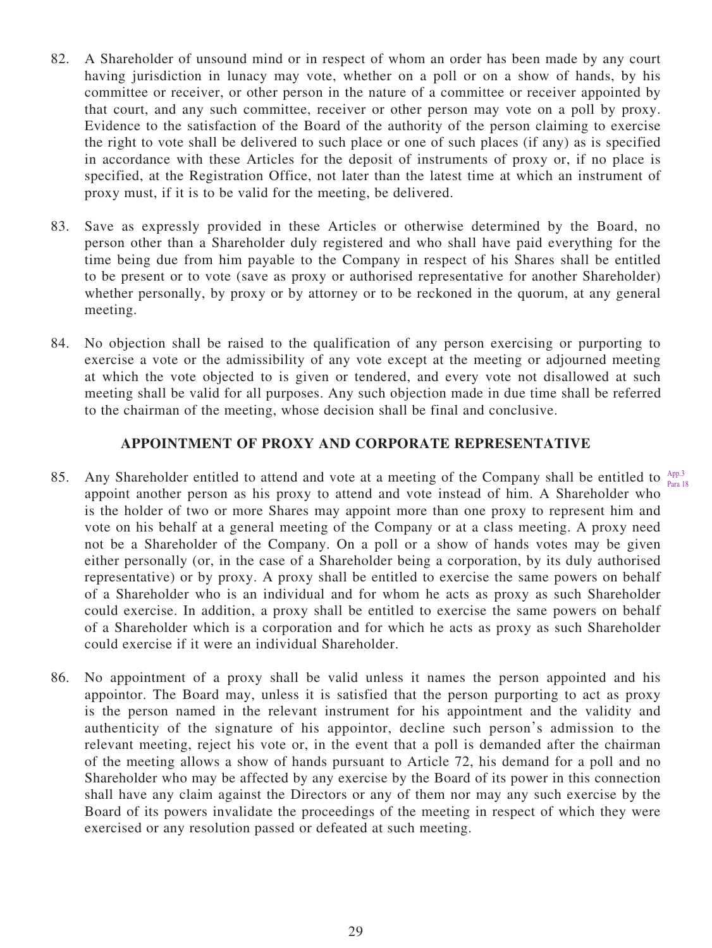- 82. A Shareholder of unsound mind or in respect of whom an order has been made by any court having jurisdiction in lunacy may vote, whether on a poll or on a show of hands, by his committee or receiver, or other person in the nature of a committee or receiver appointed by that court, and any such committee, receiver or other person may vote on a poll by proxy. Evidence to the satisfaction of the Board of the authority of the person claiming to exercise the right to vote shall be delivered to such place or one of such places (if any) as is specified in accordance with these Articles for the deposit of instruments of proxy or, if no place is specified, at the Registration Office, not later than the latest time at which an instrument of proxy must, if it is to be valid for the meeting, be delivered.
- 83. Save as expressly provided in these Articles or otherwise determined by the Board, no person other than a Shareholder duly registered and who shall have paid everything for the time being due from him payable to the Company in respect of his Shares shall be entitled to be present or to vote (save as proxy or authorised representative for another Shareholder) whether personally, by proxy or by attorney or to be reckoned in the quorum, at any general meeting.
- 84. No objection shall be raised to the qualification of any person exercising or purporting to exercise a vote or the admissibility of any vote except at the meeting or adjourned meeting at which the vote objected to is given or tendered, and every vote not disallowed at such meeting shall be valid for all purposes. Any such objection made in due time shall be referred to the chairman of the meeting, whose decision shall be final and conclusive.

# **APPOINTMENT OF PROXY AND CORPORATE REPRESENTATIVE**

- 85. Any Shareholder entitled to attend and vote at a meeting of the Company shall be entitled to  $A_{pp,3}^{App.3}$ appoint another person as his proxy to attend and vote instead of him. A Shareholder who is the holder of two or more Shares may appoint more than one proxy to represent him and vote on his behalf at a general meeting of the Company or at a class meeting. A proxy need not be a Shareholder of the Company. On a poll or a show of hands votes may be given either personally (or, in the case of a Shareholder being a corporation, by its duly authorised representative) or by proxy. A proxy shall be entitled to exercise the same powers on behalf of a Shareholder who is an individual and for whom he acts as proxy as such Shareholder could exercise. In addition, a proxy shall be entitled to exercise the same powers on behalf of a Shareholder which is a corporation and for which he acts as proxy as such Shareholder could exercise if it were an individual Shareholder. Para 18
- 86. No appointment of a proxy shall be valid unless it names the person appointed and his appointor. The Board may, unless it is satisfied that the person purporting to act as proxy is the person named in the relevant instrument for his appointment and the validity and authenticity of the signature of his appointor, decline such person's admission to the relevant meeting, reject his vote or, in the event that a poll is demanded after the chairman of the meeting allows a show of hands pursuant to Article 72, his demand for a poll and no Shareholder who may be affected by any exercise by the Board of its power in this connection shall have any claim against the Directors or any of them nor may any such exercise by the Board of its powers invalidate the proceedings of the meeting in respect of which they were exercised or any resolution passed or defeated at such meeting.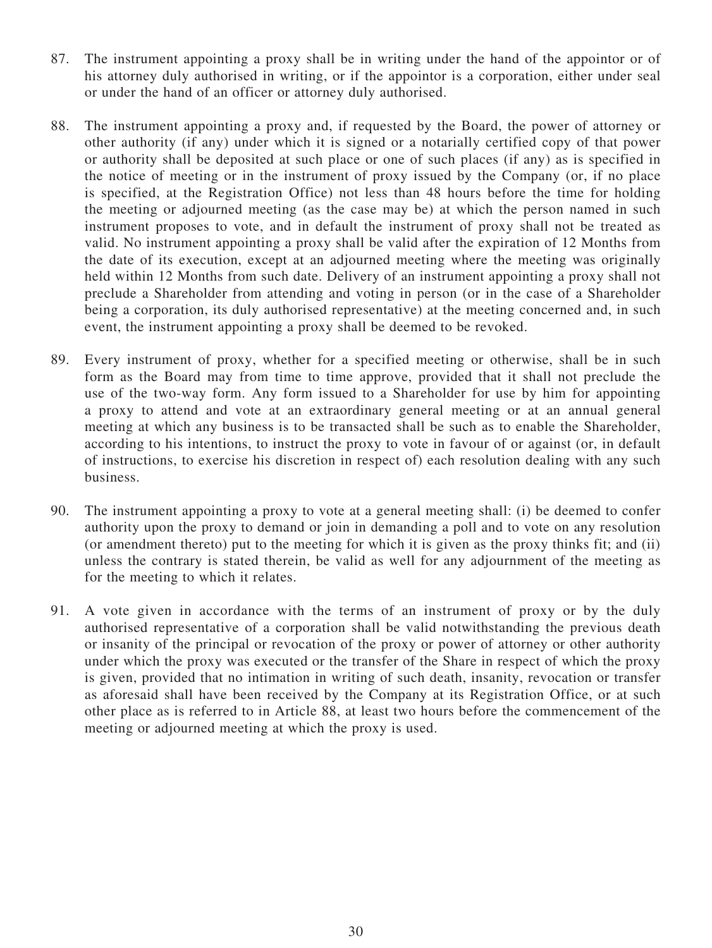- 87. The instrument appointing a proxy shall be in writing under the hand of the appointor or of his attorney duly authorised in writing, or if the appointor is a corporation, either under seal or under the hand of an officer or attorney duly authorised.
- 88. The instrument appointing a proxy and, if requested by the Board, the power of attorney or other authority (if any) under which it is signed or a notarially certified copy of that power or authority shall be deposited at such place or one of such places (if any) as is specified in the notice of meeting or in the instrument of proxy issued by the Company (or, if no place is specified, at the Registration Office) not less than 48 hours before the time for holding the meeting or adjourned meeting (as the case may be) at which the person named in such instrument proposes to vote, and in default the instrument of proxy shall not be treated as valid. No instrument appointing a proxy shall be valid after the expiration of 12 Months from the date of its execution, except at an adjourned meeting where the meeting was originally held within 12 Months from such date. Delivery of an instrument appointing a proxy shall not preclude a Shareholder from attending and voting in person (or in the case of a Shareholder being a corporation, its duly authorised representative) at the meeting concerned and, in such event, the instrument appointing a proxy shall be deemed to be revoked.
- 89. Every instrument of proxy, whether for a specified meeting or otherwise, shall be in such form as the Board may from time to time approve, provided that it shall not preclude the use of the two-way form. Any form issued to a Shareholder for use by him for appointing a proxy to attend and vote at an extraordinary general meeting or at an annual general meeting at which any business is to be transacted shall be such as to enable the Shareholder, according to his intentions, to instruct the proxy to vote in favour of or against (or, in default of instructions, to exercise his discretion in respect of) each resolution dealing with any such business.
- 90. The instrument appointing a proxy to vote at a general meeting shall: (i) be deemed to confer authority upon the proxy to demand or join in demanding a poll and to vote on any resolution (or amendment thereto) put to the meeting for which it is given as the proxy thinks fit; and (ii) unless the contrary is stated therein, be valid as well for any adjournment of the meeting as for the meeting to which it relates.
- 91. A vote given in accordance with the terms of an instrument of proxy or by the duly authorised representative of a corporation shall be valid notwithstanding the previous death or insanity of the principal or revocation of the proxy or power of attorney or other authority under which the proxy was executed or the transfer of the Share in respect of which the proxy is given, provided that no intimation in writing of such death, insanity, revocation or transfer as aforesaid shall have been received by the Company at its Registration Office, or at such other place as is referred to in Article 88, at least two hours before the commencement of the meeting or adjourned meeting at which the proxy is used.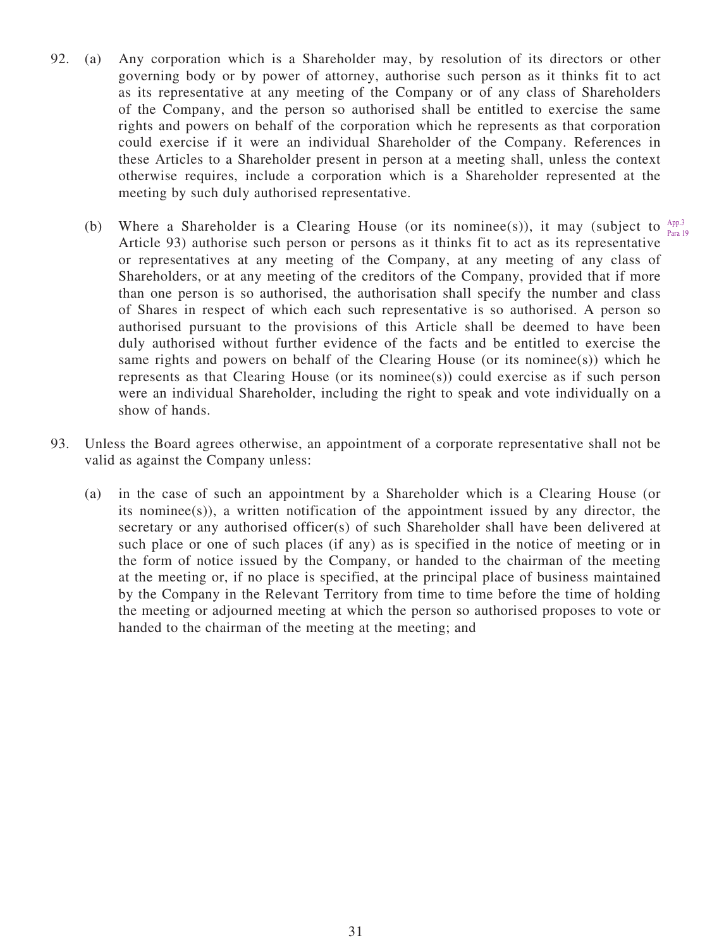- 92. (a) Any corporation which is a Shareholder may, by resolution of its directors or other governing body or by power of attorney, authorise such person as it thinks fit to act as its representative at any meeting of the Company or of any class of Shareholders of the Company, and the person so authorised shall be entitled to exercise the same rights and powers on behalf of the corporation which he represents as that corporation could exercise if it were an individual Shareholder of the Company. References in these Articles to a Shareholder present in person at a meeting shall, unless the context otherwise requires, include a corporation which is a Shareholder represented at the meeting by such duly authorised representative.
	- (b) Where a Shareholder is a Clearing House (or its nominee(s)), it may (subject to  $A_{pp,3}^{App.3}$ Article 93) authorise such person or persons as it thinks fit to act as its representative or representatives at any meeting of the Company, at any meeting of any class of Shareholders, or at any meeting of the creditors of the Company, provided that if more than one person is so authorised, the authorisation shall specify the number and class of Shares in respect of which each such representative is so authorised. A person so authorised pursuant to the provisions of this Article shall be deemed to have been duly authorised without further evidence of the facts and be entitled to exercise the same rights and powers on behalf of the Clearing House (or its nominee(s)) which he represents as that Clearing House (or its nominee(s)) could exercise as if such person were an individual Shareholder, including the right to speak and vote individually on a show of hands. Para 19
- 93. Unless the Board agrees otherwise, an appointment of a corporate representative shall not be valid as against the Company unless:
	- (a) in the case of such an appointment by a Shareholder which is a Clearing House (or its nominee(s)), a written notification of the appointment issued by any director, the secretary or any authorised officer(s) of such Shareholder shall have been delivered at such place or one of such places (if any) as is specified in the notice of meeting or in the form of notice issued by the Company, or handed to the chairman of the meeting at the meeting or, if no place is specified, at the principal place of business maintained by the Company in the Relevant Territory from time to time before the time of holding the meeting or adjourned meeting at which the person so authorised proposes to vote or handed to the chairman of the meeting at the meeting; and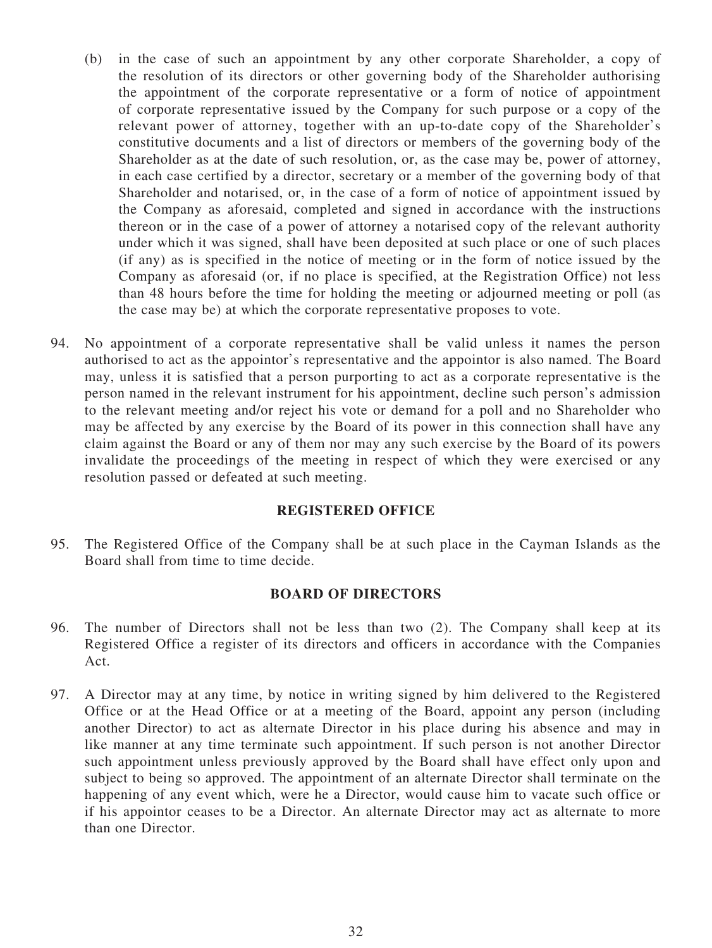- (b) in the case of such an appointment by any other corporate Shareholder, a copy of the resolution of its directors or other governing body of the Shareholder authorising the appointment of the corporate representative or a form of notice of appointment of corporate representative issued by the Company for such purpose or a copy of the relevant power of attorney, together with an up-to-date copy of the Shareholder's constitutive documents and a list of directors or members of the governing body of the Shareholder as at the date of such resolution, or, as the case may be, power of attorney, in each case certified by a director, secretary or a member of the governing body of that Shareholder and notarised, or, in the case of a form of notice of appointment issued by the Company as aforesaid, completed and signed in accordance with the instructions thereon or in the case of a power of attorney a notarised copy of the relevant authority under which it was signed, shall have been deposited at such place or one of such places (if any) as is specified in the notice of meeting or in the form of notice issued by the Company as aforesaid (or, if no place is specified, at the Registration Office) not less than 48 hours before the time for holding the meeting or adjourned meeting or poll (as the case may be) at which the corporate representative proposes to vote.
- 94. No appointment of a corporate representative shall be valid unless it names the person authorised to act as the appointor's representative and the appointor is also named. The Board may, unless it is satisfied that a person purporting to act as a corporate representative is the person named in the relevant instrument for his appointment, decline such person's admission to the relevant meeting and/or reject his vote or demand for a poll and no Shareholder who may be affected by any exercise by the Board of its power in this connection shall have any claim against the Board or any of them nor may any such exercise by the Board of its powers invalidate the proceedings of the meeting in respect of which they were exercised or any resolution passed or defeated at such meeting.

#### **REGISTERED OFFICE**

95. The Registered Office of the Company shall be at such place in the Cayman Islands as the Board shall from time to time decide.

#### **BOARD OF DIRECTORS**

- 96. The number of Directors shall not be less than two (2). The Company shall keep at its Registered Office a register of its directors and officers in accordance with the Companies Act.
- 97. A Director may at any time, by notice in writing signed by him delivered to the Registered Office or at the Head Office or at a meeting of the Board, appoint any person (including another Director) to act as alternate Director in his place during his absence and may in like manner at any time terminate such appointment. If such person is not another Director such appointment unless previously approved by the Board shall have effect only upon and subject to being so approved. The appointment of an alternate Director shall terminate on the happening of any event which, were he a Director, would cause him to vacate such office or if his appointor ceases to be a Director. An alternate Director may act as alternate to more than one Director.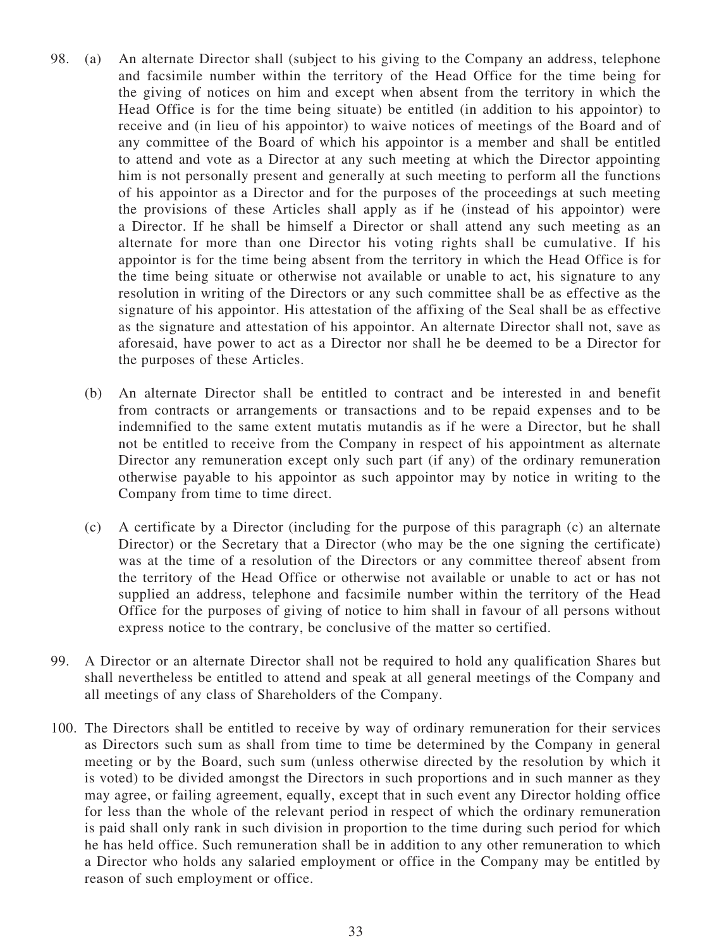- 98. (a) An alternate Director shall (subject to his giving to the Company an address, telephone and facsimile number within the territory of the Head Office for the time being for the giving of notices on him and except when absent from the territory in which the Head Office is for the time being situate) be entitled (in addition to his appointor) to receive and (in lieu of his appointor) to waive notices of meetings of the Board and of any committee of the Board of which his appointor is a member and shall be entitled to attend and vote as a Director at any such meeting at which the Director appointing him is not personally present and generally at such meeting to perform all the functions of his appointor as a Director and for the purposes of the proceedings at such meeting the provisions of these Articles shall apply as if he (instead of his appointor) were a Director. If he shall be himself a Director or shall attend any such meeting as an alternate for more than one Director his voting rights shall be cumulative. If his appointor is for the time being absent from the territory in which the Head Office is for the time being situate or otherwise not available or unable to act, his signature to any resolution in writing of the Directors or any such committee shall be as effective as the signature of his appointor. His attestation of the affixing of the Seal shall be as effective as the signature and attestation of his appointor. An alternate Director shall not, save as aforesaid, have power to act as a Director nor shall he be deemed to be a Director for the purposes of these Articles.
	- (b) An alternate Director shall be entitled to contract and be interested in and benefit from contracts or arrangements or transactions and to be repaid expenses and to be indemnified to the same extent mutatis mutandis as if he were a Director, but he shall not be entitled to receive from the Company in respect of his appointment as alternate Director any remuneration except only such part (if any) of the ordinary remuneration otherwise payable to his appointor as such appointor may by notice in writing to the Company from time to time direct.
	- (c) A certificate by a Director (including for the purpose of this paragraph (c) an alternate Director) or the Secretary that a Director (who may be the one signing the certificate) was at the time of a resolution of the Directors or any committee thereof absent from the territory of the Head Office or otherwise not available or unable to act or has not supplied an address, telephone and facsimile number within the territory of the Head Office for the purposes of giving of notice to him shall in favour of all persons without express notice to the contrary, be conclusive of the matter so certified.
- 99. A Director or an alternate Director shall not be required to hold any qualification Shares but shall nevertheless be entitled to attend and speak at all general meetings of the Company and all meetings of any class of Shareholders of the Company.
- 100. The Directors shall be entitled to receive by way of ordinary remuneration for their services as Directors such sum as shall from time to time be determined by the Company in general meeting or by the Board, such sum (unless otherwise directed by the resolution by which it is voted) to be divided amongst the Directors in such proportions and in such manner as they may agree, or failing agreement, equally, except that in such event any Director holding office for less than the whole of the relevant period in respect of which the ordinary remuneration is paid shall only rank in such division in proportion to the time during such period for which he has held office. Such remuneration shall be in addition to any other remuneration to which a Director who holds any salaried employment or office in the Company may be entitled by reason of such employment or office.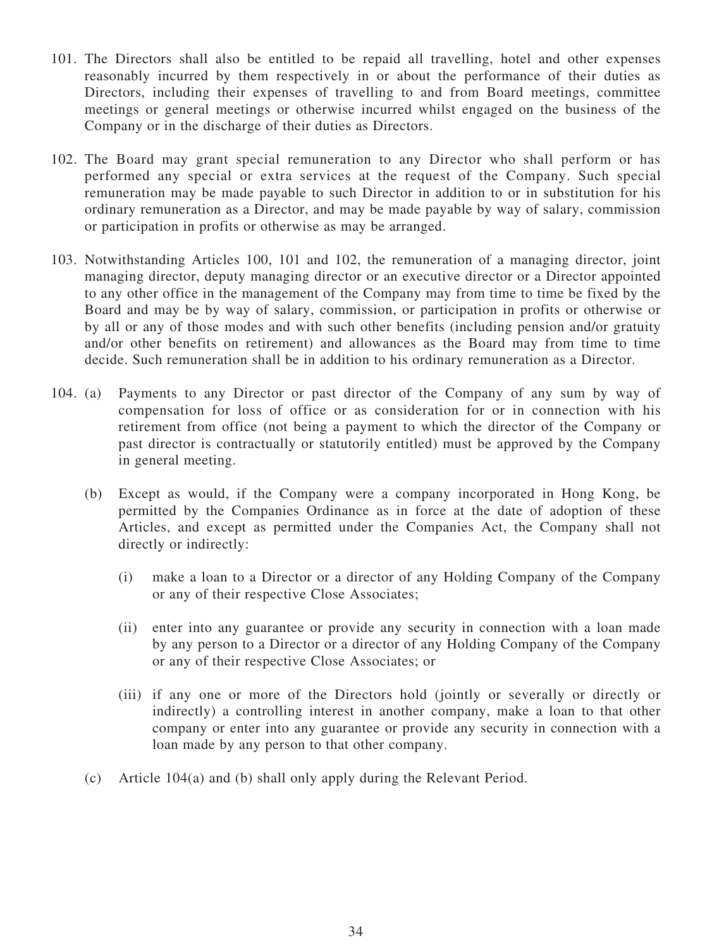- 101. The Directors shall also be entitled to be repaid all travelling, hotel and other expenses reasonably incurred by them respectively in or about the performance of their duties as Directors, including their expenses of travelling to and from Board meetings, committee meetings or general meetings or otherwise incurred whilst engaged on the business of the Company or in the discharge of their duties as Directors.
- 102. The Board may grant special remuneration to any Director who shall perform or has performed any special or extra services at the request of the Company. Such special remuneration may be made payable to such Director in addition to or in substitution for his ordinary remuneration as a Director, and may be made payable by way of salary, commission or participation in profits or otherwise as may be arranged.
- 103. Notwithstanding Articles 100, 101 and 102, the remuneration of a managing director, joint managing director, deputy managing director or an executive director or a Director appointed to any other office in the management of the Company may from time to time be fixed by the Board and may be by way of salary, commission, or participation in profits or otherwise or by all or any of those modes and with such other benefits (including pension and/or gratuity and/or other benefits on retirement) and allowances as the Board may from time to time decide. Such remuneration shall be in addition to his ordinary remuneration as a Director.
- 104. (a) Payments to any Director or past director of the Company of any sum by way of compensation for loss of office or as consideration for or in connection with his retirement from office (not being a payment to which the director of the Company or past director is contractually or statutorily entitled) must be approved by the Company in general meeting.
	- (b) Except as would, if the Company were a company incorporated in Hong Kong, be permitted by the Companies Ordinance as in force at the date of adoption of these Articles, and except as permitted under the Companies Act, the Company shall not directly or indirectly:
		- (i) make a loan to a Director or a director of any Holding Company of the Company or any of their respective Close Associates;
		- (ii) enter into any guarantee or provide any security in connection with a loan made by any person to a Director or a director of any Holding Company of the Company or any of their respective Close Associates; or
		- (iii) if any one or more of the Directors hold (jointly or severally or directly or indirectly) a controlling interest in another company, make a loan to that other company or enter into any guarantee or provide any security in connection with a loan made by any person to that other company.
	- (c) Article 104(a) and (b) shall only apply during the Relevant Period.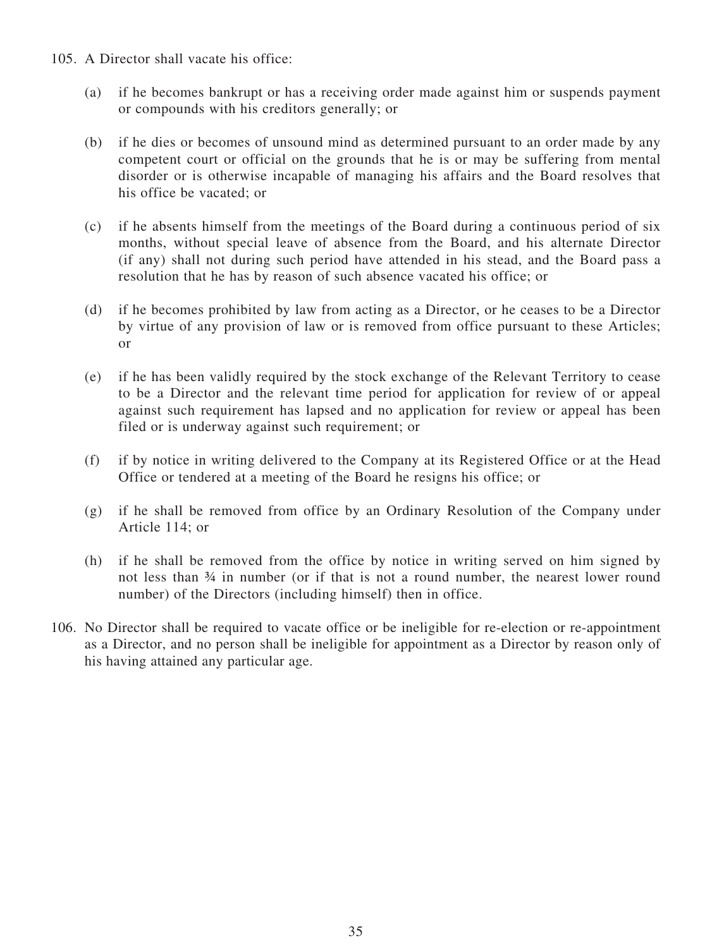- 105. A Director shall vacate his office:
	- (a) if he becomes bankrupt or has a receiving order made against him or suspends payment or compounds with his creditors generally; or
	- (b) if he dies or becomes of unsound mind as determined pursuant to an order made by any competent court or official on the grounds that he is or may be suffering from mental disorder or is otherwise incapable of managing his affairs and the Board resolves that his office be vacated; or
	- (c) if he absents himself from the meetings of the Board during a continuous period of six months, without special leave of absence from the Board, and his alternate Director (if any) shall not during such period have attended in his stead, and the Board pass a resolution that he has by reason of such absence vacated his office; or
	- (d) if he becomes prohibited by law from acting as a Director, or he ceases to be a Director by virtue of any provision of law or is removed from office pursuant to these Articles; or
	- (e) if he has been validly required by the stock exchange of the Relevant Territory to cease to be a Director and the relevant time period for application for review of or appeal against such requirement has lapsed and no application for review or appeal has been filed or is underway against such requirement; or
	- (f) if by notice in writing delivered to the Company at its Registered Office or at the Head Office or tendered at a meeting of the Board he resigns his office; or
	- (g) if he shall be removed from office by an Ordinary Resolution of the Company under Article 114; or
	- (h) if he shall be removed from the office by notice in writing served on him signed by not less than ¾ in number (or if that is not a round number, the nearest lower round number) of the Directors (including himself) then in office.
- 106. No Director shall be required to vacate office or be ineligible for re-election or re-appointment as a Director, and no person shall be ineligible for appointment as a Director by reason only of his having attained any particular age.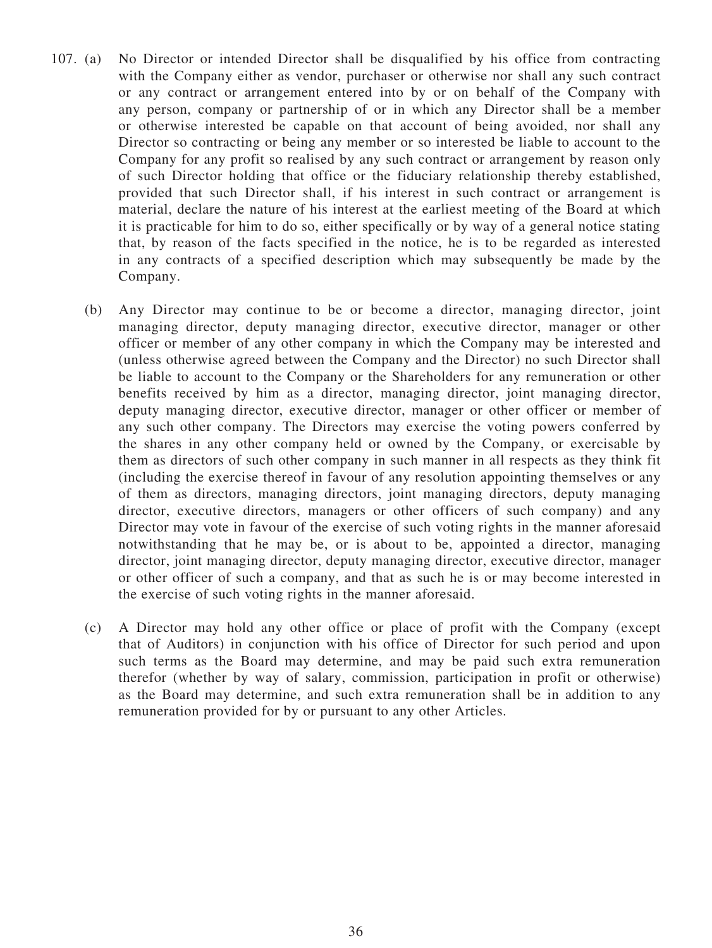- 107. (a) No Director or intended Director shall be disqualified by his office from contracting with the Company either as vendor, purchaser or otherwise nor shall any such contract or any contract or arrangement entered into by or on behalf of the Company with any person, company or partnership of or in which any Director shall be a member or otherwise interested be capable on that account of being avoided, nor shall any Director so contracting or being any member or so interested be liable to account to the Company for any profit so realised by any such contract or arrangement by reason only of such Director holding that office or the fiduciary relationship thereby established, provided that such Director shall, if his interest in such contract or arrangement is material, declare the nature of his interest at the earliest meeting of the Board at which it is practicable for him to do so, either specifically or by way of a general notice stating that, by reason of the facts specified in the notice, he is to be regarded as interested in any contracts of a specified description which may subsequently be made by the Company.
	- (b) Any Director may continue to be or become a director, managing director, joint managing director, deputy managing director, executive director, manager or other officer or member of any other company in which the Company may be interested and (unless otherwise agreed between the Company and the Director) no such Director shall be liable to account to the Company or the Shareholders for any remuneration or other benefits received by him as a director, managing director, joint managing director, deputy managing director, executive director, manager or other officer or member of any such other company. The Directors may exercise the voting powers conferred by the shares in any other company held or owned by the Company, or exercisable by them as directors of such other company in such manner in all respects as they think fit (including the exercise thereof in favour of any resolution appointing themselves or any of them as directors, managing directors, joint managing directors, deputy managing director, executive directors, managers or other officers of such company) and any Director may vote in favour of the exercise of such voting rights in the manner aforesaid notwithstanding that he may be, or is about to be, appointed a director, managing director, joint managing director, deputy managing director, executive director, manager or other officer of such a company, and that as such he is or may become interested in the exercise of such voting rights in the manner aforesaid.
	- (c) A Director may hold any other office or place of profit with the Company (except that of Auditors) in conjunction with his office of Director for such period and upon such terms as the Board may determine, and may be paid such extra remuneration therefor (whether by way of salary, commission, participation in profit or otherwise) as the Board may determine, and such extra remuneration shall be in addition to any remuneration provided for by or pursuant to any other Articles.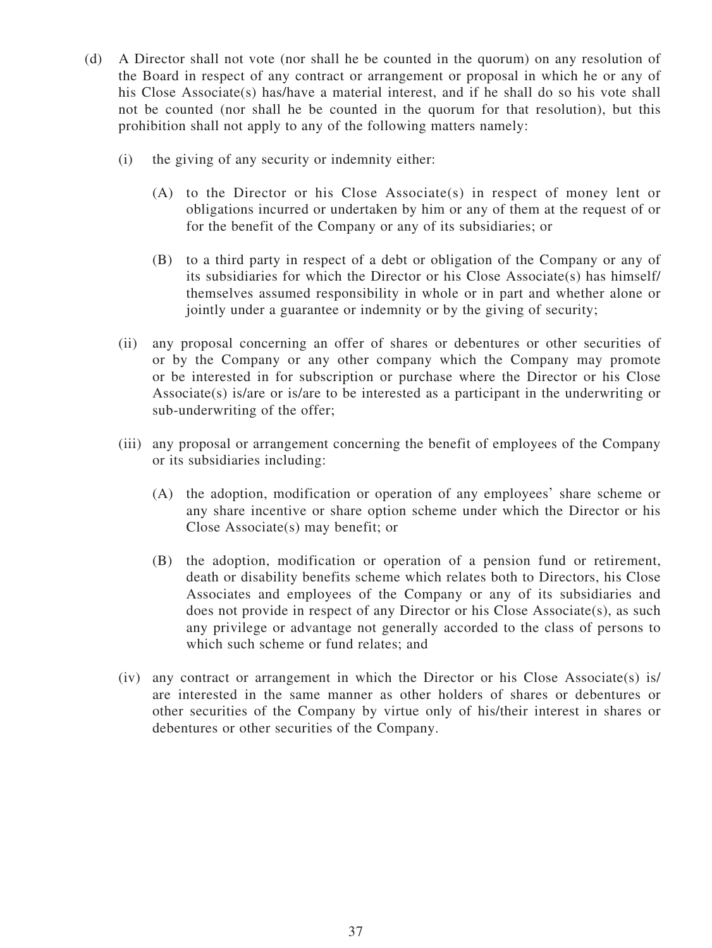- (d) A Director shall not vote (nor shall he be counted in the quorum) on any resolution of the Board in respect of any contract or arrangement or proposal in which he or any of his Close Associate(s) has/have a material interest, and if he shall do so his vote shall not be counted (nor shall he be counted in the quorum for that resolution), but this prohibition shall not apply to any of the following matters namely:
	- (i) the giving of any security or indemnity either:
		- (A) to the Director or his Close Associate(s) in respect of money lent or obligations incurred or undertaken by him or any of them at the request of or for the benefit of the Company or any of its subsidiaries; or
		- (B) to a third party in respect of a debt or obligation of the Company or any of its subsidiaries for which the Director or his Close Associate(s) has himself/ themselves assumed responsibility in whole or in part and whether alone or jointly under a guarantee or indemnity or by the giving of security;
	- (ii) any proposal concerning an offer of shares or debentures or other securities of or by the Company or any other company which the Company may promote or be interested in for subscription or purchase where the Director or his Close Associate(s) is/are or is/are to be interested as a participant in the underwriting or sub-underwriting of the offer;
	- (iii) any proposal or arrangement concerning the benefit of employees of the Company or its subsidiaries including:
		- (A) the adoption, modification or operation of any employees' share scheme or any share incentive or share option scheme under which the Director or his Close Associate(s) may benefit; or
		- (B) the adoption, modification or operation of a pension fund or retirement, death or disability benefits scheme which relates both to Directors, his Close Associates and employees of the Company or any of its subsidiaries and does not provide in respect of any Director or his Close Associate(s), as such any privilege or advantage not generally accorded to the class of persons to which such scheme or fund relates; and
	- (iv) any contract or arrangement in which the Director or his Close Associate(s) is/ are interested in the same manner as other holders of shares or debentures or other securities of the Company by virtue only of his/their interest in shares or debentures or other securities of the Company.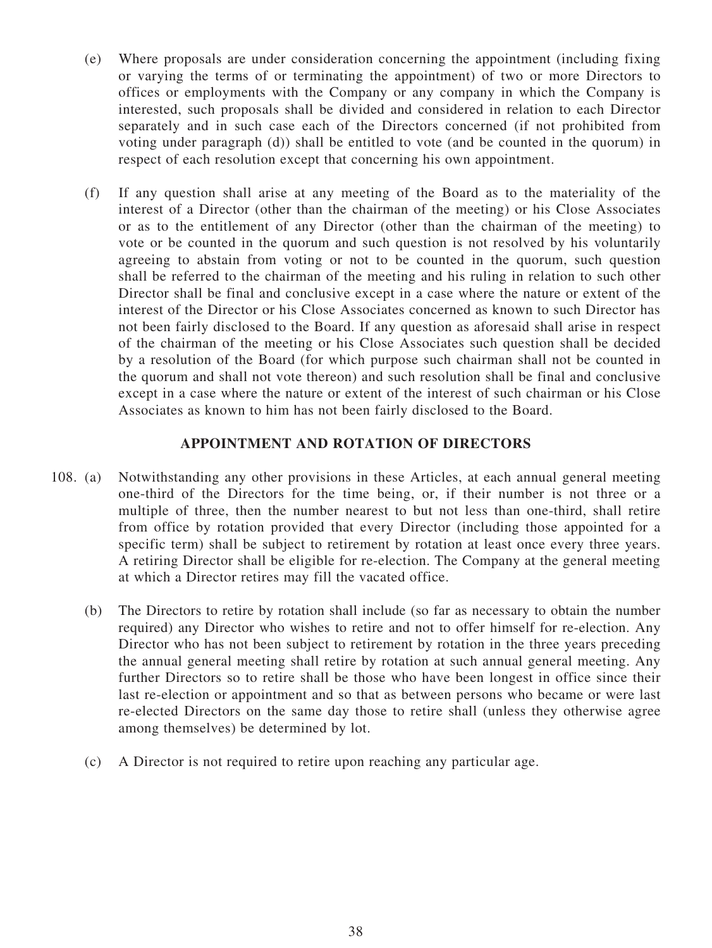- (e) Where proposals are under consideration concerning the appointment (including fixing or varying the terms of or terminating the appointment) of two or more Directors to offices or employments with the Company or any company in which the Company is interested, such proposals shall be divided and considered in relation to each Director separately and in such case each of the Directors concerned (if not prohibited from voting under paragraph (d)) shall be entitled to vote (and be counted in the quorum) in respect of each resolution except that concerning his own appointment.
- (f) If any question shall arise at any meeting of the Board as to the materiality of the interest of a Director (other than the chairman of the meeting) or his Close Associates or as to the entitlement of any Director (other than the chairman of the meeting) to vote or be counted in the quorum and such question is not resolved by his voluntarily agreeing to abstain from voting or not to be counted in the quorum, such question shall be referred to the chairman of the meeting and his ruling in relation to such other Director shall be final and conclusive except in a case where the nature or extent of the interest of the Director or his Close Associates concerned as known to such Director has not been fairly disclosed to the Board. If any question as aforesaid shall arise in respect of the chairman of the meeting or his Close Associates such question shall be decided by a resolution of the Board (for which purpose such chairman shall not be counted in the quorum and shall not vote thereon) and such resolution shall be final and conclusive except in a case where the nature or extent of the interest of such chairman or his Close Associates as known to him has not been fairly disclosed to the Board.

#### **APPOINTMENT AND ROTATION OF DIRECTORS**

- 108. (a) Notwithstanding any other provisions in these Articles, at each annual general meeting one-third of the Directors for the time being, or, if their number is not three or a multiple of three, then the number nearest to but not less than one-third, shall retire from office by rotation provided that every Director (including those appointed for a specific term) shall be subject to retirement by rotation at least once every three years. A retiring Director shall be eligible for re-election. The Company at the general meeting at which a Director retires may fill the vacated office.
	- (b) The Directors to retire by rotation shall include (so far as necessary to obtain the number required) any Director who wishes to retire and not to offer himself for re-election. Any Director who has not been subject to retirement by rotation in the three years preceding the annual general meeting shall retire by rotation at such annual general meeting. Any further Directors so to retire shall be those who have been longest in office since their last re-election or appointment and so that as between persons who became or were last re-elected Directors on the same day those to retire shall (unless they otherwise agree among themselves) be determined by lot.
	- (c) A Director is not required to retire upon reaching any particular age.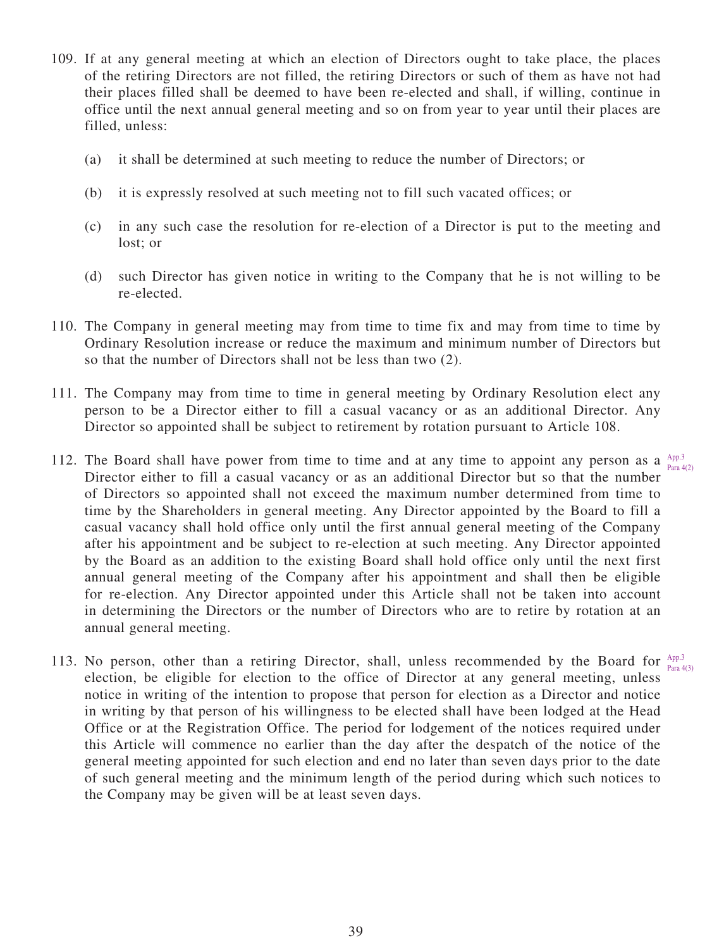- 109. If at any general meeting at which an election of Directors ought to take place, the places of the retiring Directors are not filled, the retiring Directors or such of them as have not had their places filled shall be deemed to have been re-elected and shall, if willing, continue in office until the next annual general meeting and so on from year to year until their places are filled, unless:
	- (a) it shall be determined at such meeting to reduce the number of Directors; or
	- (b) it is expressly resolved at such meeting not to fill such vacated offices; or
	- (c) in any such case the resolution for re-election of a Director is put to the meeting and lost; or
	- (d) such Director has given notice in writing to the Company that he is not willing to be re-elected.
- 110. The Company in general meeting may from time to time fix and may from time to time by Ordinary Resolution increase or reduce the maximum and minimum number of Directors but so that the number of Directors shall not be less than two (2).
- 111. The Company may from time to time in general meeting by Ordinary Resolution elect any person to be a Director either to fill a casual vacancy or as an additional Director. Any Director so appointed shall be subject to retirement by rotation pursuant to Article 108.
- 112. The Board shall have power from time to time and at any time to appoint any person as a  $_{\text{open}}^{\text{App.3}}$ Director either to fill a casual vacancy or as an additional Director but so that the number of Directors so appointed shall not exceed the maximum number determined from time to time by the Shareholders in general meeting. Any Director appointed by the Board to fill a casual vacancy shall hold office only until the first annual general meeting of the Company after his appointment and be subject to re-election at such meeting. Any Director appointed by the Board as an addition to the existing Board shall hold office only until the next first annual general meeting of the Company after his appointment and shall then be eligible for re-election. Any Director appointed under this Article shall not be taken into account in determining the Directors or the number of Directors who are to retire by rotation at an annual general meeting. Para 4(2)
- 113. No person, other than a retiring Director, shall, unless recommended by the Board for  $A_{pp,3}$ election, be eligible for election to the office of Director at any general meeting, unless notice in writing of the intention to propose that person for election as a Director and notice in writing by that person of his willingness to be elected shall have been lodged at the Head Office or at the Registration Office. The period for lodgement of the notices required under this Article will commence no earlier than the day after the despatch of the notice of the general meeting appointed for such election and end no later than seven days prior to the date of such general meeting and the minimum length of the period during which such notices to the Company may be given will be at least seven days. Para 4(3)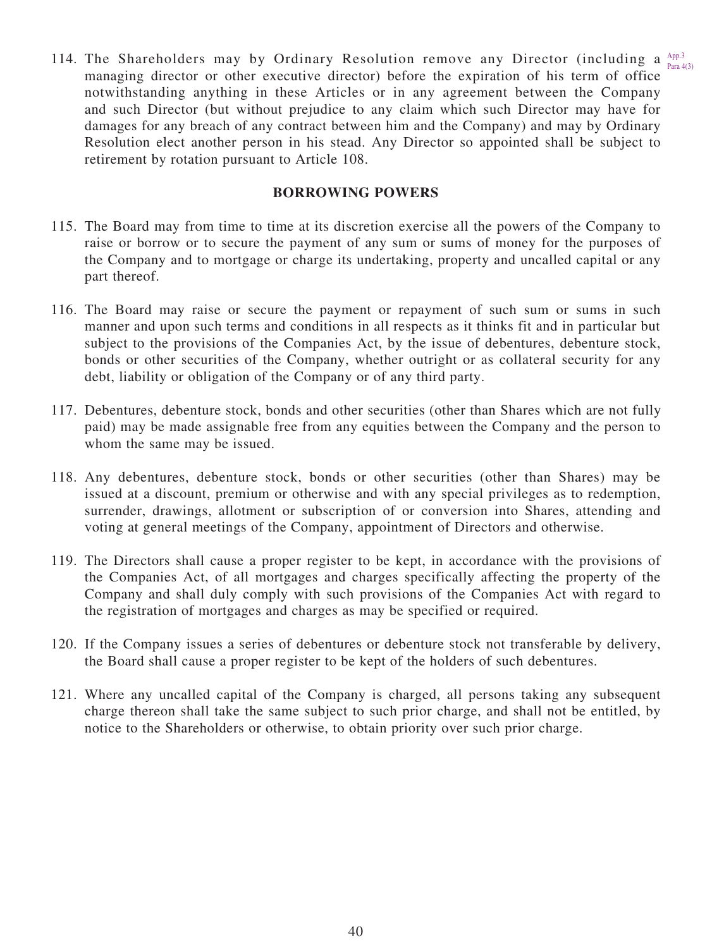114. The Shareholders may by Ordinary Resolution remove any Director (including a  $_{\text{Dens}}^{\text{App.3}}$ managing director or other executive director) before the expiration of his term of office notwithstanding anything in these Articles or in any agreement between the Company and such Director (but without prejudice to any claim which such Director may have for damages for any breach of any contract between him and the Company) and may by Ordinary Resolution elect another person in his stead. Any Director so appointed shall be subject to retirement by rotation pursuant to Article 108. Para  $4(3)$ 

### **BORROWING POWERS**

- 115. The Board may from time to time at its discretion exercise all the powers of the Company to raise or borrow or to secure the payment of any sum or sums of money for the purposes of the Company and to mortgage or charge its undertaking, property and uncalled capital or any part thereof.
- 116. The Board may raise or secure the payment or repayment of such sum or sums in such manner and upon such terms and conditions in all respects as it thinks fit and in particular but subject to the provisions of the Companies Act, by the issue of debentures, debenture stock, bonds or other securities of the Company, whether outright or as collateral security for any debt, liability or obligation of the Company or of any third party.
- 117. Debentures, debenture stock, bonds and other securities (other than Shares which are not fully paid) may be made assignable free from any equities between the Company and the person to whom the same may be issued.
- 118. Any debentures, debenture stock, bonds or other securities (other than Shares) may be issued at a discount, premium or otherwise and with any special privileges as to redemption, surrender, drawings, allotment or subscription of or conversion into Shares, attending and voting at general meetings of the Company, appointment of Directors and otherwise.
- 119. The Directors shall cause a proper register to be kept, in accordance with the provisions of the Companies Act, of all mortgages and charges specifically affecting the property of the Company and shall duly comply with such provisions of the Companies Act with regard to the registration of mortgages and charges as may be specified or required.
- 120. If the Company issues a series of debentures or debenture stock not transferable by delivery, the Board shall cause a proper register to be kept of the holders of such debentures.
- 121. Where any uncalled capital of the Company is charged, all persons taking any subsequent charge thereon shall take the same subject to such prior charge, and shall not be entitled, by notice to the Shareholders or otherwise, to obtain priority over such prior charge.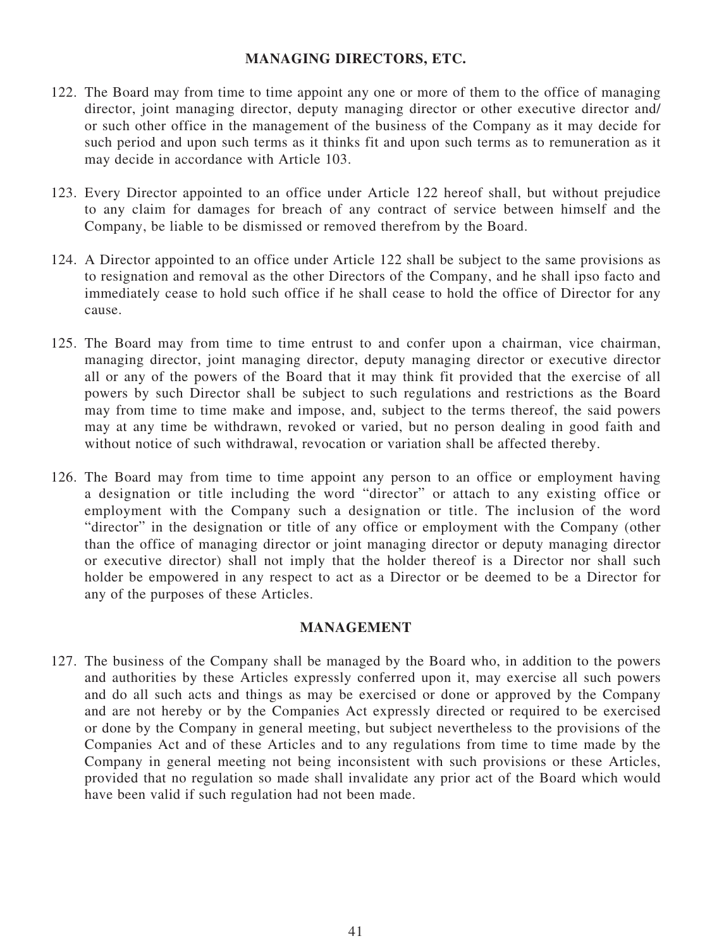#### **MANAGING DIRECTORS, ETC.**

- 122. The Board may from time to time appoint any one or more of them to the office of managing director, joint managing director, deputy managing director or other executive director and/ or such other office in the management of the business of the Company as it may decide for such period and upon such terms as it thinks fit and upon such terms as to remuneration as it may decide in accordance with Article 103.
- 123. Every Director appointed to an office under Article 122 hereof shall, but without prejudice to any claim for damages for breach of any contract of service between himself and the Company, be liable to be dismissed or removed therefrom by the Board.
- 124. A Director appointed to an office under Article 122 shall be subject to the same provisions as to resignation and removal as the other Directors of the Company, and he shall ipso facto and immediately cease to hold such office if he shall cease to hold the office of Director for any cause.
- 125. The Board may from time to time entrust to and confer upon a chairman, vice chairman, managing director, joint managing director, deputy managing director or executive director all or any of the powers of the Board that it may think fit provided that the exercise of all powers by such Director shall be subject to such regulations and restrictions as the Board may from time to time make and impose, and, subject to the terms thereof, the said powers may at any time be withdrawn, revoked or varied, but no person dealing in good faith and without notice of such withdrawal, revocation or variation shall be affected thereby.
- 126. The Board may from time to time appoint any person to an office or employment having a designation or title including the word "director" or attach to any existing office or employment with the Company such a designation or title. The inclusion of the word "director" in the designation or title of any office or employment with the Company (other than the office of managing director or joint managing director or deputy managing director or executive director) shall not imply that the holder thereof is a Director nor shall such holder be empowered in any respect to act as a Director or be deemed to be a Director for any of the purposes of these Articles.

# **MANAGEMENT**

127. The business of the Company shall be managed by the Board who, in addition to the powers and authorities by these Articles expressly conferred upon it, may exercise all such powers and do all such acts and things as may be exercised or done or approved by the Company and are not hereby or by the Companies Act expressly directed or required to be exercised or done by the Company in general meeting, but subject nevertheless to the provisions of the Companies Act and of these Articles and to any regulations from time to time made by the Company in general meeting not being inconsistent with such provisions or these Articles, provided that no regulation so made shall invalidate any prior act of the Board which would have been valid if such regulation had not been made.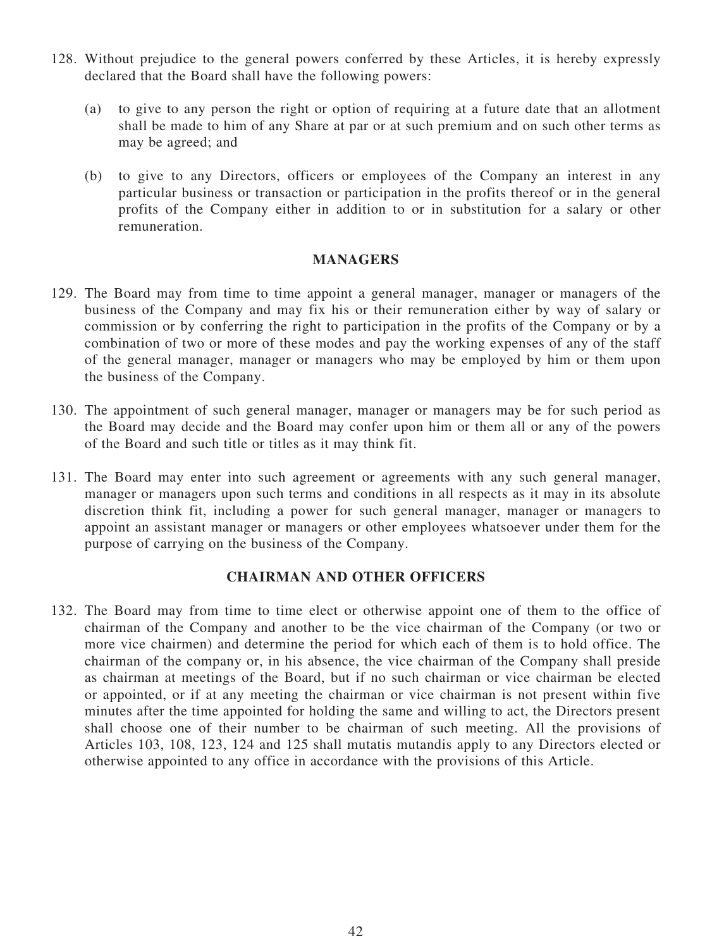- 128. Without prejudice to the general powers conferred by these Articles, it is hereby expressly declared that the Board shall have the following powers:
	- (a) to give to any person the right or option of requiring at a future date that an allotment shall be made to him of any Share at par or at such premium and on such other terms as may be agreed; and
	- (b) to give to any Directors, officers or employees of the Company an interest in any particular business or transaction or participation in the profits thereof or in the general profits of the Company either in addition to or in substitution for a salary or other remuneration.

#### **MANAGERS**

- 129. The Board may from time to time appoint a general manager, manager or managers of the business of the Company and may fix his or their remuneration either by way of salary or commission or by conferring the right to participation in the profits of the Company or by a combination of two or more of these modes and pay the working expenses of any of the staff of the general manager, manager or managers who may be employed by him or them upon the business of the Company.
- 130. The appointment of such general manager, manager or managers may be for such period as the Board may decide and the Board may confer upon him or them all or any of the powers of the Board and such title or titles as it may think fit.
- 131. The Board may enter into such agreement or agreements with any such general manager, manager or managers upon such terms and conditions in all respects as it may in its absolute discretion think fit, including a power for such general manager, manager or managers to appoint an assistant manager or managers or other employees whatsoever under them for the purpose of carrying on the business of the Company.

#### **CHAIRMAN AND OTHER OFFICERS**

132. The Board may from time to time elect or otherwise appoint one of them to the office of chairman of the Company and another to be the vice chairman of the Company (or two or more vice chairmen) and determine the period for which each of them is to hold office. The chairman of the company or, in his absence, the vice chairman of the Company shall preside as chairman at meetings of the Board, but if no such chairman or vice chairman be elected or appointed, or if at any meeting the chairman or vice chairman is not present within five minutes after the time appointed for holding the same and willing to act, the Directors present shall choose one of their number to be chairman of such meeting. All the provisions of Articles 103, 108, 123, 124 and 125 shall mutatis mutandis apply to any Directors elected or otherwise appointed to any office in accordance with the provisions of this Article.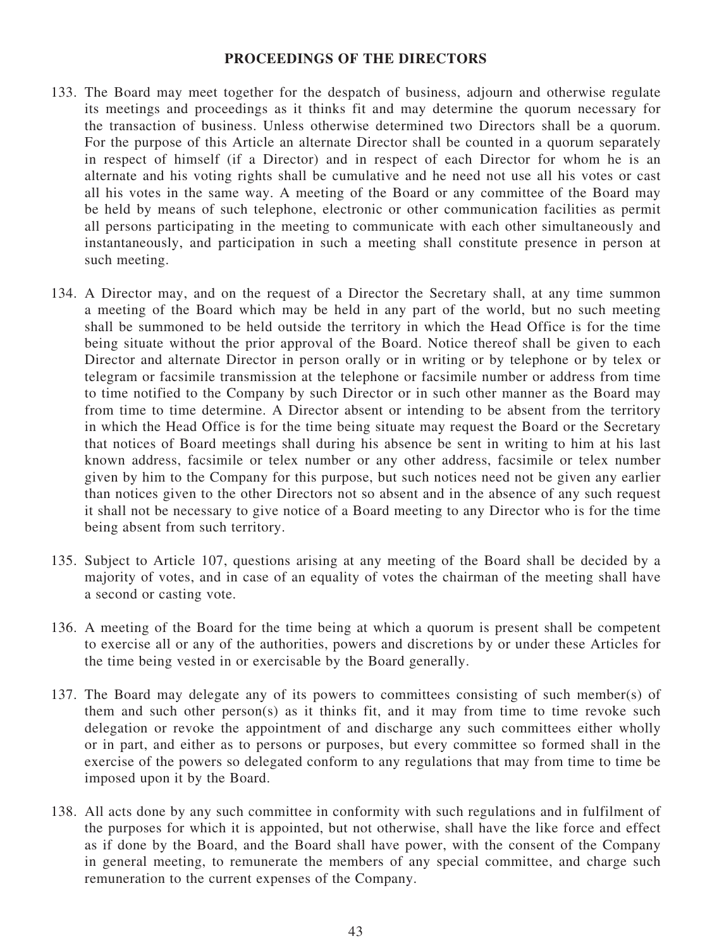#### **PROCEEDINGS OF THE DIRECTORS**

- 133. The Board may meet together for the despatch of business, adjourn and otherwise regulate its meetings and proceedings as it thinks fit and may determine the quorum necessary for the transaction of business. Unless otherwise determined two Directors shall be a quorum. For the purpose of this Article an alternate Director shall be counted in a quorum separately in respect of himself (if a Director) and in respect of each Director for whom he is an alternate and his voting rights shall be cumulative and he need not use all his votes or cast all his votes in the same way. A meeting of the Board or any committee of the Board may be held by means of such telephone, electronic or other communication facilities as permit all persons participating in the meeting to communicate with each other simultaneously and instantaneously, and participation in such a meeting shall constitute presence in person at such meeting.
- 134. A Director may, and on the request of a Director the Secretary shall, at any time summon a meeting of the Board which may be held in any part of the world, but no such meeting shall be summoned to be held outside the territory in which the Head Office is for the time being situate without the prior approval of the Board. Notice thereof shall be given to each Director and alternate Director in person orally or in writing or by telephone or by telex or telegram or facsimile transmission at the telephone or facsimile number or address from time to time notified to the Company by such Director or in such other manner as the Board may from time to time determine. A Director absent or intending to be absent from the territory in which the Head Office is for the time being situate may request the Board or the Secretary that notices of Board meetings shall during his absence be sent in writing to him at his last known address, facsimile or telex number or any other address, facsimile or telex number given by him to the Company for this purpose, but such notices need not be given any earlier than notices given to the other Directors not so absent and in the absence of any such request it shall not be necessary to give notice of a Board meeting to any Director who is for the time being absent from such territory.
- 135. Subject to Article 107, questions arising at any meeting of the Board shall be decided by a majority of votes, and in case of an equality of votes the chairman of the meeting shall have a second or casting vote.
- 136. A meeting of the Board for the time being at which a quorum is present shall be competent to exercise all or any of the authorities, powers and discretions by or under these Articles for the time being vested in or exercisable by the Board generally.
- 137. The Board may delegate any of its powers to committees consisting of such member(s) of them and such other person(s) as it thinks fit, and it may from time to time revoke such delegation or revoke the appointment of and discharge any such committees either wholly or in part, and either as to persons or purposes, but every committee so formed shall in the exercise of the powers so delegated conform to any regulations that may from time to time be imposed upon it by the Board.
- 138. All acts done by any such committee in conformity with such regulations and in fulfilment of the purposes for which it is appointed, but not otherwise, shall have the like force and effect as if done by the Board, and the Board shall have power, with the consent of the Company in general meeting, to remunerate the members of any special committee, and charge such remuneration to the current expenses of the Company.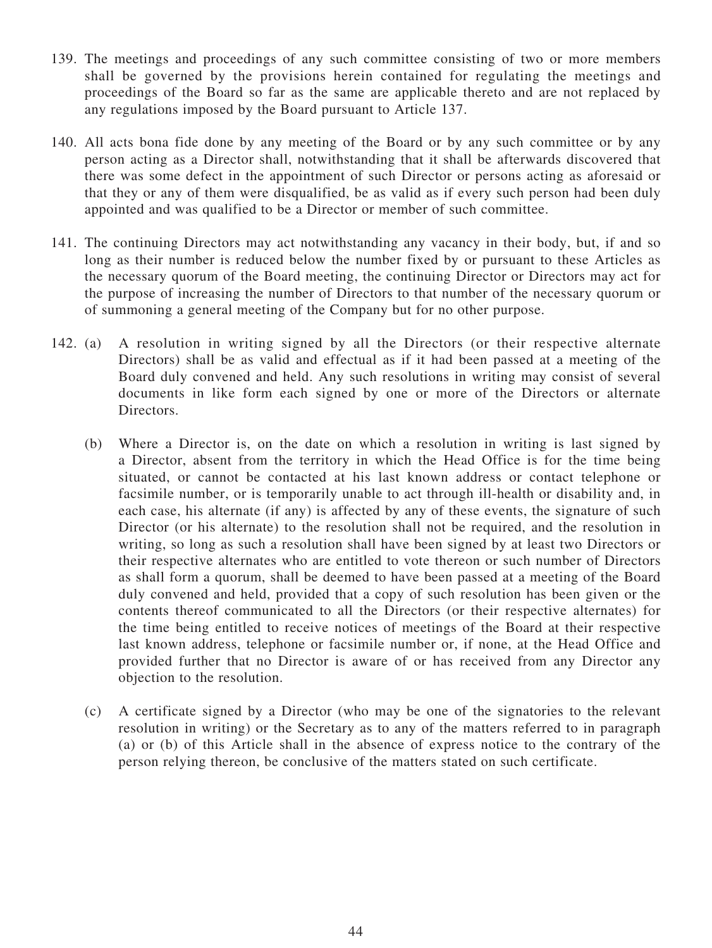- 139. The meetings and proceedings of any such committee consisting of two or more members shall be governed by the provisions herein contained for regulating the meetings and proceedings of the Board so far as the same are applicable thereto and are not replaced by any regulations imposed by the Board pursuant to Article 137.
- 140. All acts bona fide done by any meeting of the Board or by any such committee or by any person acting as a Director shall, notwithstanding that it shall be afterwards discovered that there was some defect in the appointment of such Director or persons acting as aforesaid or that they or any of them were disqualified, be as valid as if every such person had been duly appointed and was qualified to be a Director or member of such committee.
- 141. The continuing Directors may act notwithstanding any vacancy in their body, but, if and so long as their number is reduced below the number fixed by or pursuant to these Articles as the necessary quorum of the Board meeting, the continuing Director or Directors may act for the purpose of increasing the number of Directors to that number of the necessary quorum or of summoning a general meeting of the Company but for no other purpose.
- 142. (a) A resolution in writing signed by all the Directors (or their respective alternate Directors) shall be as valid and effectual as if it had been passed at a meeting of the Board duly convened and held. Any such resolutions in writing may consist of several documents in like form each signed by one or more of the Directors or alternate Directors.
	- (b) Where a Director is, on the date on which a resolution in writing is last signed by a Director, absent from the territory in which the Head Office is for the time being situated, or cannot be contacted at his last known address or contact telephone or facsimile number, or is temporarily unable to act through ill-health or disability and, in each case, his alternate (if any) is affected by any of these events, the signature of such Director (or his alternate) to the resolution shall not be required, and the resolution in writing, so long as such a resolution shall have been signed by at least two Directors or their respective alternates who are entitled to vote thereon or such number of Directors as shall form a quorum, shall be deemed to have been passed at a meeting of the Board duly convened and held, provided that a copy of such resolution has been given or the contents thereof communicated to all the Directors (or their respective alternates) for the time being entitled to receive notices of meetings of the Board at their respective last known address, telephone or facsimile number or, if none, at the Head Office and provided further that no Director is aware of or has received from any Director any objection to the resolution.
	- (c) A certificate signed by a Director (who may be one of the signatories to the relevant resolution in writing) or the Secretary as to any of the matters referred to in paragraph (a) or (b) of this Article shall in the absence of express notice to the contrary of the person relying thereon, be conclusive of the matters stated on such certificate.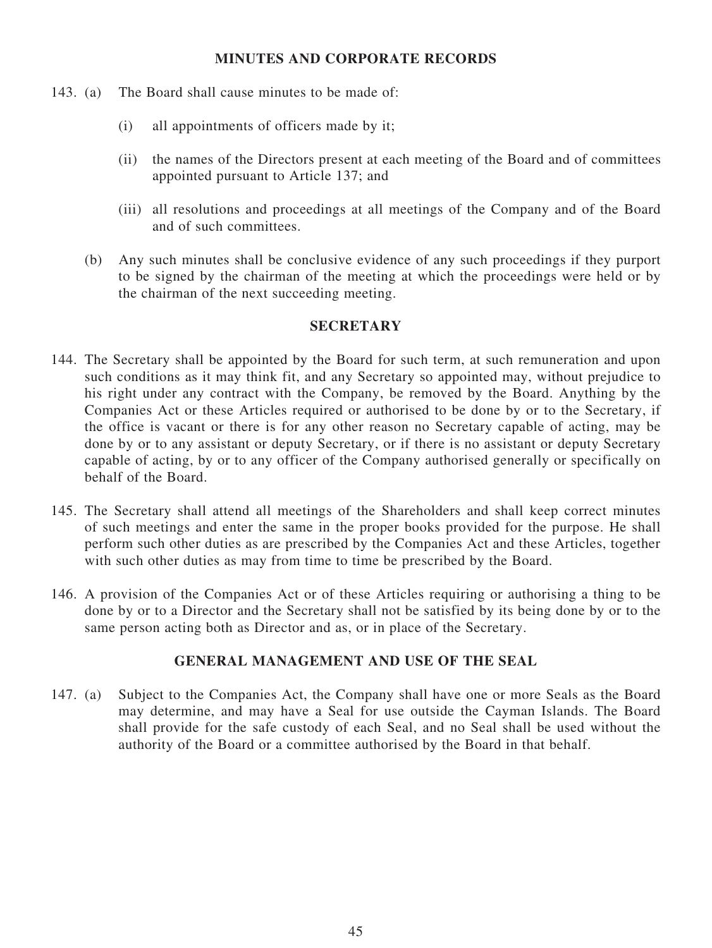#### **MINUTES AND CORPORATE RECORDS**

- 143. (a) The Board shall cause minutes to be made of:
	- (i) all appointments of officers made by it;
	- (ii) the names of the Directors present at each meeting of the Board and of committees appointed pursuant to Article 137; and
	- (iii) all resolutions and proceedings at all meetings of the Company and of the Board and of such committees.
	- (b) Any such minutes shall be conclusive evidence of any such proceedings if they purport to be signed by the chairman of the meeting at which the proceedings were held or by the chairman of the next succeeding meeting.

#### **SECRETARY**

- 144. The Secretary shall be appointed by the Board for such term, at such remuneration and upon such conditions as it may think fit, and any Secretary so appointed may, without prejudice to his right under any contract with the Company, be removed by the Board. Anything by the Companies Act or these Articles required or authorised to be done by or to the Secretary, if the office is vacant or there is for any other reason no Secretary capable of acting, may be done by or to any assistant or deputy Secretary, or if there is no assistant or deputy Secretary capable of acting, by or to any officer of the Company authorised generally or specifically on behalf of the Board.
- 145. The Secretary shall attend all meetings of the Shareholders and shall keep correct minutes of such meetings and enter the same in the proper books provided for the purpose. He shall perform such other duties as are prescribed by the Companies Act and these Articles, together with such other duties as may from time to time be prescribed by the Board.
- 146. A provision of the Companies Act or of these Articles requiring or authorising a thing to be done by or to a Director and the Secretary shall not be satisfied by its being done by or to the same person acting both as Director and as, or in place of the Secretary.

#### **GENERAL MANAGEMENT AND USE OF THE SEAL**

147. (a) Subject to the Companies Act, the Company shall have one or more Seals as the Board may determine, and may have a Seal for use outside the Cayman Islands. The Board shall provide for the safe custody of each Seal, and no Seal shall be used without the authority of the Board or a committee authorised by the Board in that behalf.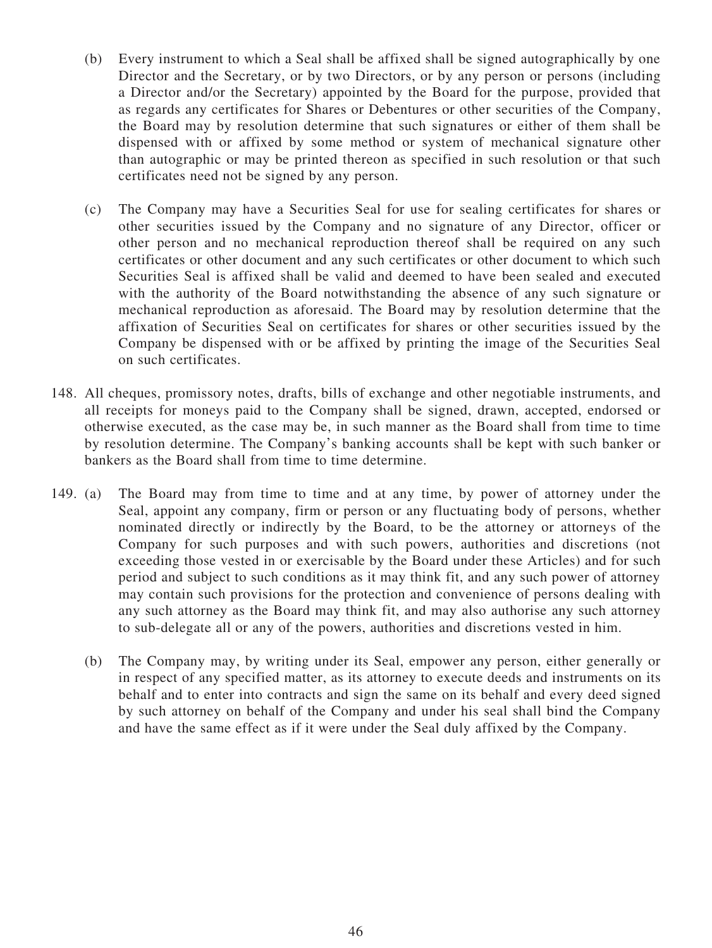- (b) Every instrument to which a Seal shall be affixed shall be signed autographically by one Director and the Secretary, or by two Directors, or by any person or persons (including a Director and/or the Secretary) appointed by the Board for the purpose, provided that as regards any certificates for Shares or Debentures or other securities of the Company, the Board may by resolution determine that such signatures or either of them shall be dispensed with or affixed by some method or system of mechanical signature other than autographic or may be printed thereon as specified in such resolution or that such certificates need not be signed by any person.
- (c) The Company may have a Securities Seal for use for sealing certificates for shares or other securities issued by the Company and no signature of any Director, officer or other person and no mechanical reproduction thereof shall be required on any such certificates or other document and any such certificates or other document to which such Securities Seal is affixed shall be valid and deemed to have been sealed and executed with the authority of the Board notwithstanding the absence of any such signature or mechanical reproduction as aforesaid. The Board may by resolution determine that the affixation of Securities Seal on certificates for shares or other securities issued by the Company be dispensed with or be affixed by printing the image of the Securities Seal on such certificates.
- 148. All cheques, promissory notes, drafts, bills of exchange and other negotiable instruments, and all receipts for moneys paid to the Company shall be signed, drawn, accepted, endorsed or otherwise executed, as the case may be, in such manner as the Board shall from time to time by resolution determine. The Company's banking accounts shall be kept with such banker or bankers as the Board shall from time to time determine.
- 149. (a) The Board may from time to time and at any time, by power of attorney under the Seal, appoint any company, firm or person or any fluctuating body of persons, whether nominated directly or indirectly by the Board, to be the attorney or attorneys of the Company for such purposes and with such powers, authorities and discretions (not exceeding those vested in or exercisable by the Board under these Articles) and for such period and subject to such conditions as it may think fit, and any such power of attorney may contain such provisions for the protection and convenience of persons dealing with any such attorney as the Board may think fit, and may also authorise any such attorney to sub-delegate all or any of the powers, authorities and discretions vested in him.
	- (b) The Company may, by writing under its Seal, empower any person, either generally or in respect of any specified matter, as its attorney to execute deeds and instruments on its behalf and to enter into contracts and sign the same on its behalf and every deed signed by such attorney on behalf of the Company and under his seal shall bind the Company and have the same effect as if it were under the Seal duly affixed by the Company.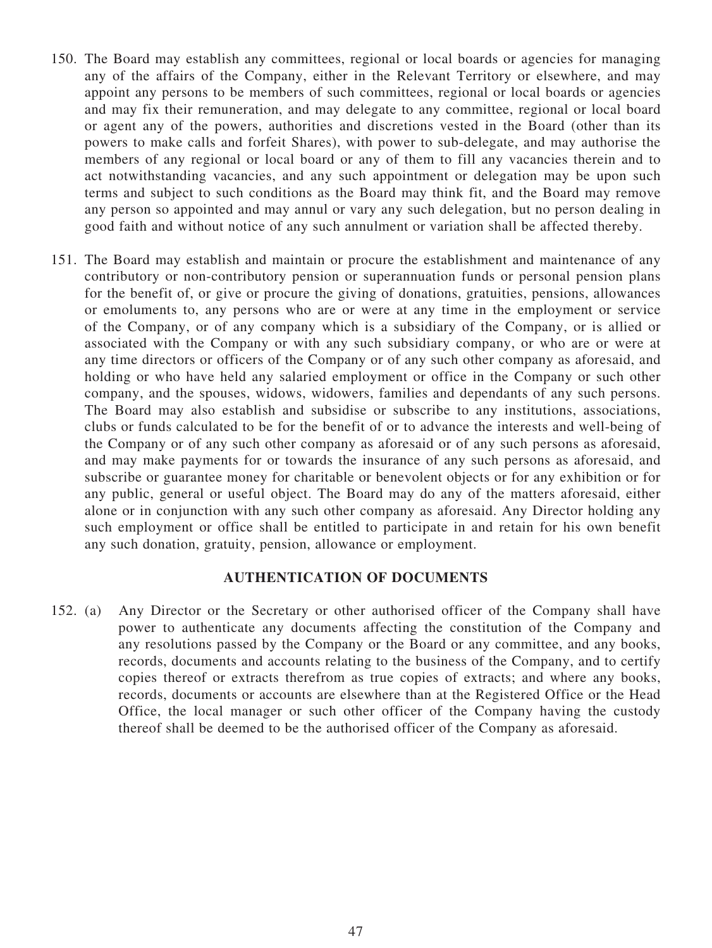- 150. The Board may establish any committees, regional or local boards or agencies for managing any of the affairs of the Company, either in the Relevant Territory or elsewhere, and may appoint any persons to be members of such committees, regional or local boards or agencies and may fix their remuneration, and may delegate to any committee, regional or local board or agent any of the powers, authorities and discretions vested in the Board (other than its powers to make calls and forfeit Shares), with power to sub-delegate, and may authorise the members of any regional or local board or any of them to fill any vacancies therein and to act notwithstanding vacancies, and any such appointment or delegation may be upon such terms and subject to such conditions as the Board may think fit, and the Board may remove any person so appointed and may annul or vary any such delegation, but no person dealing in good faith and without notice of any such annulment or variation shall be affected thereby.
- 151. The Board may establish and maintain or procure the establishment and maintenance of any contributory or non-contributory pension or superannuation funds or personal pension plans for the benefit of, or give or procure the giving of donations, gratuities, pensions, allowances or emoluments to, any persons who are or were at any time in the employment or service of the Company, or of any company which is a subsidiary of the Company, or is allied or associated with the Company or with any such subsidiary company, or who are or were at any time directors or officers of the Company or of any such other company as aforesaid, and holding or who have held any salaried employment or office in the Company or such other company, and the spouses, widows, widowers, families and dependants of any such persons. The Board may also establish and subsidise or subscribe to any institutions, associations, clubs or funds calculated to be for the benefit of or to advance the interests and well-being of the Company or of any such other company as aforesaid or of any such persons as aforesaid, and may make payments for or towards the insurance of any such persons as aforesaid, and subscribe or guarantee money for charitable or benevolent objects or for any exhibition or for any public, general or useful object. The Board may do any of the matters aforesaid, either alone or in conjunction with any such other company as aforesaid. Any Director holding any such employment or office shall be entitled to participate in and retain for his own benefit any such donation, gratuity, pension, allowance or employment.

#### **AUTHENTICATION OF DOCUMENTS**

152. (a) Any Director or the Secretary or other authorised officer of the Company shall have power to authenticate any documents affecting the constitution of the Company and any resolutions passed by the Company or the Board or any committee, and any books, records, documents and accounts relating to the business of the Company, and to certify copies thereof or extracts therefrom as true copies of extracts; and where any books, records, documents or accounts are elsewhere than at the Registered Office or the Head Office, the local manager or such other officer of the Company having the custody thereof shall be deemed to be the authorised officer of the Company as aforesaid.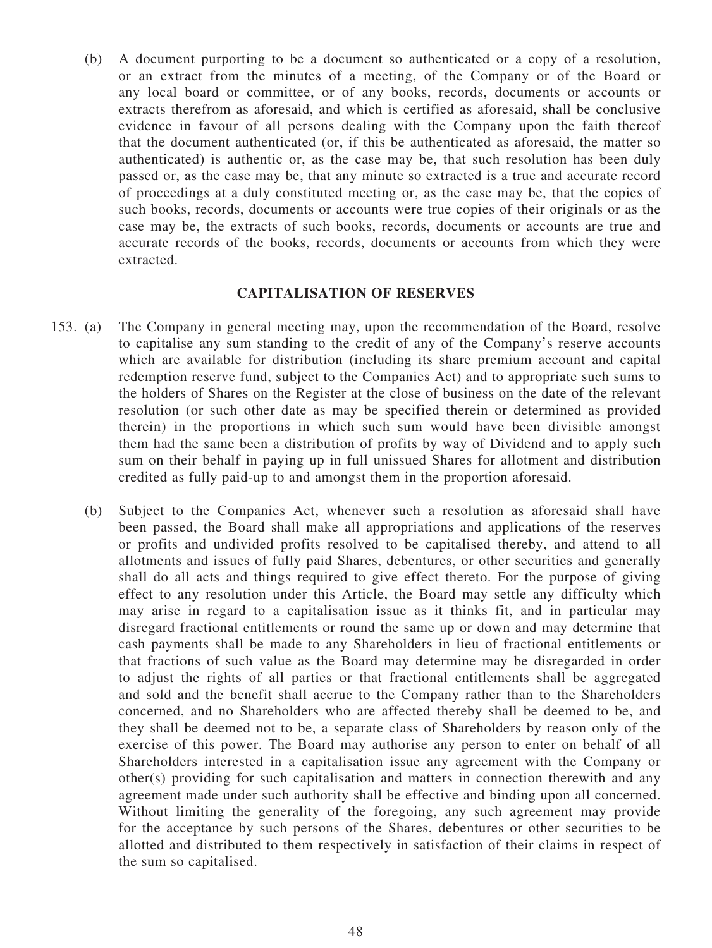(b) A document purporting to be a document so authenticated or a copy of a resolution, or an extract from the minutes of a meeting, of the Company or of the Board or any local board or committee, or of any books, records, documents or accounts or extracts therefrom as aforesaid, and which is certified as aforesaid, shall be conclusive evidence in favour of all persons dealing with the Company upon the faith thereof that the document authenticated (or, if this be authenticated as aforesaid, the matter so authenticated) is authentic or, as the case may be, that such resolution has been duly passed or, as the case may be, that any minute so extracted is a true and accurate record of proceedings at a duly constituted meeting or, as the case may be, that the copies of such books, records, documents or accounts were true copies of their originals or as the case may be, the extracts of such books, records, documents or accounts are true and accurate records of the books, records, documents or accounts from which they were extracted.

#### **CAPITALISATION OF RESERVES**

- 153. (a) The Company in general meeting may, upon the recommendation of the Board, resolve to capitalise any sum standing to the credit of any of the Company's reserve accounts which are available for distribution (including its share premium account and capital redemption reserve fund, subject to the Companies Act) and to appropriate such sums to the holders of Shares on the Register at the close of business on the date of the relevant resolution (or such other date as may be specified therein or determined as provided therein) in the proportions in which such sum would have been divisible amongst them had the same been a distribution of profits by way of Dividend and to apply such sum on their behalf in paying up in full unissued Shares for allotment and distribution credited as fully paid-up to and amongst them in the proportion aforesaid.
	- (b) Subject to the Companies Act, whenever such a resolution as aforesaid shall have been passed, the Board shall make all appropriations and applications of the reserves or profits and undivided profits resolved to be capitalised thereby, and attend to all allotments and issues of fully paid Shares, debentures, or other securities and generally shall do all acts and things required to give effect thereto. For the purpose of giving effect to any resolution under this Article, the Board may settle any difficulty which may arise in regard to a capitalisation issue as it thinks fit, and in particular may disregard fractional entitlements or round the same up or down and may determine that cash payments shall be made to any Shareholders in lieu of fractional entitlements or that fractions of such value as the Board may determine may be disregarded in order to adjust the rights of all parties or that fractional entitlements shall be aggregated and sold and the benefit shall accrue to the Company rather than to the Shareholders concerned, and no Shareholders who are affected thereby shall be deemed to be, and they shall be deemed not to be, a separate class of Shareholders by reason only of the exercise of this power. The Board may authorise any person to enter on behalf of all Shareholders interested in a capitalisation issue any agreement with the Company or other(s) providing for such capitalisation and matters in connection therewith and any agreement made under such authority shall be effective and binding upon all concerned. Without limiting the generality of the foregoing, any such agreement may provide for the acceptance by such persons of the Shares, debentures or other securities to be allotted and distributed to them respectively in satisfaction of their claims in respect of the sum so capitalised.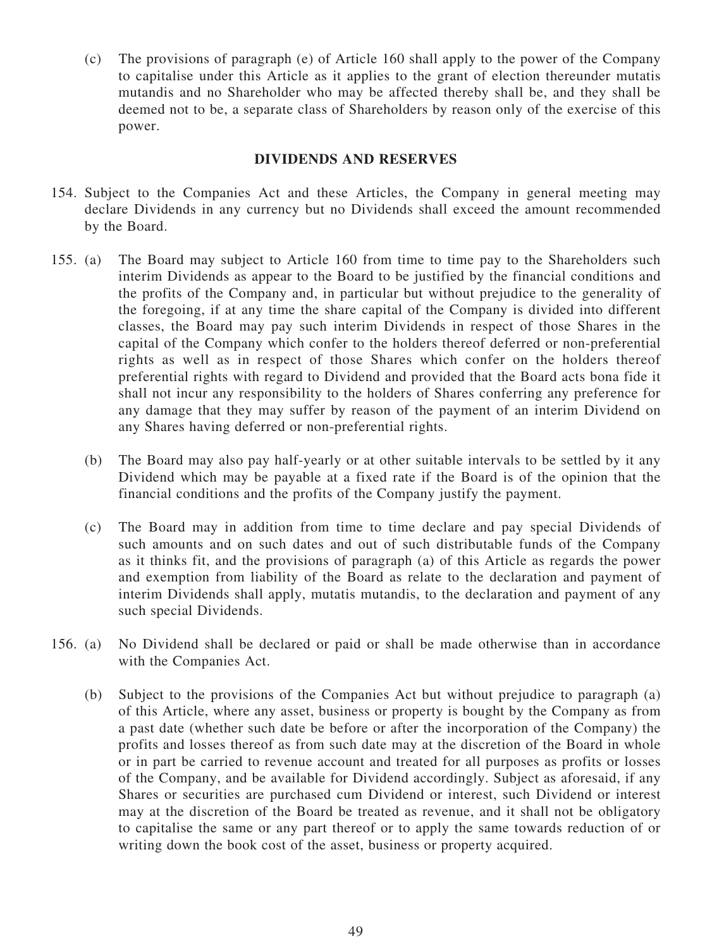(c) The provisions of paragraph (e) of Article 160 shall apply to the power of the Company to capitalise under this Article as it applies to the grant of election thereunder mutatis mutandis and no Shareholder who may be affected thereby shall be, and they shall be deemed not to be, a separate class of Shareholders by reason only of the exercise of this power.

### **DIVIDENDS AND RESERVES**

- 154. Subject to the Companies Act and these Articles, the Company in general meeting may declare Dividends in any currency but no Dividends shall exceed the amount recommended by the Board.
- 155. (a) The Board may subject to Article 160 from time to time pay to the Shareholders such interim Dividends as appear to the Board to be justified by the financial conditions and the profits of the Company and, in particular but without prejudice to the generality of the foregoing, if at any time the share capital of the Company is divided into different classes, the Board may pay such interim Dividends in respect of those Shares in the capital of the Company which confer to the holders thereof deferred or non-preferential rights as well as in respect of those Shares which confer on the holders thereof preferential rights with regard to Dividend and provided that the Board acts bona fide it shall not incur any responsibility to the holders of Shares conferring any preference for any damage that they may suffer by reason of the payment of an interim Dividend on any Shares having deferred or non-preferential rights.
	- (b) The Board may also pay half-yearly or at other suitable intervals to be settled by it any Dividend which may be payable at a fixed rate if the Board is of the opinion that the financial conditions and the profits of the Company justify the payment.
	- (c) The Board may in addition from time to time declare and pay special Dividends of such amounts and on such dates and out of such distributable funds of the Company as it thinks fit, and the provisions of paragraph (a) of this Article as regards the power and exemption from liability of the Board as relate to the declaration and payment of interim Dividends shall apply, mutatis mutandis, to the declaration and payment of any such special Dividends.
- 156. (a) No Dividend shall be declared or paid or shall be made otherwise than in accordance with the Companies Act.
	- (b) Subject to the provisions of the Companies Act but without prejudice to paragraph (a) of this Article, where any asset, business or property is bought by the Company as from a past date (whether such date be before or after the incorporation of the Company) the profits and losses thereof as from such date may at the discretion of the Board in whole or in part be carried to revenue account and treated for all purposes as profits or losses of the Company, and be available for Dividend accordingly. Subject as aforesaid, if any Shares or securities are purchased cum Dividend or interest, such Dividend or interest may at the discretion of the Board be treated as revenue, and it shall not be obligatory to capitalise the same or any part thereof or to apply the same towards reduction of or writing down the book cost of the asset, business or property acquired.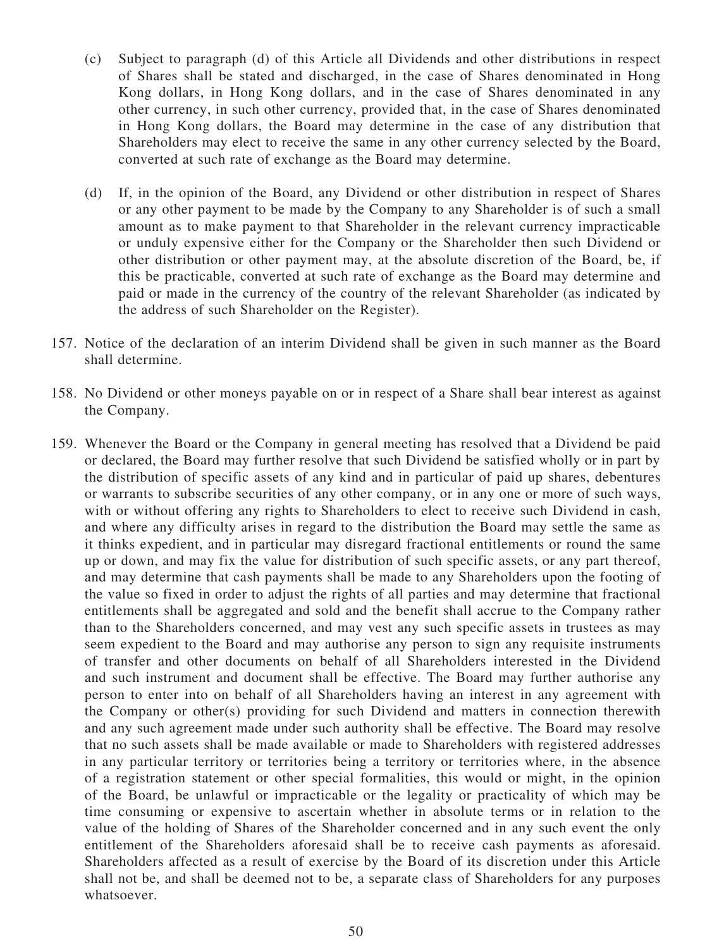- (c) Subject to paragraph (d) of this Article all Dividends and other distributions in respect of Shares shall be stated and discharged, in the case of Shares denominated in Hong Kong dollars, in Hong Kong dollars, and in the case of Shares denominated in any other currency, in such other currency, provided that, in the case of Shares denominated in Hong Kong dollars, the Board may determine in the case of any distribution that Shareholders may elect to receive the same in any other currency selected by the Board, converted at such rate of exchange as the Board may determine.
- (d) If, in the opinion of the Board, any Dividend or other distribution in respect of Shares or any other payment to be made by the Company to any Shareholder is of such a small amount as to make payment to that Shareholder in the relevant currency impracticable or unduly expensive either for the Company or the Shareholder then such Dividend or other distribution or other payment may, at the absolute discretion of the Board, be, if this be practicable, converted at such rate of exchange as the Board may determine and paid or made in the currency of the country of the relevant Shareholder (as indicated by the address of such Shareholder on the Register).
- 157. Notice of the declaration of an interim Dividend shall be given in such manner as the Board shall determine.
- 158. No Dividend or other moneys payable on or in respect of a Share shall bear interest as against the Company.
- 159. Whenever the Board or the Company in general meeting has resolved that a Dividend be paid or declared, the Board may further resolve that such Dividend be satisfied wholly or in part by the distribution of specific assets of any kind and in particular of paid up shares, debentures or warrants to subscribe securities of any other company, or in any one or more of such ways, with or without offering any rights to Shareholders to elect to receive such Dividend in cash, and where any difficulty arises in regard to the distribution the Board may settle the same as it thinks expedient, and in particular may disregard fractional entitlements or round the same up or down, and may fix the value for distribution of such specific assets, or any part thereof, and may determine that cash payments shall be made to any Shareholders upon the footing of the value so fixed in order to adjust the rights of all parties and may determine that fractional entitlements shall be aggregated and sold and the benefit shall accrue to the Company rather than to the Shareholders concerned, and may vest any such specific assets in trustees as may seem expedient to the Board and may authorise any person to sign any requisite instruments of transfer and other documents on behalf of all Shareholders interested in the Dividend and such instrument and document shall be effective. The Board may further authorise any person to enter into on behalf of all Shareholders having an interest in any agreement with the Company or other(s) providing for such Dividend and matters in connection therewith and any such agreement made under such authority shall be effective. The Board may resolve that no such assets shall be made available or made to Shareholders with registered addresses in any particular territory or territories being a territory or territories where, in the absence of a registration statement or other special formalities, this would or might, in the opinion of the Board, be unlawful or impracticable or the legality or practicality of which may be time consuming or expensive to ascertain whether in absolute terms or in relation to the value of the holding of Shares of the Shareholder concerned and in any such event the only entitlement of the Shareholders aforesaid shall be to receive cash payments as aforesaid. Shareholders affected as a result of exercise by the Board of its discretion under this Article shall not be, and shall be deemed not to be, a separate class of Shareholders for any purposes whatsoever.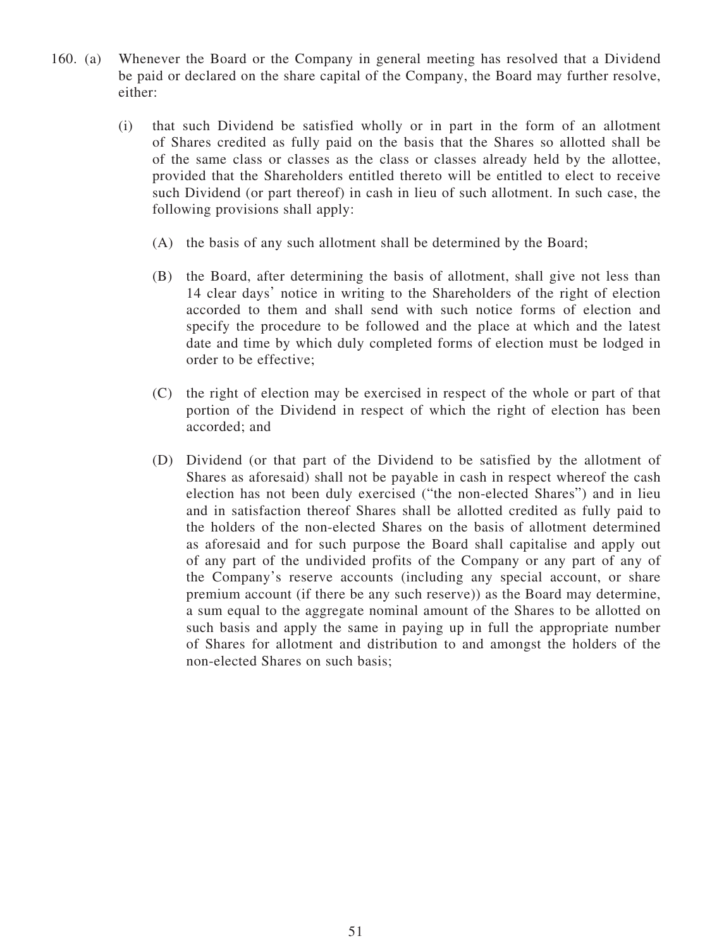- 160. (a) Whenever the Board or the Company in general meeting has resolved that a Dividend be paid or declared on the share capital of the Company, the Board may further resolve, either:
	- (i) that such Dividend be satisfied wholly or in part in the form of an allotment of Shares credited as fully paid on the basis that the Shares so allotted shall be of the same class or classes as the class or classes already held by the allottee, provided that the Shareholders entitled thereto will be entitled to elect to receive such Dividend (or part thereof) in cash in lieu of such allotment. In such case, the following provisions shall apply:
		- (A) the basis of any such allotment shall be determined by the Board;
		- (B) the Board, after determining the basis of allotment, shall give not less than 14 clear days' notice in writing to the Shareholders of the right of election accorded to them and shall send with such notice forms of election and specify the procedure to be followed and the place at which and the latest date and time by which duly completed forms of election must be lodged in order to be effective;
		- (C) the right of election may be exercised in respect of the whole or part of that portion of the Dividend in respect of which the right of election has been accorded; and
		- (D) Dividend (or that part of the Dividend to be satisfied by the allotment of Shares as aforesaid) shall not be payable in cash in respect whereof the cash election has not been duly exercised ("the non-elected Shares") and in lieu and in satisfaction thereof Shares shall be allotted credited as fully paid to the holders of the non-elected Shares on the basis of allotment determined as aforesaid and for such purpose the Board shall capitalise and apply out of any part of the undivided profits of the Company or any part of any of the Company's reserve accounts (including any special account, or share premium account (if there be any such reserve)) as the Board may determine, a sum equal to the aggregate nominal amount of the Shares to be allotted on such basis and apply the same in paying up in full the appropriate number of Shares for allotment and distribution to and amongst the holders of the non-elected Shares on such basis;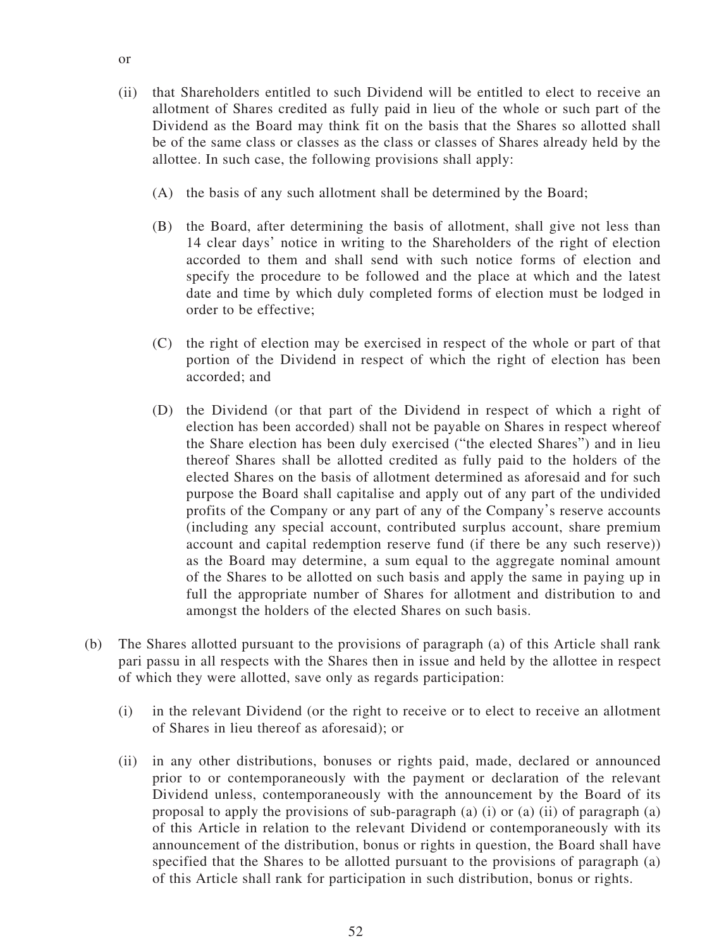- (ii) that Shareholders entitled to such Dividend will be entitled to elect to receive an allotment of Shares credited as fully paid in lieu of the whole or such part of the Dividend as the Board may think fit on the basis that the Shares so allotted shall be of the same class or classes as the class or classes of Shares already held by the allottee. In such case, the following provisions shall apply:
	- (A) the basis of any such allotment shall be determined by the Board;
	- (B) the Board, after determining the basis of allotment, shall give not less than 14 clear days' notice in writing to the Shareholders of the right of election accorded to them and shall send with such notice forms of election and specify the procedure to be followed and the place at which and the latest date and time by which duly completed forms of election must be lodged in order to be effective;
	- (C) the right of election may be exercised in respect of the whole or part of that portion of the Dividend in respect of which the right of election has been accorded; and
	- (D) the Dividend (or that part of the Dividend in respect of which a right of election has been accorded) shall not be payable on Shares in respect whereof the Share election has been duly exercised ("the elected Shares") and in lieu thereof Shares shall be allotted credited as fully paid to the holders of the elected Shares on the basis of allotment determined as aforesaid and for such purpose the Board shall capitalise and apply out of any part of the undivided profits of the Company or any part of any of the Company's reserve accounts (including any special account, contributed surplus account, share premium account and capital redemption reserve fund (if there be any such reserve)) as the Board may determine, a sum equal to the aggregate nominal amount of the Shares to be allotted on such basis and apply the same in paying up in full the appropriate number of Shares for allotment and distribution to and amongst the holders of the elected Shares on such basis.
- (b) The Shares allotted pursuant to the provisions of paragraph (a) of this Article shall rank pari passu in all respects with the Shares then in issue and held by the allottee in respect of which they were allotted, save only as regards participation:
	- (i) in the relevant Dividend (or the right to receive or to elect to receive an allotment of Shares in lieu thereof as aforesaid); or
	- (ii) in any other distributions, bonuses or rights paid, made, declared or announced prior to or contemporaneously with the payment or declaration of the relevant Dividend unless, contemporaneously with the announcement by the Board of its proposal to apply the provisions of sub-paragraph (a) (i) or (a) (ii) of paragraph (a) of this Article in relation to the relevant Dividend or contemporaneously with its announcement of the distribution, bonus or rights in question, the Board shall have specified that the Shares to be allotted pursuant to the provisions of paragraph (a) of this Article shall rank for participation in such distribution, bonus or rights.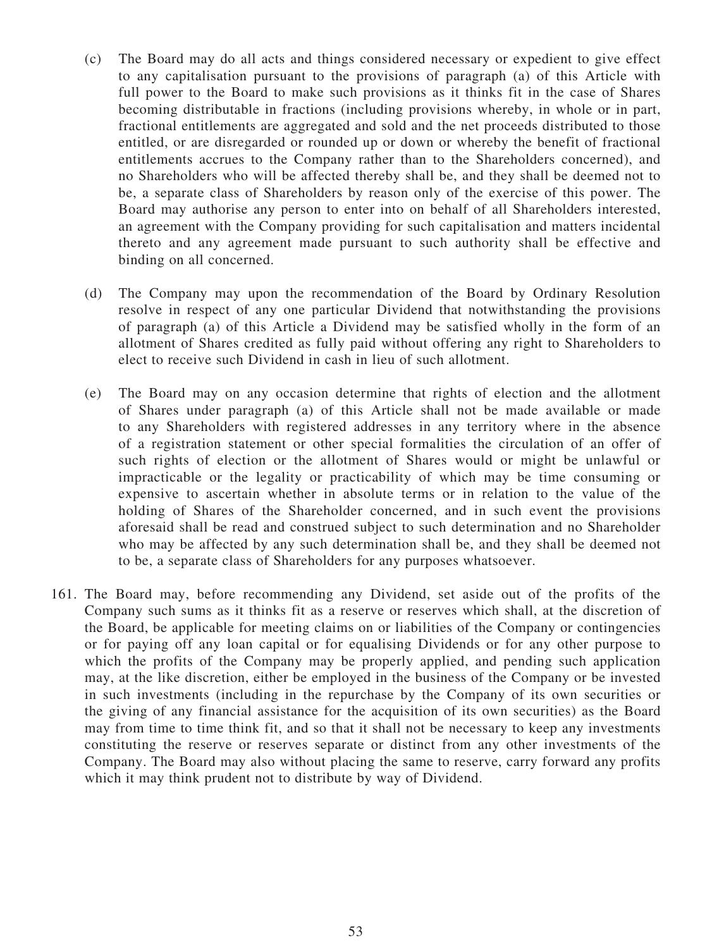- (c) The Board may do all acts and things considered necessary or expedient to give effect to any capitalisation pursuant to the provisions of paragraph (a) of this Article with full power to the Board to make such provisions as it thinks fit in the case of Shares becoming distributable in fractions (including provisions whereby, in whole or in part, fractional entitlements are aggregated and sold and the net proceeds distributed to those entitled, or are disregarded or rounded up or down or whereby the benefit of fractional entitlements accrues to the Company rather than to the Shareholders concerned), and no Shareholders who will be affected thereby shall be, and they shall be deemed not to be, a separate class of Shareholders by reason only of the exercise of this power. The Board may authorise any person to enter into on behalf of all Shareholders interested, an agreement with the Company providing for such capitalisation and matters incidental thereto and any agreement made pursuant to such authority shall be effective and binding on all concerned.
- (d) The Company may upon the recommendation of the Board by Ordinary Resolution resolve in respect of any one particular Dividend that notwithstanding the provisions of paragraph (a) of this Article a Dividend may be satisfied wholly in the form of an allotment of Shares credited as fully paid without offering any right to Shareholders to elect to receive such Dividend in cash in lieu of such allotment.
- (e) The Board may on any occasion determine that rights of election and the allotment of Shares under paragraph (a) of this Article shall not be made available or made to any Shareholders with registered addresses in any territory where in the absence of a registration statement or other special formalities the circulation of an offer of such rights of election or the allotment of Shares would or might be unlawful or impracticable or the legality or practicability of which may be time consuming or expensive to ascertain whether in absolute terms or in relation to the value of the holding of Shares of the Shareholder concerned, and in such event the provisions aforesaid shall be read and construed subject to such determination and no Shareholder who may be affected by any such determination shall be, and they shall be deemed not to be, a separate class of Shareholders for any purposes whatsoever.
- 161. The Board may, before recommending any Dividend, set aside out of the profits of the Company such sums as it thinks fit as a reserve or reserves which shall, at the discretion of the Board, be applicable for meeting claims on or liabilities of the Company or contingencies or for paying off any loan capital or for equalising Dividends or for any other purpose to which the profits of the Company may be properly applied, and pending such application may, at the like discretion, either be employed in the business of the Company or be invested in such investments (including in the repurchase by the Company of its own securities or the giving of any financial assistance for the acquisition of its own securities) as the Board may from time to time think fit, and so that it shall not be necessary to keep any investments constituting the reserve or reserves separate or distinct from any other investments of the Company. The Board may also without placing the same to reserve, carry forward any profits which it may think prudent not to distribute by way of Dividend.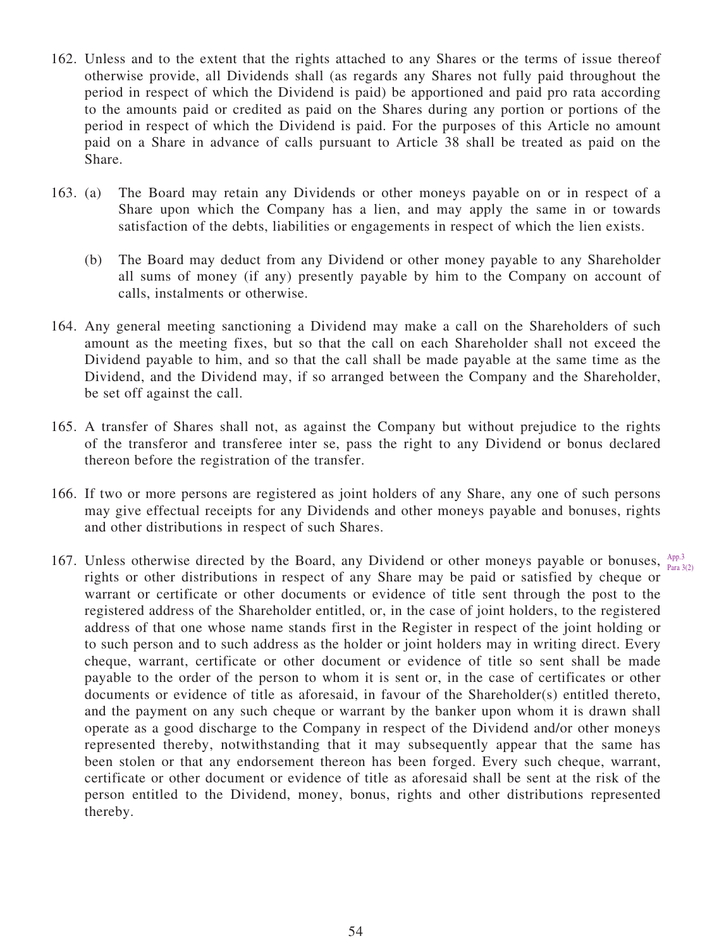- 162. Unless and to the extent that the rights attached to any Shares or the terms of issue thereof otherwise provide, all Dividends shall (as regards any Shares not fully paid throughout the period in respect of which the Dividend is paid) be apportioned and paid pro rata according to the amounts paid or credited as paid on the Shares during any portion or portions of the period in respect of which the Dividend is paid. For the purposes of this Article no amount paid on a Share in advance of calls pursuant to Article 38 shall be treated as paid on the Share.
- 163. (a) The Board may retain any Dividends or other moneys payable on or in respect of a Share upon which the Company has a lien, and may apply the same in or towards satisfaction of the debts, liabilities or engagements in respect of which the lien exists.
	- (b) The Board may deduct from any Dividend or other money payable to any Shareholder all sums of money (if any) presently payable by him to the Company on account of calls, instalments or otherwise.
- 164. Any general meeting sanctioning a Dividend may make a call on the Shareholders of such amount as the meeting fixes, but so that the call on each Shareholder shall not exceed the Dividend payable to him, and so that the call shall be made payable at the same time as the Dividend, and the Dividend may, if so arranged between the Company and the Shareholder, be set off against the call.
- 165. A transfer of Shares shall not, as against the Company but without prejudice to the rights of the transferor and transferee inter se, pass the right to any Dividend or bonus declared thereon before the registration of the transfer.
- 166. If two or more persons are registered as joint holders of any Share, any one of such persons may give effectual receipts for any Dividends and other moneys payable and bonuses, rights and other distributions in respect of such Shares.
- 167. Unless otherwise directed by the Board, any Dividend or other moneys payable or bonuses,  $A_{pp,3}^{App.3}$ rights or other distributions in respect of any Share may be paid or satisfied by cheque or warrant or certificate or other documents or evidence of title sent through the post to the registered address of the Shareholder entitled, or, in the case of joint holders, to the registered address of that one whose name stands first in the Register in respect of the joint holding or to such person and to such address as the holder or joint holders may in writing direct. Every cheque, warrant, certificate or other document or evidence of title so sent shall be made payable to the order of the person to whom it is sent or, in the case of certificates or other documents or evidence of title as aforesaid, in favour of the Shareholder(s) entitled thereto, and the payment on any such cheque or warrant by the banker upon whom it is drawn shall operate as a good discharge to the Company in respect of the Dividend and/or other moneys represented thereby, notwithstanding that it may subsequently appear that the same has been stolen or that any endorsement thereon has been forged. Every such cheque, warrant, certificate or other document or evidence of title as aforesaid shall be sent at the risk of the person entitled to the Dividend, money, bonus, rights and other distributions represented thereby. Para 3(2)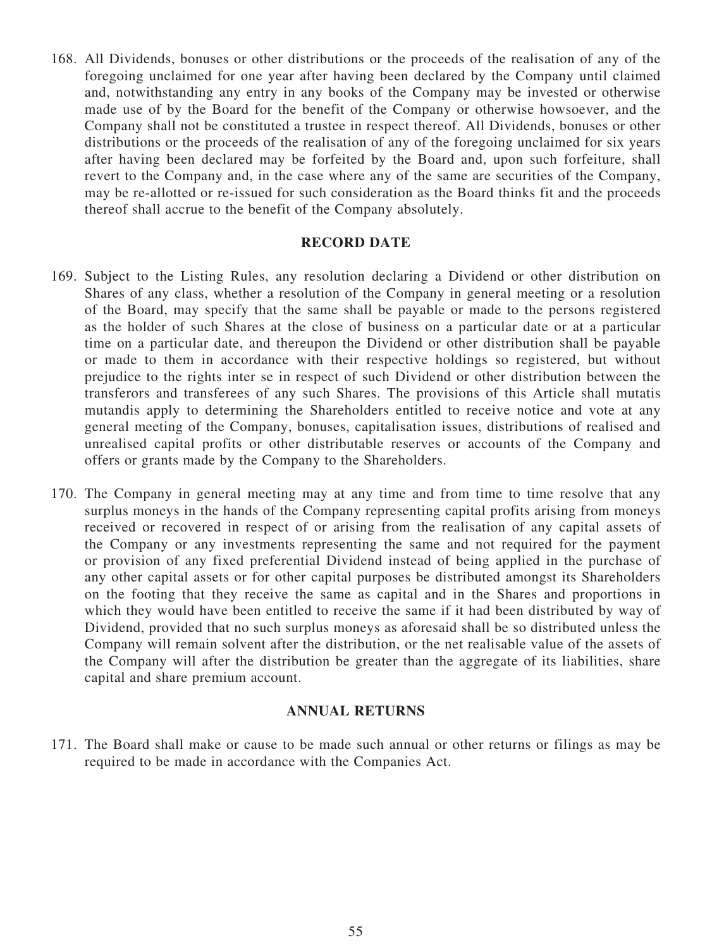168. All Dividends, bonuses or other distributions or the proceeds of the realisation of any of the foregoing unclaimed for one year after having been declared by the Company until claimed and, notwithstanding any entry in any books of the Company may be invested or otherwise made use of by the Board for the benefit of the Company or otherwise howsoever, and the Company shall not be constituted a trustee in respect thereof. All Dividends, bonuses or other distributions or the proceeds of the realisation of any of the foregoing unclaimed for six years after having been declared may be forfeited by the Board and, upon such forfeiture, shall revert to the Company and, in the case where any of the same are securities of the Company, may be re-allotted or re-issued for such consideration as the Board thinks fit and the proceeds thereof shall accrue to the benefit of the Company absolutely.

#### **RECORD DATE**

- 169. Subject to the Listing Rules, any resolution declaring a Dividend or other distribution on Shares of any class, whether a resolution of the Company in general meeting or a resolution of the Board, may specify that the same shall be payable or made to the persons registered as the holder of such Shares at the close of business on a particular date or at a particular time on a particular date, and thereupon the Dividend or other distribution shall be payable or made to them in accordance with their respective holdings so registered, but without prejudice to the rights inter se in respect of such Dividend or other distribution between the transferors and transferees of any such Shares. The provisions of this Article shall mutatis mutandis apply to determining the Shareholders entitled to receive notice and vote at any general meeting of the Company, bonuses, capitalisation issues, distributions of realised and unrealised capital profits or other distributable reserves or accounts of the Company and offers or grants made by the Company to the Shareholders.
- 170. The Company in general meeting may at any time and from time to time resolve that any surplus moneys in the hands of the Company representing capital profits arising from moneys received or recovered in respect of or arising from the realisation of any capital assets of the Company or any investments representing the same and not required for the payment or provision of any fixed preferential Dividend instead of being applied in the purchase of any other capital assets or for other capital purposes be distributed amongst its Shareholders on the footing that they receive the same as capital and in the Shares and proportions in which they would have been entitled to receive the same if it had been distributed by way of Dividend, provided that no such surplus moneys as aforesaid shall be so distributed unless the Company will remain solvent after the distribution, or the net realisable value of the assets of the Company will after the distribution be greater than the aggregate of its liabilities, share capital and share premium account.

#### **ANNUAL RETURNS**

171. The Board shall make or cause to be made such annual or other returns or filings as may be required to be made in accordance with the Companies Act.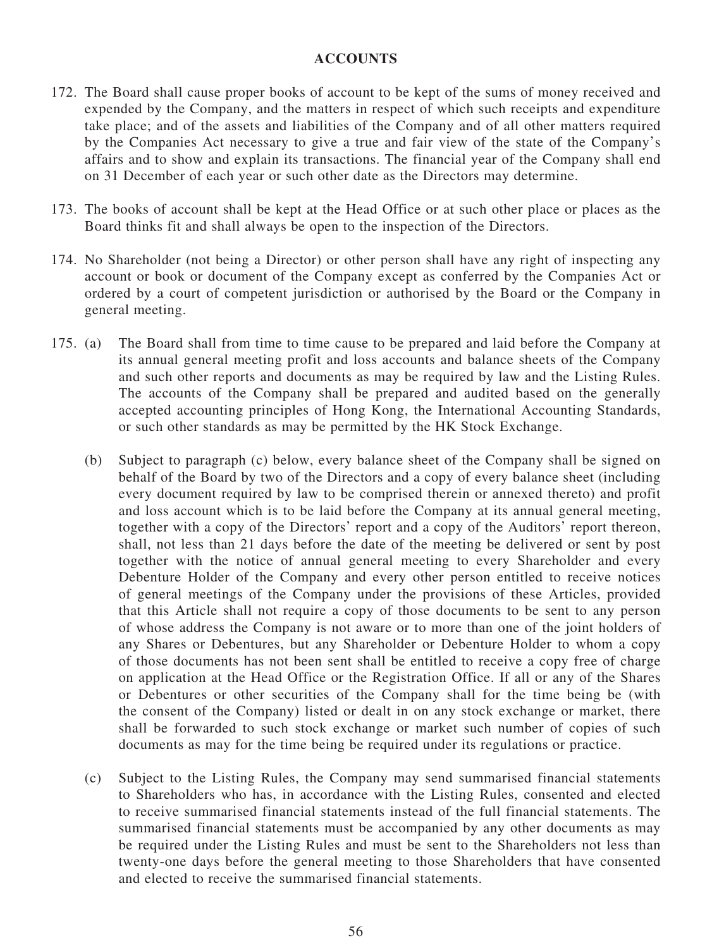#### **ACCOUNTS**

- 172. The Board shall cause proper books of account to be kept of the sums of money received and expended by the Company, and the matters in respect of which such receipts and expenditure take place; and of the assets and liabilities of the Company and of all other matters required by the Companies Act necessary to give a true and fair view of the state of the Company's affairs and to show and explain its transactions. The financial year of the Company shall end on 31 December of each year or such other date as the Directors may determine.
- 173. The books of account shall be kept at the Head Office or at such other place or places as the Board thinks fit and shall always be open to the inspection of the Directors.
- 174. No Shareholder (not being a Director) or other person shall have any right of inspecting any account or book or document of the Company except as conferred by the Companies Act or ordered by a court of competent jurisdiction or authorised by the Board or the Company in general meeting.
- 175. (a) The Board shall from time to time cause to be prepared and laid before the Company at its annual general meeting profit and loss accounts and balance sheets of the Company and such other reports and documents as may be required by law and the Listing Rules. The accounts of the Company shall be prepared and audited based on the generally accepted accounting principles of Hong Kong, the International Accounting Standards, or such other standards as may be permitted by the HK Stock Exchange.
	- (b) Subject to paragraph (c) below, every balance sheet of the Company shall be signed on behalf of the Board by two of the Directors and a copy of every balance sheet (including every document required by law to be comprised therein or annexed thereto) and profit and loss account which is to be laid before the Company at its annual general meeting, together with a copy of the Directors' report and a copy of the Auditors' report thereon, shall, not less than 21 days before the date of the meeting be delivered or sent by post together with the notice of annual general meeting to every Shareholder and every Debenture Holder of the Company and every other person entitled to receive notices of general meetings of the Company under the provisions of these Articles, provided that this Article shall not require a copy of those documents to be sent to any person of whose address the Company is not aware or to more than one of the joint holders of any Shares or Debentures, but any Shareholder or Debenture Holder to whom a copy of those documents has not been sent shall be entitled to receive a copy free of charge on application at the Head Office or the Registration Office. If all or any of the Shares or Debentures or other securities of the Company shall for the time being be (with the consent of the Company) listed or dealt in on any stock exchange or market, there shall be forwarded to such stock exchange or market such number of copies of such documents as may for the time being be required under its regulations or practice.
	- (c) Subject to the Listing Rules, the Company may send summarised financial statements to Shareholders who has, in accordance with the Listing Rules, consented and elected to receive summarised financial statements instead of the full financial statements. The summarised financial statements must be accompanied by any other documents as may be required under the Listing Rules and must be sent to the Shareholders not less than twenty-one days before the general meeting to those Shareholders that have consented and elected to receive the summarised financial statements.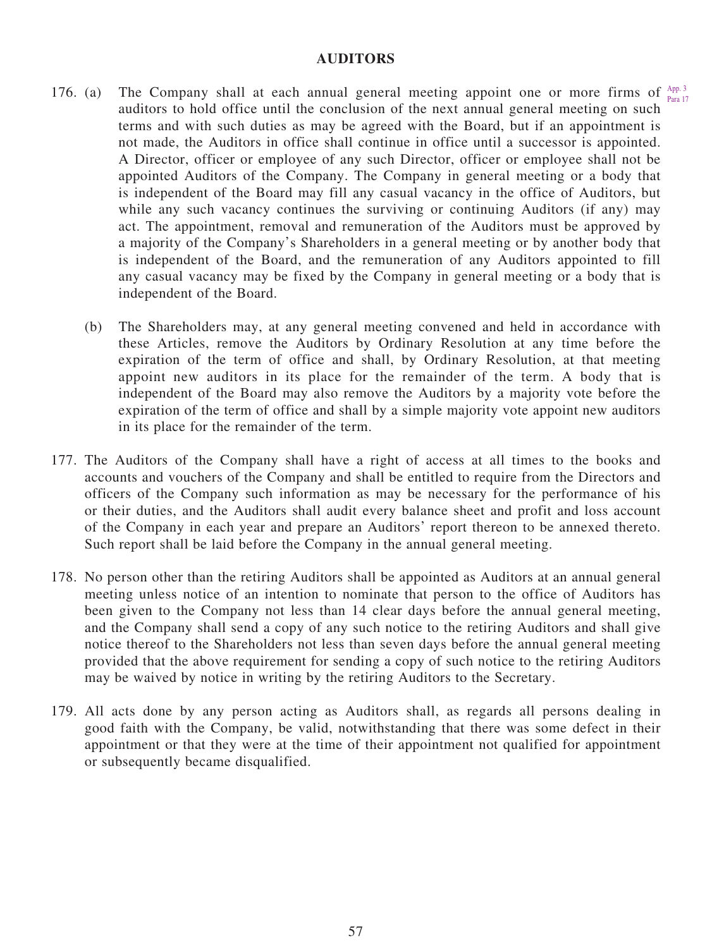#### **AUDITORS**

- 176. (a) The Company shall at each annual general meeting appoint one or more firms of  $A_{\text{per}}^{App. 3}$ auditors to hold office until the conclusion of the next annual general meeting on such terms and with such duties as may be agreed with the Board, but if an appointment is not made, the Auditors in office shall continue in office until a successor is appointed. A Director, officer or employee of any such Director, officer or employee shall not be appointed Auditors of the Company. The Company in general meeting or a body that is independent of the Board may fill any casual vacancy in the office of Auditors, but while any such vacancy continues the surviving or continuing Auditors (if any) may act. The appointment, removal and remuneration of the Auditors must be approved by a majority of the Company's Shareholders in a general meeting or by another body that is independent of the Board, and the remuneration of any Auditors appointed to fill any casual vacancy may be fixed by the Company in general meeting or a body that is independent of the Board. Para 17
	- (b) The Shareholders may, at any general meeting convened and held in accordance with these Articles, remove the Auditors by Ordinary Resolution at any time before the expiration of the term of office and shall, by Ordinary Resolution, at that meeting appoint new auditors in its place for the remainder of the term. A body that is independent of the Board may also remove the Auditors by a majority vote before the expiration of the term of office and shall by a simple majority vote appoint new auditors in its place for the remainder of the term.
- 177. The Auditors of the Company shall have a right of access at all times to the books and accounts and vouchers of the Company and shall be entitled to require from the Directors and officers of the Company such information as may be necessary for the performance of his or their duties, and the Auditors shall audit every balance sheet and profit and loss account of the Company in each year and prepare an Auditors' report thereon to be annexed thereto. Such report shall be laid before the Company in the annual general meeting.
- 178. No person other than the retiring Auditors shall be appointed as Auditors at an annual general meeting unless notice of an intention to nominate that person to the office of Auditors has been given to the Company not less than 14 clear days before the annual general meeting, and the Company shall send a copy of any such notice to the retiring Auditors and shall give notice thereof to the Shareholders not less than seven days before the annual general meeting provided that the above requirement for sending a copy of such notice to the retiring Auditors may be waived by notice in writing by the retiring Auditors to the Secretary.
- 179. All acts done by any person acting as Auditors shall, as regards all persons dealing in good faith with the Company, be valid, notwithstanding that there was some defect in their appointment or that they were at the time of their appointment not qualified for appointment or subsequently became disqualified.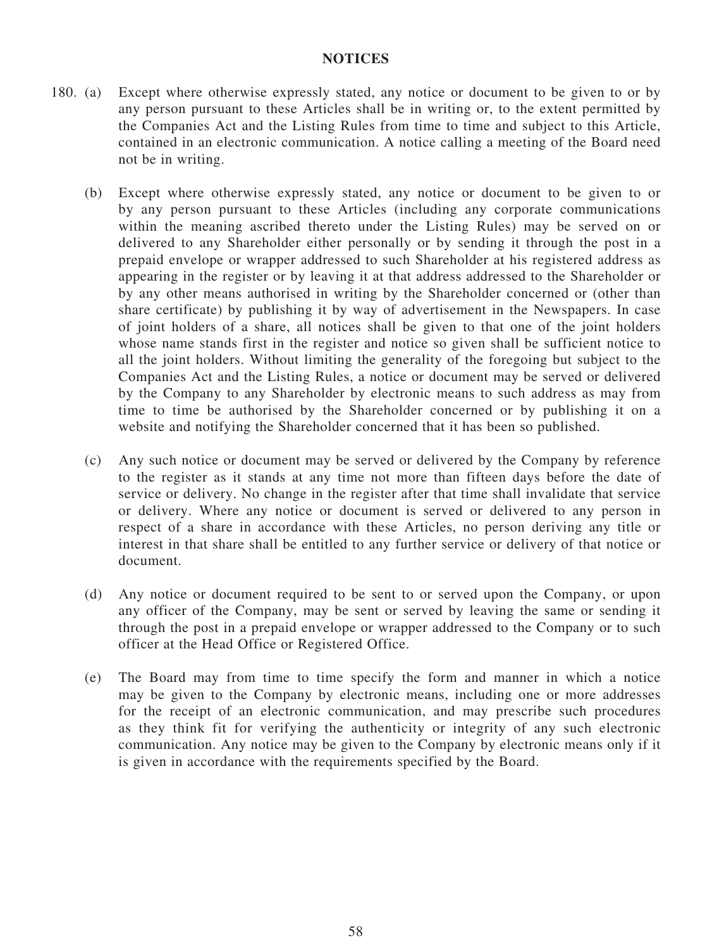#### **NOTICES**

- 180. (a) Except where otherwise expressly stated, any notice or document to be given to or by any person pursuant to these Articles shall be in writing or, to the extent permitted by the Companies Act and the Listing Rules from time to time and subject to this Article, contained in an electronic communication. A notice calling a meeting of the Board need not be in writing.
	- (b) Except where otherwise expressly stated, any notice or document to be given to or by any person pursuant to these Articles (including any corporate communications within the meaning ascribed thereto under the Listing Rules) may be served on or delivered to any Shareholder either personally or by sending it through the post in a prepaid envelope or wrapper addressed to such Shareholder at his registered address as appearing in the register or by leaving it at that address addressed to the Shareholder or by any other means authorised in writing by the Shareholder concerned or (other than share certificate) by publishing it by way of advertisement in the Newspapers. In case of joint holders of a share, all notices shall be given to that one of the joint holders whose name stands first in the register and notice so given shall be sufficient notice to all the joint holders. Without limiting the generality of the foregoing but subject to the Companies Act and the Listing Rules, a notice or document may be served or delivered by the Company to any Shareholder by electronic means to such address as may from time to time be authorised by the Shareholder concerned or by publishing it on a website and notifying the Shareholder concerned that it has been so published.
	- (c) Any such notice or document may be served or delivered by the Company by reference to the register as it stands at any time not more than fifteen days before the date of service or delivery. No change in the register after that time shall invalidate that service or delivery. Where any notice or document is served or delivered to any person in respect of a share in accordance with these Articles, no person deriving any title or interest in that share shall be entitled to any further service or delivery of that notice or document.
	- (d) Any notice or document required to be sent to or served upon the Company, or upon any officer of the Company, may be sent or served by leaving the same or sending it through the post in a prepaid envelope or wrapper addressed to the Company or to such officer at the Head Office or Registered Office.
	- (e) The Board may from time to time specify the form and manner in which a notice may be given to the Company by electronic means, including one or more addresses for the receipt of an electronic communication, and may prescribe such procedures as they think fit for verifying the authenticity or integrity of any such electronic communication. Any notice may be given to the Company by electronic means only if it is given in accordance with the requirements specified by the Board.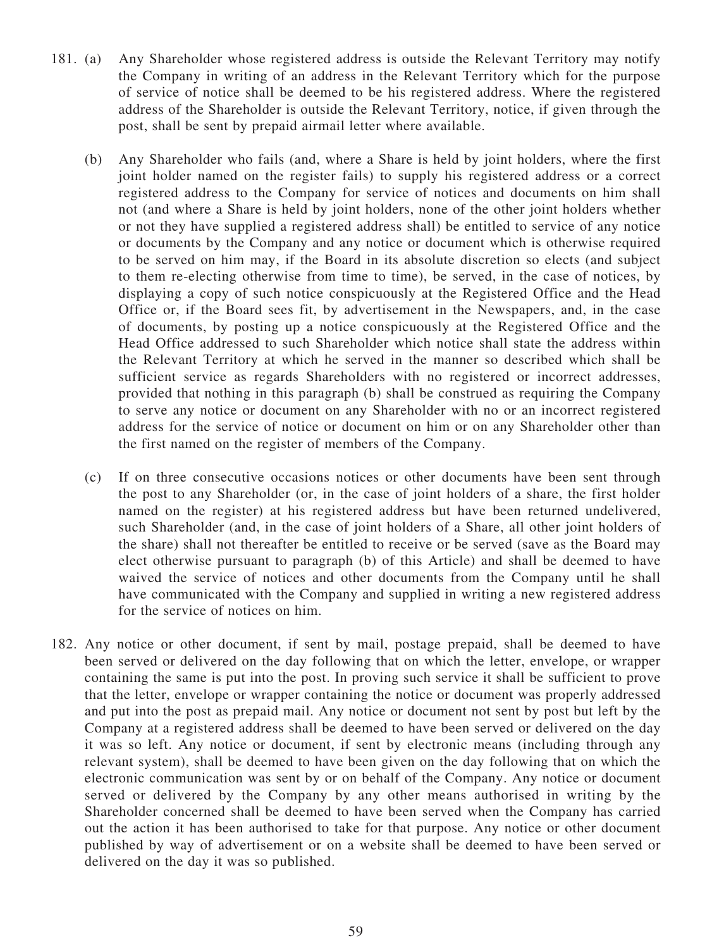- 181. (a) Any Shareholder whose registered address is outside the Relevant Territory may notify the Company in writing of an address in the Relevant Territory which for the purpose of service of notice shall be deemed to be his registered address. Where the registered address of the Shareholder is outside the Relevant Territory, notice, if given through the post, shall be sent by prepaid airmail letter where available.
	- (b) Any Shareholder who fails (and, where a Share is held by joint holders, where the first joint holder named on the register fails) to supply his registered address or a correct registered address to the Company for service of notices and documents on him shall not (and where a Share is held by joint holders, none of the other joint holders whether or not they have supplied a registered address shall) be entitled to service of any notice or documents by the Company and any notice or document which is otherwise required to be served on him may, if the Board in its absolute discretion so elects (and subject to them re-electing otherwise from time to time), be served, in the case of notices, by displaying a copy of such notice conspicuously at the Registered Office and the Head Office or, if the Board sees fit, by advertisement in the Newspapers, and, in the case of documents, by posting up a notice conspicuously at the Registered Office and the Head Office addressed to such Shareholder which notice shall state the address within the Relevant Territory at which he served in the manner so described which shall be sufficient service as regards Shareholders with no registered or incorrect addresses, provided that nothing in this paragraph (b) shall be construed as requiring the Company to serve any notice or document on any Shareholder with no or an incorrect registered address for the service of notice or document on him or on any Shareholder other than the first named on the register of members of the Company.
	- (c) If on three consecutive occasions notices or other documents have been sent through the post to any Shareholder (or, in the case of joint holders of a share, the first holder named on the register) at his registered address but have been returned undelivered, such Shareholder (and, in the case of joint holders of a Share, all other joint holders of the share) shall not thereafter be entitled to receive or be served (save as the Board may elect otherwise pursuant to paragraph (b) of this Article) and shall be deemed to have waived the service of notices and other documents from the Company until he shall have communicated with the Company and supplied in writing a new registered address for the service of notices on him.
- 182. Any notice or other document, if sent by mail, postage prepaid, shall be deemed to have been served or delivered on the day following that on which the letter, envelope, or wrapper containing the same is put into the post. In proving such service it shall be sufficient to prove that the letter, envelope or wrapper containing the notice or document was properly addressed and put into the post as prepaid mail. Any notice or document not sent by post but left by the Company at a registered address shall be deemed to have been served or delivered on the day it was so left. Any notice or document, if sent by electronic means (including through any relevant system), shall be deemed to have been given on the day following that on which the electronic communication was sent by or on behalf of the Company. Any notice or document served or delivered by the Company by any other means authorised in writing by the Shareholder concerned shall be deemed to have been served when the Company has carried out the action it has been authorised to take for that purpose. Any notice or other document published by way of advertisement or on a website shall be deemed to have been served or delivered on the day it was so published.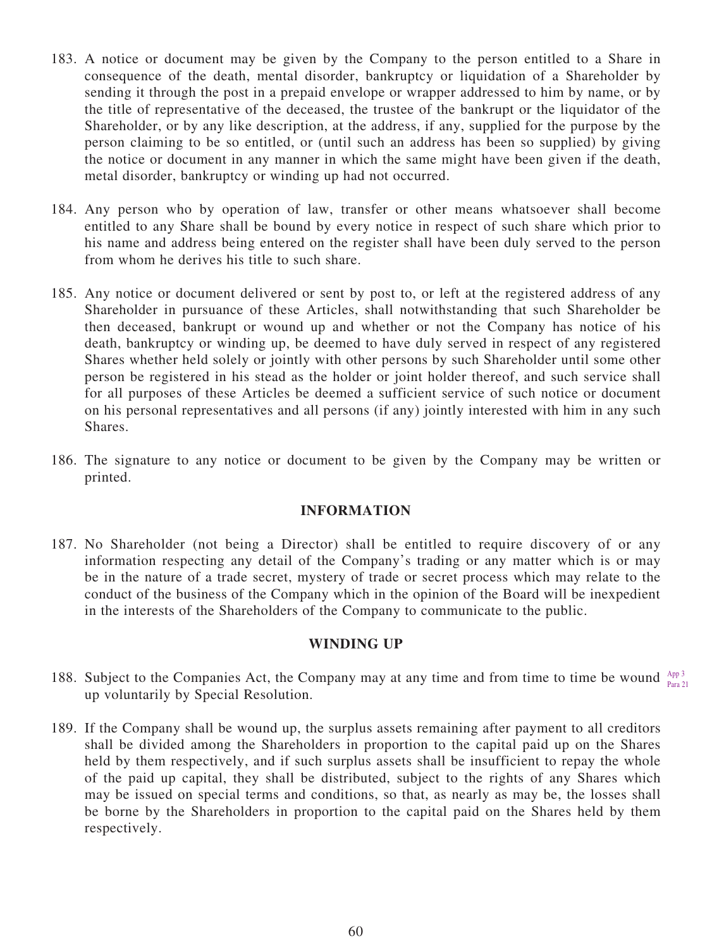- 183. A notice or document may be given by the Company to the person entitled to a Share in consequence of the death, mental disorder, bankruptcy or liquidation of a Shareholder by sending it through the post in a prepaid envelope or wrapper addressed to him by name, or by the title of representative of the deceased, the trustee of the bankrupt or the liquidator of the Shareholder, or by any like description, at the address, if any, supplied for the purpose by the person claiming to be so entitled, or (until such an address has been so supplied) by giving the notice or document in any manner in which the same might have been given if the death, metal disorder, bankruptcy or winding up had not occurred.
- 184. Any person who by operation of law, transfer or other means whatsoever shall become entitled to any Share shall be bound by every notice in respect of such share which prior to his name and address being entered on the register shall have been duly served to the person from whom he derives his title to such share.
- 185. Any notice or document delivered or sent by post to, or left at the registered address of any Shareholder in pursuance of these Articles, shall notwithstanding that such Shareholder be then deceased, bankrupt or wound up and whether or not the Company has notice of his death, bankruptcy or winding up, be deemed to have duly served in respect of any registered Shares whether held solely or jointly with other persons by such Shareholder until some other person be registered in his stead as the holder or joint holder thereof, and such service shall for all purposes of these Articles be deemed a sufficient service of such notice or document on his personal representatives and all persons (if any) jointly interested with him in any such Shares.
- 186. The signature to any notice or document to be given by the Company may be written or printed.

#### **INFORMATION**

187. No Shareholder (not being a Director) shall be entitled to require discovery of or any information respecting any detail of the Company's trading or any matter which is or may be in the nature of a trade secret, mystery of trade or secret process which may relate to the conduct of the business of the Company which in the opinion of the Board will be inexpedient in the interests of the Shareholders of the Company to communicate to the public.

#### **WINDING UP**

- 188. Subject to the Companies Act, the Company may at any time and from time to time be wound  $_{\tiny{Dens}}^{\tiny{App\,3}}$ up voluntarily by Special Resolution. Para 21
- 189. If the Company shall be wound up, the surplus assets remaining after payment to all creditors shall be divided among the Shareholders in proportion to the capital paid up on the Shares held by them respectively, and if such surplus assets shall be insufficient to repay the whole of the paid up capital, they shall be distributed, subject to the rights of any Shares which may be issued on special terms and conditions, so that, as nearly as may be, the losses shall be borne by the Shareholders in proportion to the capital paid on the Shares held by them respectively.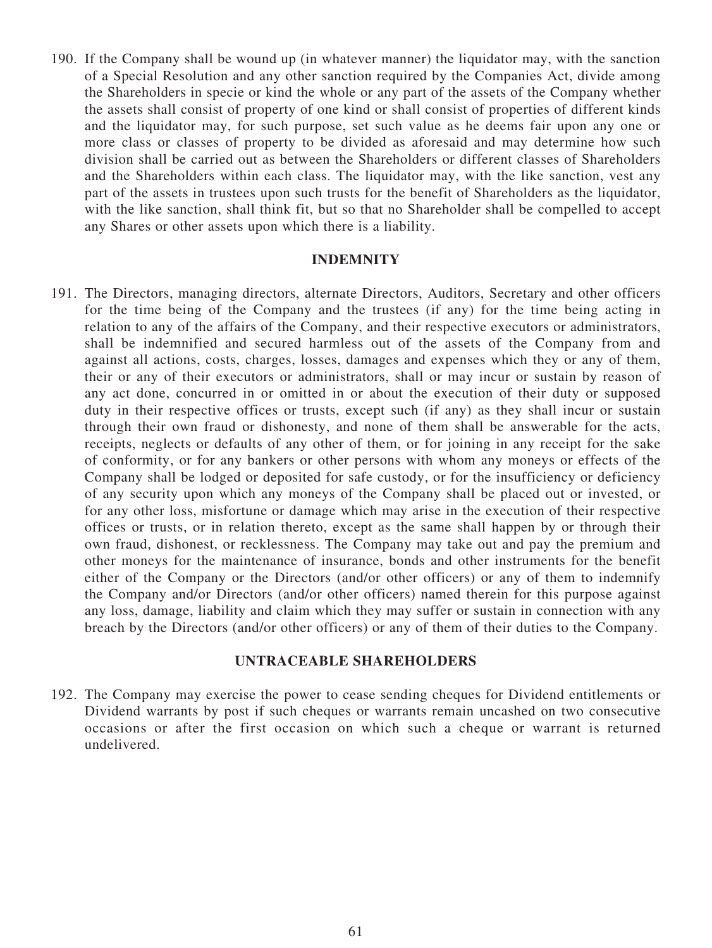190. If the Company shall be wound up (in whatever manner) the liquidator may, with the sanction of a Special Resolution and any other sanction required by the Companies Act, divide among the Shareholders in specie or kind the whole or any part of the assets of the Company whether the assets shall consist of property of one kind or shall consist of properties of different kinds and the liquidator may, for such purpose, set such value as he deems fair upon any one or more class or classes of property to be divided as aforesaid and may determine how such division shall be carried out as between the Shareholders or different classes of Shareholders and the Shareholders within each class. The liquidator may, with the like sanction, vest any part of the assets in trustees upon such trusts for the benefit of Shareholders as the liquidator, with the like sanction, shall think fit, but so that no Shareholder shall be compelled to accept any Shares or other assets upon which there is a liability.

#### **INDEMNITY**

191. The Directors, managing directors, alternate Directors, Auditors, Secretary and other officers for the time being of the Company and the trustees (if any) for the time being acting in relation to any of the affairs of the Company, and their respective executors or administrators, shall be indemnified and secured harmless out of the assets of the Company from and against all actions, costs, charges, losses, damages and expenses which they or any of them, their or any of their executors or administrators, shall or may incur or sustain by reason of any act done, concurred in or omitted in or about the execution of their duty or supposed duty in their respective offices or trusts, except such (if any) as they shall incur or sustain through their own fraud or dishonesty, and none of them shall be answerable for the acts, receipts, neglects or defaults of any other of them, or for joining in any receipt for the sake of conformity, or for any bankers or other persons with whom any moneys or effects of the Company shall be lodged or deposited for safe custody, or for the insufficiency or deficiency of any security upon which any moneys of the Company shall be placed out or invested, or for any other loss, misfortune or damage which may arise in the execution of their respective offices or trusts, or in relation thereto, except as the same shall happen by or through their own fraud, dishonest, or recklessness. The Company may take out and pay the premium and other moneys for the maintenance of insurance, bonds and other instruments for the benefit either of the Company or the Directors (and/or other officers) or any of them to indemnify the Company and/or Directors (and/or other officers) named therein for this purpose against any loss, damage, liability and claim which they may suffer or sustain in connection with any breach by the Directors (and/or other officers) or any of them of their duties to the Company.

#### **UNTRACEABLE SHAREHOLDERS**

192. The Company may exercise the power to cease sending cheques for Dividend entitlements or Dividend warrants by post if such cheques or warrants remain uncashed on two consecutive occasions or after the first occasion on which such a cheque or warrant is returned undelivered.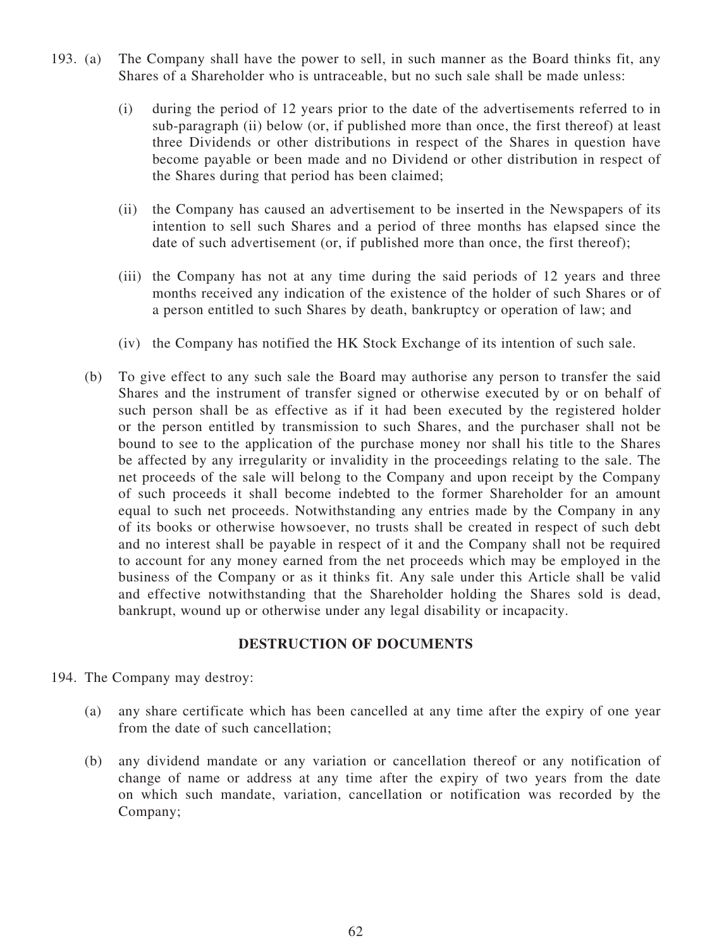- 193. (a) The Company shall have the power to sell, in such manner as the Board thinks fit, any Shares of a Shareholder who is untraceable, but no such sale shall be made unless:
	- (i) during the period of 12 years prior to the date of the advertisements referred to in sub-paragraph (ii) below (or, if published more than once, the first thereof) at least three Dividends or other distributions in respect of the Shares in question have become payable or been made and no Dividend or other distribution in respect of the Shares during that period has been claimed;
	- (ii) the Company has caused an advertisement to be inserted in the Newspapers of its intention to sell such Shares and a period of three months has elapsed since the date of such advertisement (or, if published more than once, the first thereof);
	- (iii) the Company has not at any time during the said periods of 12 years and three months received any indication of the existence of the holder of such Shares or of a person entitled to such Shares by death, bankruptcy or operation of law; and
	- (iv) the Company has notified the HK Stock Exchange of its intention of such sale.
	- (b) To give effect to any such sale the Board may authorise any person to transfer the said Shares and the instrument of transfer signed or otherwise executed by or on behalf of such person shall be as effective as if it had been executed by the registered holder or the person entitled by transmission to such Shares, and the purchaser shall not be bound to see to the application of the purchase money nor shall his title to the Shares be affected by any irregularity or invalidity in the proceedings relating to the sale. The net proceeds of the sale will belong to the Company and upon receipt by the Company of such proceeds it shall become indebted to the former Shareholder for an amount equal to such net proceeds. Notwithstanding any entries made by the Company in any of its books or otherwise howsoever, no trusts shall be created in respect of such debt and no interest shall be payable in respect of it and the Company shall not be required to account for any money earned from the net proceeds which may be employed in the business of the Company or as it thinks fit. Any sale under this Article shall be valid and effective notwithstanding that the Shareholder holding the Shares sold is dead, bankrupt, wound up or otherwise under any legal disability or incapacity.

#### **DESTRUCTION OF DOCUMENTS**

- 194. The Company may destroy:
	- (a) any share certificate which has been cancelled at any time after the expiry of one year from the date of such cancellation;
	- (b) any dividend mandate or any variation or cancellation thereof or any notification of change of name or address at any time after the expiry of two years from the date on which such mandate, variation, cancellation or notification was recorded by the Company;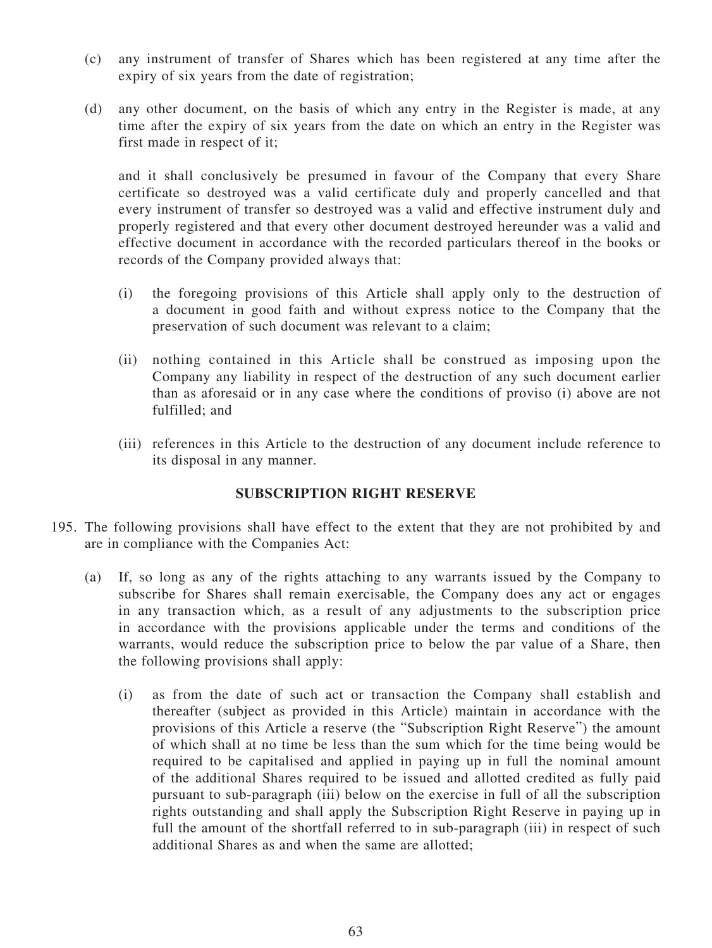- (c) any instrument of transfer of Shares which has been registered at any time after the expiry of six years from the date of registration;
- (d) any other document, on the basis of which any entry in the Register is made, at any time after the expiry of six years from the date on which an entry in the Register was first made in respect of it;

and it shall conclusively be presumed in favour of the Company that every Share certificate so destroyed was a valid certificate duly and properly cancelled and that every instrument of transfer so destroyed was a valid and effective instrument duly and properly registered and that every other document destroyed hereunder was a valid and effective document in accordance with the recorded particulars thereof in the books or records of the Company provided always that:

- (i) the foregoing provisions of this Article shall apply only to the destruction of a document in good faith and without express notice to the Company that the preservation of such document was relevant to a claim;
- (ii) nothing contained in this Article shall be construed as imposing upon the Company any liability in respect of the destruction of any such document earlier than as aforesaid or in any case where the conditions of proviso (i) above are not fulfilled; and
- (iii) references in this Article to the destruction of any document include reference to its disposal in any manner.

# **SUBSCRIPTION RIGHT RESERVE**

- 195. The following provisions shall have effect to the extent that they are not prohibited by and are in compliance with the Companies Act:
	- (a) If, so long as any of the rights attaching to any warrants issued by the Company to subscribe for Shares shall remain exercisable, the Company does any act or engages in any transaction which, as a result of any adjustments to the subscription price in accordance with the provisions applicable under the terms and conditions of the warrants, would reduce the subscription price to below the par value of a Share, then the following provisions shall apply:
		- (i) as from the date of such act or transaction the Company shall establish and thereafter (subject as provided in this Article) maintain in accordance with the provisions of this Article a reserve (the "Subscription Right Reserve") the amount of which shall at no time be less than the sum which for the time being would be required to be capitalised and applied in paying up in full the nominal amount of the additional Shares required to be issued and allotted credited as fully paid pursuant to sub-paragraph (iii) below on the exercise in full of all the subscription rights outstanding and shall apply the Subscription Right Reserve in paying up in full the amount of the shortfall referred to in sub-paragraph (iii) in respect of such additional Shares as and when the same are allotted;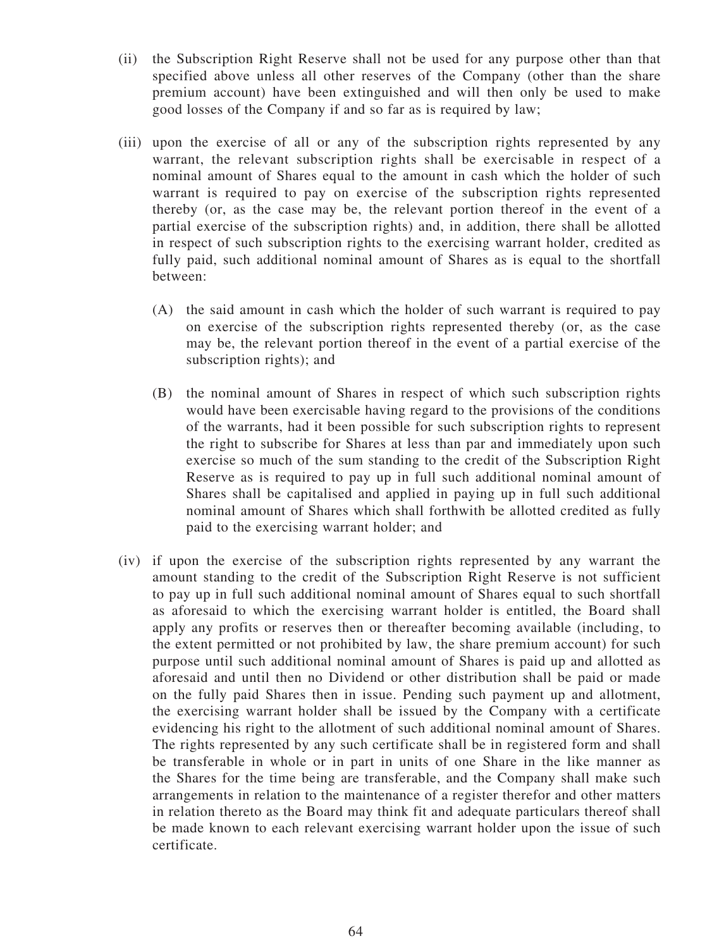- (ii) the Subscription Right Reserve shall not be used for any purpose other than that specified above unless all other reserves of the Company (other than the share premium account) have been extinguished and will then only be used to make good losses of the Company if and so far as is required by law;
- (iii) upon the exercise of all or any of the subscription rights represented by any warrant, the relevant subscription rights shall be exercisable in respect of a nominal amount of Shares equal to the amount in cash which the holder of such warrant is required to pay on exercise of the subscription rights represented thereby (or, as the case may be, the relevant portion thereof in the event of a partial exercise of the subscription rights) and, in addition, there shall be allotted in respect of such subscription rights to the exercising warrant holder, credited as fully paid, such additional nominal amount of Shares as is equal to the shortfall between:
	- (A) the said amount in cash which the holder of such warrant is required to pay on exercise of the subscription rights represented thereby (or, as the case may be, the relevant portion thereof in the event of a partial exercise of the subscription rights); and
	- (B) the nominal amount of Shares in respect of which such subscription rights would have been exercisable having regard to the provisions of the conditions of the warrants, had it been possible for such subscription rights to represent the right to subscribe for Shares at less than par and immediately upon such exercise so much of the sum standing to the credit of the Subscription Right Reserve as is required to pay up in full such additional nominal amount of Shares shall be capitalised and applied in paying up in full such additional nominal amount of Shares which shall forthwith be allotted credited as fully paid to the exercising warrant holder; and
- (iv) if upon the exercise of the subscription rights represented by any warrant the amount standing to the credit of the Subscription Right Reserve is not sufficient to pay up in full such additional nominal amount of Shares equal to such shortfall as aforesaid to which the exercising warrant holder is entitled, the Board shall apply any profits or reserves then or thereafter becoming available (including, to the extent permitted or not prohibited by law, the share premium account) for such purpose until such additional nominal amount of Shares is paid up and allotted as aforesaid and until then no Dividend or other distribution shall be paid or made on the fully paid Shares then in issue. Pending such payment up and allotment, the exercising warrant holder shall be issued by the Company with a certificate evidencing his right to the allotment of such additional nominal amount of Shares. The rights represented by any such certificate shall be in registered form and shall be transferable in whole or in part in units of one Share in the like manner as the Shares for the time being are transferable, and the Company shall make such arrangements in relation to the maintenance of a register therefor and other matters in relation thereto as the Board may think fit and adequate particulars thereof shall be made known to each relevant exercising warrant holder upon the issue of such certificate.